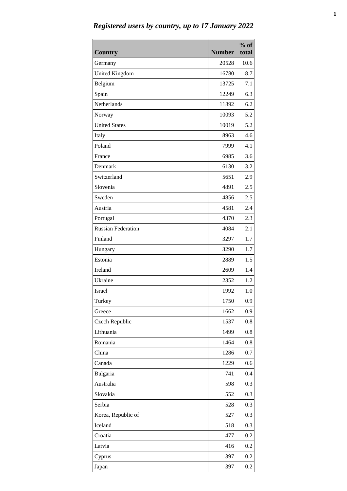| <b>Country</b>            | <b>Number</b> | $%$ of<br>total |
|---------------------------|---------------|-----------------|
| Germany                   | 20528         | 10.6            |
| <b>United Kingdom</b>     | 16780         | 8.7             |
| Belgium                   | 13725         | 7.1             |
| Spain                     | 12249         | 6.3             |
| Netherlands               | 11892         | 6.2             |
| Norway                    | 10093         | 5.2             |
| <b>United States</b>      | 10019         | 5.2             |
| Italy                     | 8963          | 4.6             |
| Poland                    | 7999          | 4.1             |
| France                    | 6985          | 3.6             |
| Denmark                   | 6130          | 3.2             |
| Switzerland               | 5651          | 2.9             |
| Slovenia                  | 4891          | 2.5             |
| Sweden                    | 4856          | 2.5             |
| Austria                   | 4581          | 2.4             |
| Portugal                  | 4370          | 2.3             |
| <b>Russian Federation</b> | 4084          | 2.1             |
| Finland                   | 3297          | 1.7             |
| Hungary                   | 3290          | 1.7             |
| Estonia                   | 2889          | 1.5             |
| Ireland                   | 2609          | 1.4             |
| Ukraine                   | 2352          | 1.2             |
| <b>Israel</b>             | 1992          | 1.0             |
| Turkey                    | 1750          | 0.9             |
| Greece                    | 1662          | 0.9             |
| Czech Republic            | 1537          | 0.8             |
| Lithuania                 | 1499          | 0.8             |
| Romania                   | 1464          | 0.8             |
| China                     | 1286          | 0.7             |
| Canada                    | 1229          | 0.6             |
| Bulgaria                  | 741           | 0.4             |
| Australia                 | 598           | 0.3             |
| Slovakia                  | 552           | 0.3             |
| Serbia                    | 528           | 0.3             |
| Korea, Republic of        | 527           | 0.3             |
| Iceland                   | 518           | 0.3             |
| Croatia                   | 477           | 0.2             |
| Latvia                    | 416           | 0.2             |
| Cyprus                    | 397           | 0.2             |
| Japan                     | 397           | 0.2             |

*Registered users by country, up to 17 January 2022*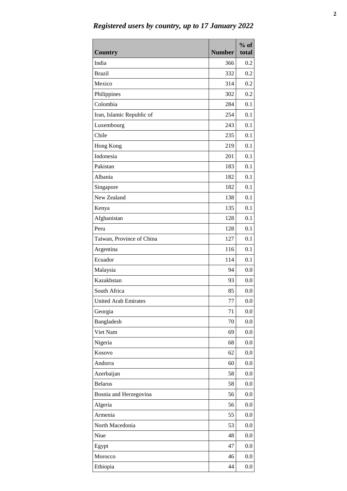| <b>Country</b>              | <b>Number</b> | $%$ of<br>total |
|-----------------------------|---------------|-----------------|
| India                       | 366           | 0.2             |
| <b>Brazil</b>               | 332           | 0.2             |
| Mexico                      | 314           | 0.2             |
| Philippines                 | 302           | 0.2             |
| Colombia                    | 284           | 0.1             |
| Iran, Islamic Republic of   | 254           | 0.1             |
| Luxembourg                  | 243           | 0.1             |
| Chile                       | 235           | 0.1             |
| Hong Kong                   | 219           | 0.1             |
| Indonesia                   | 201           | 0.1             |
| Pakistan                    | 183           | 0.1             |
| Albania                     | 182           | 0.1             |
| Singapore                   | 182           | 0.1             |
| New Zealand                 | 138           | 0.1             |
| Kenya                       | 135           | 0.1             |
| Afghanistan                 | 128           | 0.1             |
| Peru                        | 128           | 0.1             |
| Taiwan, Province of China   | 127           | 0.1             |
| Argentina                   | 116           | 0.1             |
| Ecuador                     | 114           | 0.1             |
| Malaysia                    | 94            | 0.0             |
| Kazakhstan                  | 93            | 0.0             |
| South Africa                | 85            | 0.0             |
| <b>United Arab Emirates</b> | 77            | 0.0             |
| Georgia                     | 71            | 0.0             |
| Bangladesh                  | 70            | 0.0             |
| Viet Nam                    | 69            | 0.0             |
| Nigeria                     | 68            | 0.0             |
| Kosovo                      | 62            | 0.0             |
| Andorra                     | 60            | 0.0             |
| Azerbaijan                  | 58            | 0.0             |
| <b>Belarus</b>              | 58            | 0.0             |
| Bosnia and Herzegovina      | 56            | 0.0             |
| Algeria                     | 56            | 0.0             |
| Armenia                     | 55            | 0.0             |
| North Macedonia             | 53            | 0.0             |
| Niue                        | 48            | 0.0             |
| Egypt                       | 47            | 0.0             |
| Morocco                     | 46            | 0.0             |
| Ethiopia                    | 44            | 0.0             |

*Registered users by country, up to 17 January 2022*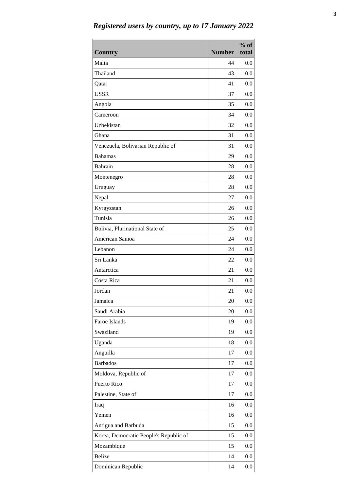| <b>Country</b>                         | <b>Number</b> | $%$ of<br>total |
|----------------------------------------|---------------|-----------------|
| Malta                                  | 44            | 0.0             |
| Thailand                               | 43            | 0.0             |
| Qatar                                  | 41            | 0.0             |
| <b>USSR</b>                            | 37            | 0.0             |
| Angola                                 | 35            | 0.0             |
| Cameroon                               | 34            | 0.0             |
| Uzbekistan                             | 32            | 0.0             |
| Ghana                                  | 31            | 0.0             |
| Venezuela, Bolivarian Republic of      | 31            | 0.0             |
| <b>Bahamas</b>                         | 29            | 0.0             |
| <b>Bahrain</b>                         | 28            | 0.0             |
| Montenegro                             | 28            | 0.0             |
| Uruguay                                | 28            | 0.0             |
| Nepal                                  | 27            | 0.0             |
| Kyrgyzstan                             | 26            | 0.0             |
| Tunisia                                | 26            | 0.0             |
| Bolivia, Plurinational State of        | 25            | 0.0             |
| American Samoa                         | 24            | 0.0             |
| Lebanon                                | 24            | 0.0             |
| Sri Lanka                              | 22            | 0.0             |
| Antarctica                             | 21            | 0.0             |
| Costa Rica                             | 21            | 0.0             |
| Jordan                                 | 21            | 0.0             |
| Jamaica                                | 20            | 0.0             |
| Saudi Arabia                           | 20            | 0.0             |
| Faroe Islands                          | 19            | 0.0             |
| Swaziland                              | 19            | 0.0             |
| Uganda                                 | 18            | 0.0             |
| Anguilla                               | 17            | 0.0             |
| <b>Barbados</b>                        | 17            | 0.0             |
| Moldova, Republic of                   | 17            | 0.0             |
| Puerto Rico                            | 17            | 0.0             |
| Palestine, State of                    | 17            | 0.0             |
| Iraq                                   | 16            | 0.0             |
| Yemen                                  | 16            | 0.0             |
| Antigua and Barbuda                    | 15            | 0.0             |
| Korea, Democratic People's Republic of | 15            | 0.0             |
| Mozambique                             | 15            | 0.0             |
| <b>Belize</b>                          | 14            | 0.0             |
| Dominican Republic                     | 14            | 0.0             |

*Registered users by country, up to 17 January 2022*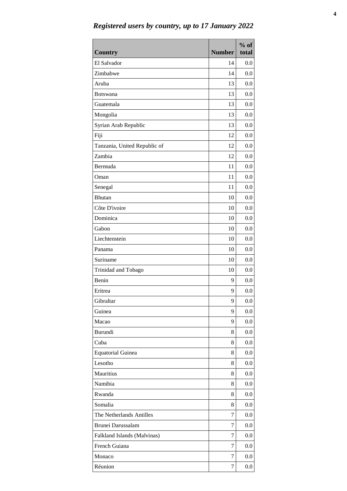| <b>Country</b>               | <b>Number</b> | $%$ of<br>total |
|------------------------------|---------------|-----------------|
| El Salvador                  | 14            | 0.0             |
| Zimbabwe                     | 14            | 0.0             |
| Aruba                        | 13            | 0.0             |
| Botswana                     | 13            | 0.0             |
| Guatemala                    | 13            | 0.0             |
| Mongolia                     | 13            | 0.0             |
| Syrian Arab Republic         | 13            | 0.0             |
| Fiji                         | 12            | 0.0             |
| Tanzania, United Republic of | 12            | 0.0             |
| Zambia                       | 12            | 0.0             |
| Bermuda                      | 11            | 0.0             |
| Oman                         | 11            | 0.0             |
| Senegal                      | 11            | 0.0             |
| <b>Bhutan</b>                | 10            | 0.0             |
| Côte D'ivoire                | 10            | 0.0             |
| Dominica                     | 10            | 0.0             |
| Gabon                        | 10            | 0.0             |
| Liechtenstein                | 10            | 0.0             |
| Panama                       | 10            | 0.0             |
| Suriname                     | 10            | 0.0             |
| Trinidad and Tobago          | 10            | 0.0             |
| Benin                        | 9             | 0.0             |
| Eritrea                      | 9             | 0.0             |
| Gibraltar                    | 9             | 0.0             |
| Guinea                       | 9             | 0.0             |
| Macao                        | 9             | 0.0             |
| Burundi                      | 8             | 0.0             |
| Cuba                         | 8             | 0.0             |
| <b>Equatorial Guinea</b>     | 8             | 0.0             |
| Lesotho                      | 8             | 0.0             |
| Mauritius                    | 8             | 0.0             |
| Namibia                      | 8             | 0.0             |
| Rwanda                       | 8             | 0.0             |
| Somalia                      | 8             | 0.0             |
| The Netherlands Antilles     | 7             | 0.0             |
| Brunei Darussalam            | 7             | 0.0             |
| Falkland Islands (Malvinas)  | 7             | 0.0             |
| French Guiana                | 7             | 0.0             |
| Monaco                       | 7             | 0.0             |
| Réunion                      | 7             | 0.0             |

*Registered users by country, up to 17 January 2022*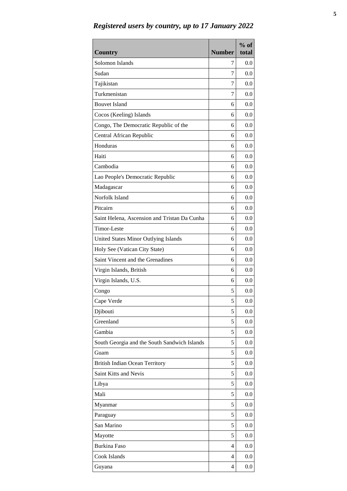| <b>Country</b>                               | <b>Number</b> | $%$ of<br>total |
|----------------------------------------------|---------------|-----------------|
| Solomon Islands                              | 7             | 0.0             |
| Sudan                                        | 7             | 0.0             |
| Tajikistan                                   | 7             | 0.0             |
| Turkmenistan                                 | 7             | 0.0             |
| <b>Bouvet Island</b>                         | 6             | 0.0             |
| Cocos (Keeling) Islands                      | 6             | 0.0             |
| Congo, The Democratic Republic of the        | 6             | 0.0             |
| Central African Republic                     | 6             | 0.0             |
| Honduras                                     | 6             | 0.0             |
| Haiti                                        | 6             | 0.0             |
| Cambodia                                     | 6             | 0.0             |
| Lao People's Democratic Republic             | 6             | 0.0             |
| Madagascar                                   | 6             | 0.0             |
| Norfolk Island                               | 6             | 0.0             |
| Pitcairn                                     | 6             | 0.0             |
| Saint Helena, Ascension and Tristan Da Cunha | 6             | 0.0             |
| Timor-Leste                                  | 6             | 0.0             |
| United States Minor Outlying Islands         | 6             | 0.0             |
| Holy See (Vatican City State)                | 6             | 0.0             |
| Saint Vincent and the Grenadines             | 6             | 0.0             |
| Virgin Islands, British                      | 6             | 0.0             |
| Virgin Islands, U.S.                         | 6             | 0.0             |
| Congo                                        | 5             | 0.0             |
| Cape Verde                                   | 5             | 0.0             |
| Djibouti                                     | 5             | 0.0             |
| Greenland                                    | 5             | 0.0             |
| Gambia                                       | 5             | 0.0             |
| South Georgia and the South Sandwich Islands | 5             | 0.0             |
| Guam                                         | 5             | 0.0             |
| <b>British Indian Ocean Territory</b>        | 5             | 0.0             |
| Saint Kitts and Nevis                        | 5             | 0.0             |
| Libya                                        | 5             | 0.0             |
| Mali                                         | 5             | 0.0             |
| Myanmar                                      | 5             | 0.0             |
| Paraguay                                     | 5             | 0.0             |
| San Marino                                   | 5             | 0.0             |
| Mayotte                                      | 5             | 0.0             |
| <b>Burkina Faso</b>                          | 4             | 0.0             |
| Cook Islands                                 | 4             | 0.0             |
| Guyana                                       | 4             | 0.0             |

*Registered users by country, up to 17 January 2022*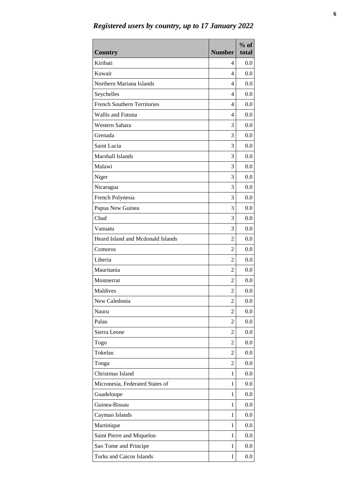| <b>Country</b>                     | <b>Number</b>           | $%$ of<br>total |
|------------------------------------|-------------------------|-----------------|
| Kiribati                           | 4                       | 0.0             |
| Kuwait                             | 4                       | 0.0             |
| Northern Mariana Islands           | 4                       | 0.0             |
| Seychelles                         | 4                       | 0.0             |
| <b>French Southern Territories</b> | 4                       | 0.0             |
| Wallis and Futuna                  | 4                       | 0.0             |
| Western Sahara                     | 3                       | 0.0             |
| Grenada                            | 3                       | 0.0             |
| Saint Lucia                        | 3                       | 0.0             |
| Marshall Islands                   | 3                       | 0.0             |
| Malawi                             | 3                       | 0.0             |
| Niger                              | 3                       | 0.0             |
| Nicaragua                          | 3                       | 0.0             |
| French Polynesia                   | 3                       | 0.0             |
| Papua New Guinea                   | 3                       | 0.0             |
| Chad                               | 3                       | 0.0             |
| Vanuatu                            | 3                       | 0.0             |
| Heard Island and Mcdonald Islands  | 2                       | 0.0             |
| Comoros                            | 2                       | 0.0             |
| Liberia                            | 2                       | 0.0             |
| Mauritania                         | $\overline{2}$          | 0.0             |
| Montserrat                         | $\overline{2}$          | 0.0             |
| Maldives                           | $\overline{c}$          | 0.0             |
| New Caledonia                      | $\overline{\mathbf{c}}$ | 0.0             |
| Nauru                              | 2                       | 0.0             |
| Palau                              | 2                       | 0.0             |
| Sierra Leone                       | 2                       | 0.0             |
| Togo                               | 2                       | 0.0             |
| Tokelau                            | 2                       | 0.0             |
| Tonga                              | 2                       | 0.0             |
| Christmas Island                   | 1                       | 0.0             |
| Micronesia, Federated States of    | 1                       | 0.0             |
| Guadeloupe                         | 1                       | 0.0             |
| Guinea-Bissau                      | 1                       | 0.0             |
| Cayman Islands                     | $\mathbf{1}$            | 0.0             |
| Martinique                         | 1                       | 0.0             |
| Saint Pierre and Miquelon          | 1                       | 0.0             |
| Sao Tome and Principe              | 1                       | 0.0             |
| <b>Turks and Caicos Islands</b>    | $\mathbf{1}$            | 0.0             |

*Registered users by country, up to 17 January 2022*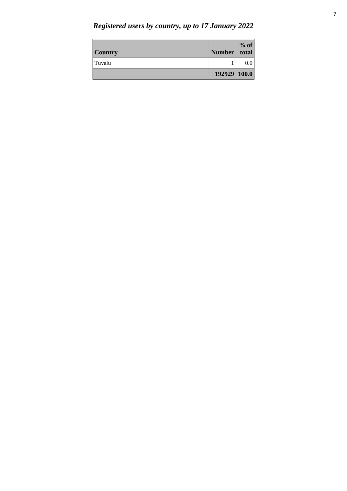*Registered users by country, up to 17 January 2022*

| <b>Country</b> | Number total | $%$ of |
|----------------|--------------|--------|
| Tuvalu         |              |        |
|                | 192929 100.0 |        |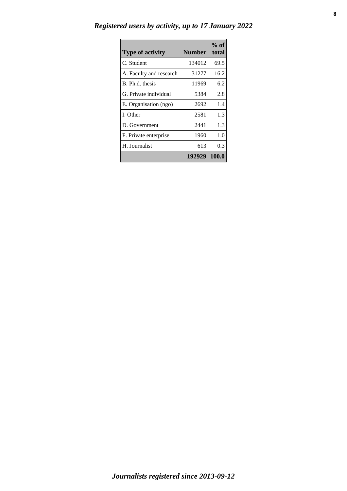| Registered users by activity, up to 17 January 2022 |  |  |  |  |
|-----------------------------------------------------|--|--|--|--|
|                                                     |  |  |  |  |

| <b>Type of activity</b> | <b>Number</b> | $%$ of<br>total |
|-------------------------|---------------|-----------------|
| C. Student              | 134012        | 69.5            |
| A. Faculty and research | 31277         | 16.2            |
| B. Ph.d. thesis         | 11969         | 6.2             |
| G. Private individual   | 5384          | 2.8             |
| E. Organisation (ngo)   | 2692          | 1.4             |
| I. Other                | 2581          | 1.3             |
| D. Government           | 2441          | 1.3             |
| F. Private enterprise   | 1960          | 1.0             |
| H. Journalist           | 613           | 0.3             |
|                         | 192929        | 100.0           |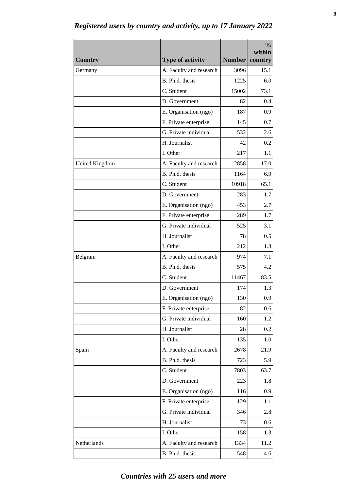| A. Faculty and research<br>Germany<br>3096<br>15.1<br>B. Ph.d. thesis<br>1225<br>6.0<br>C. Student<br>15002<br>73.1<br>D. Government<br>0.4<br>82<br>E. Organisation (ngo)<br>0.9<br>187<br>F. Private enterprise<br>145<br>0.7<br>G. Private individual<br>532<br>2.6<br>H. Journalist<br>42<br>0.2<br>I. Other<br>217<br>1.1<br>A. Faculty and research<br>2858<br>17.0<br><b>United Kingdom</b><br>B. Ph.d. thesis<br>6.9<br>1164<br>65.1<br>C. Student<br>10918<br>D. Government<br>283<br>1.7<br>E. Organisation (ngo)<br>453<br>2.7<br>F. Private enterprise<br>1.7<br>289<br>G. Private individual<br>3.1<br>525<br>H. Journalist<br>0.5<br>78<br>I. Other<br>212<br>1.3<br>A. Faculty and research<br>Belgium<br>974<br>7.1<br>B. Ph.d. thesis<br>575<br>4.2<br>C. Student<br>11467<br>83.5<br>D. Government<br>174<br>1.3<br>0.9<br>E. Organisation (ngo)<br>130<br>F. Private enterprise<br>82<br>0.6<br>G. Private individual<br>160<br>1.2<br>H. Journalist<br>28<br>0.2<br>I. Other<br>135<br>1.0<br>A. Faculty and research<br>2678<br>21.9<br>Spain<br>B. Ph.d. thesis<br>5.9<br>723<br>C. Student<br>7803<br>63.7<br>D. Government<br>223<br>1.8<br>E. Organisation (ngo)<br>116<br>0.9<br>F. Private enterprise<br>129<br>1.1<br>G. Private individual<br>346<br>2.8<br>H. Journalist<br>73<br>0.6<br>I. Other<br>1.3<br>158<br>Netherlands<br>A. Faculty and research<br>1334<br>11.2 |                |                         |               | $\frac{0}{0}$<br>within |
|---------------------------------------------------------------------------------------------------------------------------------------------------------------------------------------------------------------------------------------------------------------------------------------------------------------------------------------------------------------------------------------------------------------------------------------------------------------------------------------------------------------------------------------------------------------------------------------------------------------------------------------------------------------------------------------------------------------------------------------------------------------------------------------------------------------------------------------------------------------------------------------------------------------------------------------------------------------------------------------------------------------------------------------------------------------------------------------------------------------------------------------------------------------------------------------------------------------------------------------------------------------------------------------------------------------------------------------------------------------------------------------------------------|----------------|-------------------------|---------------|-------------------------|
|                                                                                                                                                                                                                                                                                                                                                                                                                                                                                                                                                                                                                                                                                                                                                                                                                                                                                                                                                                                                                                                                                                                                                                                                                                                                                                                                                                                                         | <b>Country</b> | <b>Type of activity</b> | <b>Number</b> | country                 |
|                                                                                                                                                                                                                                                                                                                                                                                                                                                                                                                                                                                                                                                                                                                                                                                                                                                                                                                                                                                                                                                                                                                                                                                                                                                                                                                                                                                                         |                |                         |               |                         |
|                                                                                                                                                                                                                                                                                                                                                                                                                                                                                                                                                                                                                                                                                                                                                                                                                                                                                                                                                                                                                                                                                                                                                                                                                                                                                                                                                                                                         |                |                         |               |                         |
|                                                                                                                                                                                                                                                                                                                                                                                                                                                                                                                                                                                                                                                                                                                                                                                                                                                                                                                                                                                                                                                                                                                                                                                                                                                                                                                                                                                                         |                |                         |               |                         |
|                                                                                                                                                                                                                                                                                                                                                                                                                                                                                                                                                                                                                                                                                                                                                                                                                                                                                                                                                                                                                                                                                                                                                                                                                                                                                                                                                                                                         |                |                         |               |                         |
|                                                                                                                                                                                                                                                                                                                                                                                                                                                                                                                                                                                                                                                                                                                                                                                                                                                                                                                                                                                                                                                                                                                                                                                                                                                                                                                                                                                                         |                |                         |               |                         |
|                                                                                                                                                                                                                                                                                                                                                                                                                                                                                                                                                                                                                                                                                                                                                                                                                                                                                                                                                                                                                                                                                                                                                                                                                                                                                                                                                                                                         |                |                         |               |                         |
|                                                                                                                                                                                                                                                                                                                                                                                                                                                                                                                                                                                                                                                                                                                                                                                                                                                                                                                                                                                                                                                                                                                                                                                                                                                                                                                                                                                                         |                |                         |               |                         |
|                                                                                                                                                                                                                                                                                                                                                                                                                                                                                                                                                                                                                                                                                                                                                                                                                                                                                                                                                                                                                                                                                                                                                                                                                                                                                                                                                                                                         |                |                         |               |                         |
|                                                                                                                                                                                                                                                                                                                                                                                                                                                                                                                                                                                                                                                                                                                                                                                                                                                                                                                                                                                                                                                                                                                                                                                                                                                                                                                                                                                                         |                |                         |               |                         |
|                                                                                                                                                                                                                                                                                                                                                                                                                                                                                                                                                                                                                                                                                                                                                                                                                                                                                                                                                                                                                                                                                                                                                                                                                                                                                                                                                                                                         |                |                         |               |                         |
|                                                                                                                                                                                                                                                                                                                                                                                                                                                                                                                                                                                                                                                                                                                                                                                                                                                                                                                                                                                                                                                                                                                                                                                                                                                                                                                                                                                                         |                |                         |               |                         |
|                                                                                                                                                                                                                                                                                                                                                                                                                                                                                                                                                                                                                                                                                                                                                                                                                                                                                                                                                                                                                                                                                                                                                                                                                                                                                                                                                                                                         |                |                         |               |                         |
|                                                                                                                                                                                                                                                                                                                                                                                                                                                                                                                                                                                                                                                                                                                                                                                                                                                                                                                                                                                                                                                                                                                                                                                                                                                                                                                                                                                                         |                |                         |               |                         |
|                                                                                                                                                                                                                                                                                                                                                                                                                                                                                                                                                                                                                                                                                                                                                                                                                                                                                                                                                                                                                                                                                                                                                                                                                                                                                                                                                                                                         |                |                         |               |                         |
|                                                                                                                                                                                                                                                                                                                                                                                                                                                                                                                                                                                                                                                                                                                                                                                                                                                                                                                                                                                                                                                                                                                                                                                                                                                                                                                                                                                                         |                |                         |               |                         |
|                                                                                                                                                                                                                                                                                                                                                                                                                                                                                                                                                                                                                                                                                                                                                                                                                                                                                                                                                                                                                                                                                                                                                                                                                                                                                                                                                                                                         |                |                         |               |                         |
|                                                                                                                                                                                                                                                                                                                                                                                                                                                                                                                                                                                                                                                                                                                                                                                                                                                                                                                                                                                                                                                                                                                                                                                                                                                                                                                                                                                                         |                |                         |               |                         |
|                                                                                                                                                                                                                                                                                                                                                                                                                                                                                                                                                                                                                                                                                                                                                                                                                                                                                                                                                                                                                                                                                                                                                                                                                                                                                                                                                                                                         |                |                         |               |                         |
|                                                                                                                                                                                                                                                                                                                                                                                                                                                                                                                                                                                                                                                                                                                                                                                                                                                                                                                                                                                                                                                                                                                                                                                                                                                                                                                                                                                                         |                |                         |               |                         |
|                                                                                                                                                                                                                                                                                                                                                                                                                                                                                                                                                                                                                                                                                                                                                                                                                                                                                                                                                                                                                                                                                                                                                                                                                                                                                                                                                                                                         |                |                         |               |                         |
|                                                                                                                                                                                                                                                                                                                                                                                                                                                                                                                                                                                                                                                                                                                                                                                                                                                                                                                                                                                                                                                                                                                                                                                                                                                                                                                                                                                                         |                |                         |               |                         |
|                                                                                                                                                                                                                                                                                                                                                                                                                                                                                                                                                                                                                                                                                                                                                                                                                                                                                                                                                                                                                                                                                                                                                                                                                                                                                                                                                                                                         |                |                         |               |                         |
|                                                                                                                                                                                                                                                                                                                                                                                                                                                                                                                                                                                                                                                                                                                                                                                                                                                                                                                                                                                                                                                                                                                                                                                                                                                                                                                                                                                                         |                |                         |               |                         |
|                                                                                                                                                                                                                                                                                                                                                                                                                                                                                                                                                                                                                                                                                                                                                                                                                                                                                                                                                                                                                                                                                                                                                                                                                                                                                                                                                                                                         |                |                         |               |                         |
|                                                                                                                                                                                                                                                                                                                                                                                                                                                                                                                                                                                                                                                                                                                                                                                                                                                                                                                                                                                                                                                                                                                                                                                                                                                                                                                                                                                                         |                |                         |               |                         |
|                                                                                                                                                                                                                                                                                                                                                                                                                                                                                                                                                                                                                                                                                                                                                                                                                                                                                                                                                                                                                                                                                                                                                                                                                                                                                                                                                                                                         |                |                         |               |                         |
|                                                                                                                                                                                                                                                                                                                                                                                                                                                                                                                                                                                                                                                                                                                                                                                                                                                                                                                                                                                                                                                                                                                                                                                                                                                                                                                                                                                                         |                |                         |               |                         |
|                                                                                                                                                                                                                                                                                                                                                                                                                                                                                                                                                                                                                                                                                                                                                                                                                                                                                                                                                                                                                                                                                                                                                                                                                                                                                                                                                                                                         |                |                         |               |                         |
|                                                                                                                                                                                                                                                                                                                                                                                                                                                                                                                                                                                                                                                                                                                                                                                                                                                                                                                                                                                                                                                                                                                                                                                                                                                                                                                                                                                                         |                |                         |               |                         |
|                                                                                                                                                                                                                                                                                                                                                                                                                                                                                                                                                                                                                                                                                                                                                                                                                                                                                                                                                                                                                                                                                                                                                                                                                                                                                                                                                                                                         |                |                         |               |                         |
|                                                                                                                                                                                                                                                                                                                                                                                                                                                                                                                                                                                                                                                                                                                                                                                                                                                                                                                                                                                                                                                                                                                                                                                                                                                                                                                                                                                                         |                |                         |               |                         |
|                                                                                                                                                                                                                                                                                                                                                                                                                                                                                                                                                                                                                                                                                                                                                                                                                                                                                                                                                                                                                                                                                                                                                                                                                                                                                                                                                                                                         |                |                         |               |                         |
|                                                                                                                                                                                                                                                                                                                                                                                                                                                                                                                                                                                                                                                                                                                                                                                                                                                                                                                                                                                                                                                                                                                                                                                                                                                                                                                                                                                                         |                |                         |               |                         |
|                                                                                                                                                                                                                                                                                                                                                                                                                                                                                                                                                                                                                                                                                                                                                                                                                                                                                                                                                                                                                                                                                                                                                                                                                                                                                                                                                                                                         |                |                         |               |                         |
|                                                                                                                                                                                                                                                                                                                                                                                                                                                                                                                                                                                                                                                                                                                                                                                                                                                                                                                                                                                                                                                                                                                                                                                                                                                                                                                                                                                                         |                |                         |               |                         |
|                                                                                                                                                                                                                                                                                                                                                                                                                                                                                                                                                                                                                                                                                                                                                                                                                                                                                                                                                                                                                                                                                                                                                                                                                                                                                                                                                                                                         |                |                         |               |                         |
|                                                                                                                                                                                                                                                                                                                                                                                                                                                                                                                                                                                                                                                                                                                                                                                                                                                                                                                                                                                                                                                                                                                                                                                                                                                                                                                                                                                                         |                |                         |               |                         |
|                                                                                                                                                                                                                                                                                                                                                                                                                                                                                                                                                                                                                                                                                                                                                                                                                                                                                                                                                                                                                                                                                                                                                                                                                                                                                                                                                                                                         |                | B. Ph.d. thesis         | 548           | 4.6                     |

*Registered users by country and activity, up to 17 January 2022*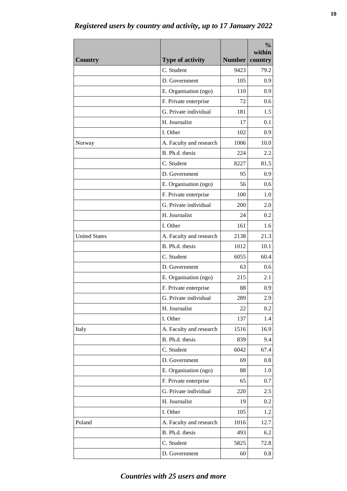| <b>Country</b>       | <b>Type of activity</b>                | <b>Number</b> | $\frac{0}{0}$<br>within<br>country |
|----------------------|----------------------------------------|---------------|------------------------------------|
|                      | C. Student                             | 9423          | 79.2                               |
|                      | D. Government                          | 105           | 0.9                                |
|                      | E. Organisation (ngo)                  | 110           | 0.9                                |
|                      | F. Private enterprise                  | 72            | 0.6                                |
|                      | G. Private individual                  | 181           | 1.5                                |
|                      | H. Journalist                          | 17            | 0.1                                |
|                      | I. Other                               | 102           | 0.9                                |
| Norway               | A. Faculty and research                | 1006          | 10.0                               |
|                      | B. Ph.d. thesis                        | 224           | 2.2                                |
|                      | C. Student                             | 8227          | 81.5                               |
|                      | D. Government                          | 95            | 0.9                                |
|                      | E. Organisation (ngo)                  | 56            | 0.6                                |
|                      | F. Private enterprise                  | 100           | 1.0                                |
|                      | G. Private individual                  | 200           | 2.0                                |
|                      | H. Journalist                          | 24            | 0.2                                |
|                      | I. Other                               | 161           | 1.6                                |
| <b>United States</b> | A. Faculty and research                | 2138          | 21.3                               |
|                      | B. Ph.d. thesis                        | 1012          | 10.1                               |
|                      | C. Student                             | 6055          | 60.4                               |
|                      |                                        | 63            | 0.6                                |
|                      | D. Government                          | 215           |                                    |
|                      | E. Organisation (ngo)                  |               | 2.1                                |
|                      | F. Private enterprise                  | 88            | 0.9                                |
|                      | G. Private individual<br>H. Journalist | 289           | 2.9                                |
|                      |                                        | 22            | 0.2                                |
|                      | I. Other                               | 137           | 1.4                                |
| Italy                | A. Faculty and research                | 1516          | 16.9                               |
|                      | B. Ph.d. thesis                        | 839           | 9.4                                |
|                      | C. Student                             | 6042          | 67.4                               |
|                      | D. Government                          | 69            | 0.8                                |
|                      | E. Organisation (ngo)                  | 88            | 1.0                                |
|                      | F. Private enterprise                  | 65            | 0.7                                |
|                      | G. Private individual                  | 220           | 2.5                                |
|                      | H. Journalist                          | 19            | 0.2                                |
|                      | I. Other                               | 105           | 1.2                                |
| Poland               | A. Faculty and research                | 1016          | 12.7                               |
|                      | B. Ph.d. thesis                        | 493           | 6.2                                |
|                      | C. Student                             | 5825          | 72.8                               |
|                      | D. Government                          | 60            | $0.8\,$                            |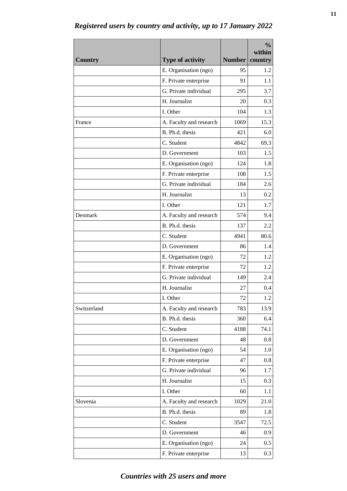| E. Organisation (ngo)<br>95<br>1.2<br>F. Private enterprise<br>91<br>1.1<br>G. Private individual<br>3.7<br>295<br>H. Journalist<br>0.3<br>20<br>I. Other<br>104<br>1.3<br>A. Faculty and research<br>15.3<br>1069<br>France<br>B. Ph.d. thesis<br>421<br>6.0<br>C. Student<br>69.3<br>4842<br>1.5<br>D. Government<br>103<br>E. Organisation (ngo)<br>124<br>1.8<br>1.5<br>F. Private enterprise<br>108<br>G. Private individual<br>184<br>2.6<br>H. Journalist<br>13<br>0.2<br>I. Other<br>121<br>1.7<br>A. Faculty and research<br>574<br>Denmark<br>9.4<br>B. Ph.d. thesis<br>137<br>2.2<br>C. Student<br>4941<br>80.6<br>D. Government<br>1.4<br>86<br>E. Organisation (ngo)<br>1.2<br>72<br>F. Private enterprise<br>72<br>1.2<br>G. Private individual<br>149<br>2.4<br>H. Journalist<br>0.4<br>27<br>1.2<br>72<br>I. Other<br>Switzerland<br>A. Faculty and research<br>13.9<br>783<br>B. Ph.d. thesis<br>360<br>6.4<br>C. Student<br>4188<br>74.1<br>D. Government<br>48<br>0.8<br>E. Organisation (ngo)<br>54<br>1.0<br>F. Private enterprise<br>47<br>0.8<br>G. Private individual<br>1.7<br>96<br>H. Journalist<br>0.3<br>15<br>I. Other<br>1.1<br>60<br>Slovenia<br>A. Faculty and research<br>1029<br>21.0<br>B. Ph.d. thesis<br>1.8<br>89<br>C. Student<br>3547<br>72.5<br>D. Government<br>0.9<br>46 | <b>Country</b> | <b>Type of activity</b> | Number | $\frac{0}{0}$<br>within<br>country |
|----------------------------------------------------------------------------------------------------------------------------------------------------------------------------------------------------------------------------------------------------------------------------------------------------------------------------------------------------------------------------------------------------------------------------------------------------------------------------------------------------------------------------------------------------------------------------------------------------------------------------------------------------------------------------------------------------------------------------------------------------------------------------------------------------------------------------------------------------------------------------------------------------------------------------------------------------------------------------------------------------------------------------------------------------------------------------------------------------------------------------------------------------------------------------------------------------------------------------------------------------------------------------------------------------------------------|----------------|-------------------------|--------|------------------------------------|
|                                                                                                                                                                                                                                                                                                                                                                                                                                                                                                                                                                                                                                                                                                                                                                                                                                                                                                                                                                                                                                                                                                                                                                                                                                                                                                                      |                |                         |        |                                    |
|                                                                                                                                                                                                                                                                                                                                                                                                                                                                                                                                                                                                                                                                                                                                                                                                                                                                                                                                                                                                                                                                                                                                                                                                                                                                                                                      |                |                         |        |                                    |
|                                                                                                                                                                                                                                                                                                                                                                                                                                                                                                                                                                                                                                                                                                                                                                                                                                                                                                                                                                                                                                                                                                                                                                                                                                                                                                                      |                |                         |        |                                    |
|                                                                                                                                                                                                                                                                                                                                                                                                                                                                                                                                                                                                                                                                                                                                                                                                                                                                                                                                                                                                                                                                                                                                                                                                                                                                                                                      |                |                         |        |                                    |
|                                                                                                                                                                                                                                                                                                                                                                                                                                                                                                                                                                                                                                                                                                                                                                                                                                                                                                                                                                                                                                                                                                                                                                                                                                                                                                                      |                |                         |        |                                    |
|                                                                                                                                                                                                                                                                                                                                                                                                                                                                                                                                                                                                                                                                                                                                                                                                                                                                                                                                                                                                                                                                                                                                                                                                                                                                                                                      |                |                         |        |                                    |
|                                                                                                                                                                                                                                                                                                                                                                                                                                                                                                                                                                                                                                                                                                                                                                                                                                                                                                                                                                                                                                                                                                                                                                                                                                                                                                                      |                |                         |        |                                    |
|                                                                                                                                                                                                                                                                                                                                                                                                                                                                                                                                                                                                                                                                                                                                                                                                                                                                                                                                                                                                                                                                                                                                                                                                                                                                                                                      |                |                         |        |                                    |
|                                                                                                                                                                                                                                                                                                                                                                                                                                                                                                                                                                                                                                                                                                                                                                                                                                                                                                                                                                                                                                                                                                                                                                                                                                                                                                                      |                |                         |        |                                    |
|                                                                                                                                                                                                                                                                                                                                                                                                                                                                                                                                                                                                                                                                                                                                                                                                                                                                                                                                                                                                                                                                                                                                                                                                                                                                                                                      |                |                         |        |                                    |
|                                                                                                                                                                                                                                                                                                                                                                                                                                                                                                                                                                                                                                                                                                                                                                                                                                                                                                                                                                                                                                                                                                                                                                                                                                                                                                                      |                |                         |        |                                    |
|                                                                                                                                                                                                                                                                                                                                                                                                                                                                                                                                                                                                                                                                                                                                                                                                                                                                                                                                                                                                                                                                                                                                                                                                                                                                                                                      |                |                         |        |                                    |
|                                                                                                                                                                                                                                                                                                                                                                                                                                                                                                                                                                                                                                                                                                                                                                                                                                                                                                                                                                                                                                                                                                                                                                                                                                                                                                                      |                |                         |        |                                    |
|                                                                                                                                                                                                                                                                                                                                                                                                                                                                                                                                                                                                                                                                                                                                                                                                                                                                                                                                                                                                                                                                                                                                                                                                                                                                                                                      |                |                         |        |                                    |
|                                                                                                                                                                                                                                                                                                                                                                                                                                                                                                                                                                                                                                                                                                                                                                                                                                                                                                                                                                                                                                                                                                                                                                                                                                                                                                                      |                |                         |        |                                    |
|                                                                                                                                                                                                                                                                                                                                                                                                                                                                                                                                                                                                                                                                                                                                                                                                                                                                                                                                                                                                                                                                                                                                                                                                                                                                                                                      |                |                         |        |                                    |
|                                                                                                                                                                                                                                                                                                                                                                                                                                                                                                                                                                                                                                                                                                                                                                                                                                                                                                                                                                                                                                                                                                                                                                                                                                                                                                                      |                |                         |        |                                    |
|                                                                                                                                                                                                                                                                                                                                                                                                                                                                                                                                                                                                                                                                                                                                                                                                                                                                                                                                                                                                                                                                                                                                                                                                                                                                                                                      |                |                         |        |                                    |
|                                                                                                                                                                                                                                                                                                                                                                                                                                                                                                                                                                                                                                                                                                                                                                                                                                                                                                                                                                                                                                                                                                                                                                                                                                                                                                                      |                |                         |        |                                    |
|                                                                                                                                                                                                                                                                                                                                                                                                                                                                                                                                                                                                                                                                                                                                                                                                                                                                                                                                                                                                                                                                                                                                                                                                                                                                                                                      |                |                         |        |                                    |
|                                                                                                                                                                                                                                                                                                                                                                                                                                                                                                                                                                                                                                                                                                                                                                                                                                                                                                                                                                                                                                                                                                                                                                                                                                                                                                                      |                |                         |        |                                    |
|                                                                                                                                                                                                                                                                                                                                                                                                                                                                                                                                                                                                                                                                                                                                                                                                                                                                                                                                                                                                                                                                                                                                                                                                                                                                                                                      |                |                         |        |                                    |
|                                                                                                                                                                                                                                                                                                                                                                                                                                                                                                                                                                                                                                                                                                                                                                                                                                                                                                                                                                                                                                                                                                                                                                                                                                                                                                                      |                |                         |        |                                    |
|                                                                                                                                                                                                                                                                                                                                                                                                                                                                                                                                                                                                                                                                                                                                                                                                                                                                                                                                                                                                                                                                                                                                                                                                                                                                                                                      |                |                         |        |                                    |
|                                                                                                                                                                                                                                                                                                                                                                                                                                                                                                                                                                                                                                                                                                                                                                                                                                                                                                                                                                                                                                                                                                                                                                                                                                                                                                                      |                |                         |        |                                    |
|                                                                                                                                                                                                                                                                                                                                                                                                                                                                                                                                                                                                                                                                                                                                                                                                                                                                                                                                                                                                                                                                                                                                                                                                                                                                                                                      |                |                         |        |                                    |
|                                                                                                                                                                                                                                                                                                                                                                                                                                                                                                                                                                                                                                                                                                                                                                                                                                                                                                                                                                                                                                                                                                                                                                                                                                                                                                                      |                |                         |        |                                    |
|                                                                                                                                                                                                                                                                                                                                                                                                                                                                                                                                                                                                                                                                                                                                                                                                                                                                                                                                                                                                                                                                                                                                                                                                                                                                                                                      |                |                         |        |                                    |
|                                                                                                                                                                                                                                                                                                                                                                                                                                                                                                                                                                                                                                                                                                                                                                                                                                                                                                                                                                                                                                                                                                                                                                                                                                                                                                                      |                |                         |        |                                    |
|                                                                                                                                                                                                                                                                                                                                                                                                                                                                                                                                                                                                                                                                                                                                                                                                                                                                                                                                                                                                                                                                                                                                                                                                                                                                                                                      |                |                         |        |                                    |
|                                                                                                                                                                                                                                                                                                                                                                                                                                                                                                                                                                                                                                                                                                                                                                                                                                                                                                                                                                                                                                                                                                                                                                                                                                                                                                                      |                |                         |        |                                    |
|                                                                                                                                                                                                                                                                                                                                                                                                                                                                                                                                                                                                                                                                                                                                                                                                                                                                                                                                                                                                                                                                                                                                                                                                                                                                                                                      |                |                         |        |                                    |
|                                                                                                                                                                                                                                                                                                                                                                                                                                                                                                                                                                                                                                                                                                                                                                                                                                                                                                                                                                                                                                                                                                                                                                                                                                                                                                                      |                |                         |        |                                    |
|                                                                                                                                                                                                                                                                                                                                                                                                                                                                                                                                                                                                                                                                                                                                                                                                                                                                                                                                                                                                                                                                                                                                                                                                                                                                                                                      |                |                         |        |                                    |
|                                                                                                                                                                                                                                                                                                                                                                                                                                                                                                                                                                                                                                                                                                                                                                                                                                                                                                                                                                                                                                                                                                                                                                                                                                                                                                                      |                |                         |        |                                    |
|                                                                                                                                                                                                                                                                                                                                                                                                                                                                                                                                                                                                                                                                                                                                                                                                                                                                                                                                                                                                                                                                                                                                                                                                                                                                                                                      |                |                         |        |                                    |
|                                                                                                                                                                                                                                                                                                                                                                                                                                                                                                                                                                                                                                                                                                                                                                                                                                                                                                                                                                                                                                                                                                                                                                                                                                                                                                                      |                |                         |        |                                    |
| E. Organisation (ngo)<br>0.5<br>24                                                                                                                                                                                                                                                                                                                                                                                                                                                                                                                                                                                                                                                                                                                                                                                                                                                                                                                                                                                                                                                                                                                                                                                                                                                                                   |                |                         |        |                                    |
| 0.3<br>F. Private enterprise<br>13                                                                                                                                                                                                                                                                                                                                                                                                                                                                                                                                                                                                                                                                                                                                                                                                                                                                                                                                                                                                                                                                                                                                                                                                                                                                                   |                |                         |        |                                    |

*Registered users by country and activity, up to 17 January 2022*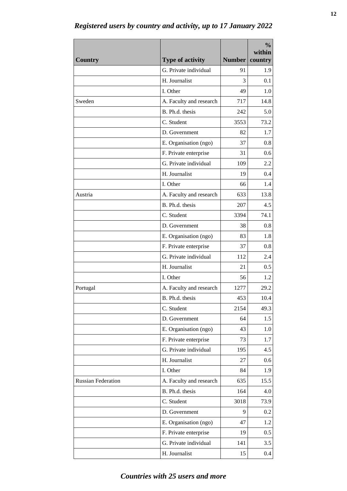| <b>Country</b>            | <b>Type of activity</b>                    | <b>Number</b> | $\frac{0}{0}$<br>within<br>country |
|---------------------------|--------------------------------------------|---------------|------------------------------------|
|                           | G. Private individual                      | 91            | 1.9                                |
|                           | H. Journalist                              | 3             | 0.1                                |
|                           | I. Other                                   | 49            | 1.0                                |
| Sweden                    |                                            |               | 14.8                               |
|                           | A. Faculty and research<br>B. Ph.d. thesis | 717<br>242    | 5.0                                |
|                           | C. Student                                 |               | 73.2                               |
|                           | D. Government                              | 3553<br>82    | 1.7                                |
|                           |                                            |               |                                    |
|                           | E. Organisation (ngo)                      | 37            | 0.8                                |
|                           | F. Private enterprise                      | 31            | 0.6                                |
|                           | G. Private individual                      | 109           | 2.2                                |
|                           | H. Journalist                              | 19            | 0.4                                |
|                           | I. Other                                   | 66            | 1.4                                |
| Austria                   | A. Faculty and research                    | 633           | 13.8                               |
|                           | B. Ph.d. thesis                            | 207           | 4.5                                |
|                           | C. Student                                 | 3394          | 74.1                               |
|                           | D. Government                              | 38            | 0.8                                |
|                           | E. Organisation (ngo)                      | 83            | 1.8                                |
|                           | F. Private enterprise                      | 37            | 0.8                                |
|                           | G. Private individual                      | 112           | 2.4                                |
|                           | H. Journalist                              | 21            | 0.5                                |
|                           | I. Other                                   | 56            | 1.2                                |
| Portugal                  | A. Faculty and research                    | 1277          | 29.2                               |
|                           | B. Ph.d. thesis                            | 453           | $10.4\,$                           |
|                           | C. Student                                 | 2154          | 49.3                               |
|                           | D. Government                              | 64            | 1.5                                |
|                           | E. Organisation (ngo)                      | 43            | 1.0                                |
|                           | F. Private enterprise                      | 73            | 1.7                                |
|                           | G. Private individual                      | 195           | 4.5                                |
|                           | H. Journalist                              | 27            | 0.6                                |
|                           | I. Other                                   | 84            | 1.9                                |
| <b>Russian Federation</b> | A. Faculty and research                    | 635           | 15.5                               |
|                           | B. Ph.d. thesis                            | 164           | 4.0                                |
|                           | C. Student                                 | 3018          | 73.9                               |
|                           | D. Government                              | 9             | 0.2                                |
|                           | E. Organisation (ngo)                      | 47            | 1.2                                |
|                           | F. Private enterprise                      | 19            | 0.5                                |
|                           | G. Private individual                      | 141           | 3.5                                |
|                           | H. Journalist                              | 15            | 0.4                                |

*Registered users by country and activity, up to 17 January 2022*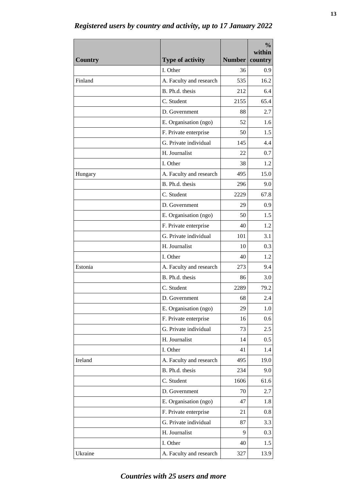| <b>Country</b> | <b>Type of activity</b> | Number | $\frac{0}{0}$<br>within<br>country |
|----------------|-------------------------|--------|------------------------------------|
|                | I. Other                | 36     | 0.9                                |
| Finland        | A. Faculty and research | 535    | 16.2                               |
|                | B. Ph.d. thesis         | 212    | 6.4                                |
|                | C. Student              | 2155   | 65.4                               |
|                | D. Government           | 88     | 2.7                                |
|                | E. Organisation (ngo)   | 52     | 1.6                                |
|                | F. Private enterprise   | 50     | 1.5                                |
|                | G. Private individual   | 145    | 4.4                                |
|                | H. Journalist           | 22     | 0.7                                |
|                | I. Other                | 38     | 1.2                                |
| Hungary        | A. Faculty and research | 495    | 15.0                               |
|                | B. Ph.d. thesis         | 296    | 9.0                                |
|                | C. Student              | 2229   | 67.8                               |
|                | D. Government           | 29     | 0.9                                |
|                | E. Organisation (ngo)   | 50     | 1.5                                |
|                | F. Private enterprise   | 40     | 1.2                                |
|                | G. Private individual   | 101    | 3.1                                |
|                | H. Journalist           | 10     | 0.3                                |
|                | I. Other                | 40     | 1.2                                |
| Estonia        | A. Faculty and research | 273    | 9.4                                |
|                | B. Ph.d. thesis         | 86     | 3.0                                |
|                | C. Student              | 2289   | 79.2                               |
|                | D. Government           | 68     | 2.4                                |
|                | E. Organisation (ngo)   | 29     | 1.0                                |
|                | F. Private enterprise   | 16     | 0.6                                |
|                | G. Private individual   | 73     | 2.5                                |
|                | H. Journalist           | 14     | 0.5                                |
|                | I. Other                | 41     | 1.4                                |
| Ireland        | A. Faculty and research | 495    | 19.0                               |
|                | B. Ph.d. thesis         | 234    | 9.0                                |
|                | C. Student              | 1606   | 61.6                               |
|                | D. Government           | 70     | 2.7                                |
|                | E. Organisation (ngo)   | 47     | 1.8                                |
|                | F. Private enterprise   | 21     | 0.8                                |
|                | G. Private individual   | 87     | 3.3                                |
|                | H. Journalist           | 9      | 0.3                                |
|                | I. Other                | 40     | 1.5                                |
| Ukraine        | A. Faculty and research | 327    | 13.9                               |

*Registered users by country and activity, up to 17 January 2022*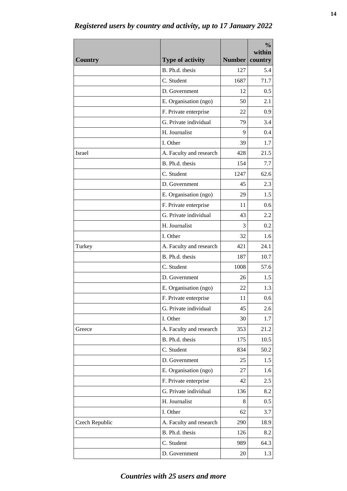|                |                         | <b>Number</b> | $\frac{0}{0}$<br>within |
|----------------|-------------------------|---------------|-------------------------|
| <b>Country</b> | <b>Type of activity</b> |               | country                 |
|                | B. Ph.d. thesis         | 127           | 5.4                     |
|                | C. Student              | 1687          | 71.7                    |
|                | D. Government           | 12            | 0.5                     |
|                | E. Organisation (ngo)   | 50            | 2.1                     |
|                | F. Private enterprise   | 22            | 0.9                     |
|                | G. Private individual   | 79            | 3.4                     |
|                | H. Journalist           | 9             | 0.4                     |
|                | I. Other                | 39            | 1.7                     |
| Israel         | A. Faculty and research | 428           | 21.5                    |
|                | B. Ph.d. thesis         | 154           | 7.7                     |
|                | C. Student              | 1247          | 62.6                    |
|                | D. Government           | 45            | 2.3                     |
|                | E. Organisation (ngo)   | 29            | 1.5                     |
|                | F. Private enterprise   | 11            | 0.6                     |
|                | G. Private individual   | 43            | 2.2                     |
|                | H. Journalist           | 3             | 0.2                     |
|                | I. Other                | 32            | 1.6                     |
| Turkey         | A. Faculty and research | 421           | 24.1                    |
|                | B. Ph.d. thesis         | 187           | 10.7                    |
|                | C. Student              | 1008          | 57.6                    |
|                | D. Government           | 26            | 1.5                     |
|                | E. Organisation (ngo)   | 22            | 1.3                     |
|                | F. Private enterprise   | 11            | 0.6                     |
|                | G. Private individual   | 45            | 2.6                     |
|                | I. Other                | 30            | 1.7                     |
| Greece         | A. Faculty and research | 353           | 21.2                    |
|                | B. Ph.d. thesis         | 175           | 10.5                    |
|                | C. Student              | 834           | 50.2                    |
|                | D. Government           | 25            | 1.5                     |
|                | E. Organisation (ngo)   | 27            | 1.6                     |
|                | F. Private enterprise   | 42            | 2.5                     |
|                | G. Private individual   | 136           | 8.2                     |
|                | H. Journalist           | 8             | 0.5                     |
|                | I. Other                | 62            | 3.7                     |
| Czech Republic | A. Faculty and research | 290           | 18.9                    |
|                | B. Ph.d. thesis         | 126           | 8.2                     |
|                | C. Student              | 989           | 64.3                    |
|                | D. Government           | 20            | 1.3                     |

*Registered users by country and activity, up to 17 January 2022*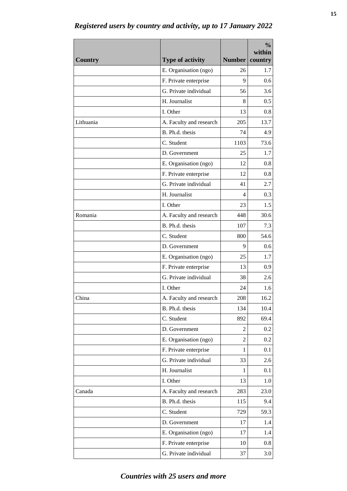| <b>Country</b> | <b>Type of activity</b>                        | Number  | $\frac{0}{0}$<br>within<br>country |
|----------------|------------------------------------------------|---------|------------------------------------|
|                |                                                |         | 1.7                                |
|                | E. Organisation (ngo)                          | 26<br>9 | 0.6                                |
|                | F. Private enterprise<br>G. Private individual | 56      | 3.6                                |
|                | H. Journalist                                  |         |                                    |
|                |                                                | 8       | 0.5                                |
|                | I. Other                                       | 13      | 0.8                                |
| Lithuania      | A. Faculty and research                        | 205     | 13.7                               |
|                | B. Ph.d. thesis                                | 74      | 4.9                                |
|                | C. Student                                     | 1103    | 73.6                               |
|                | D. Government                                  | 25      | 1.7                                |
|                | E. Organisation (ngo)                          | 12      | 0.8                                |
|                | F. Private enterprise                          | 12      | 0.8                                |
|                | G. Private individual                          | 41      | 2.7                                |
|                | H. Journalist                                  | 4       | 0.3                                |
|                | I. Other                                       | 23      | 1.5                                |
| Romania        | A. Faculty and research                        | 448     | 30.6                               |
|                | B. Ph.d. thesis                                | 107     | 7.3                                |
|                | C. Student                                     | 800     | 54.6                               |
|                | D. Government                                  | 9       | 0.6                                |
|                | E. Organisation (ngo)                          | 25      | 1.7                                |
|                | F. Private enterprise                          | 13      | 0.9                                |
|                | G. Private individual                          | 38      | 2.6                                |
|                | I. Other                                       | 24      | 1.6                                |
| China          | A. Faculty and research                        | 208     | 16.2                               |
|                | B. Ph.d. thesis                                | 134     | 10.4                               |
|                | C. Student                                     | 892     | 69.4                               |
|                | D. Government                                  | 2       | 0.2                                |
|                | E. Organisation (ngo)                          | 2       | 0.2                                |
|                | F. Private enterprise                          | 1       | 0.1                                |
|                | G. Private individual                          | 33      | 2.6                                |
|                | H. Journalist                                  | 1       | 0.1                                |
|                | I. Other                                       | 13      | 1.0                                |
| Canada         | A. Faculty and research                        | 283     | 23.0                               |
|                | B. Ph.d. thesis                                | 115     | 9.4                                |
|                | C. Student                                     | 729     | 59.3                               |
|                | D. Government                                  | 17      | 1.4                                |
|                | E. Organisation (ngo)                          | 17      | 1.4                                |
|                | F. Private enterprise                          | 10      | 0.8                                |
|                | G. Private individual                          | 37      | 3.0                                |

*Registered users by country and activity, up to 17 January 2022*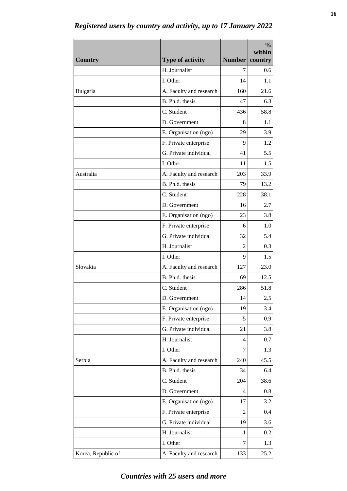| <b>Country</b>     | <b>Type of activity</b> | <b>Number</b> | $\frac{0}{0}$<br>within<br>country |
|--------------------|-------------------------|---------------|------------------------------------|
|                    | H. Journalist           | 7             | 0.6                                |
|                    | I. Other                | 14            | 1.1                                |
| Bulgaria           | A. Faculty and research | 160           | 21.6                               |
|                    | B. Ph.d. thesis         | 47            | 6.3                                |
|                    | C. Student              | 436           | 58.8                               |
|                    | D. Government           | 8             | 1.1                                |
|                    | E. Organisation (ngo)   | 29            | 3.9                                |
|                    | F. Private enterprise   | 9             | 1.2                                |
|                    | G. Private individual   | 41            | 5.5                                |
|                    | I. Other                | 11            | 1.5                                |
| Australia          | A. Faculty and research | 203           | 33.9                               |
|                    | B. Ph.d. thesis         | 79            | 13.2                               |
|                    | C. Student              | 228           | 38.1                               |
|                    | D. Government           | 16            | 2.7                                |
|                    | E. Organisation (ngo)   | 23            | 3.8                                |
|                    | F. Private enterprise   | 6             | 1.0                                |
|                    | G. Private individual   | 32            | 5.4                                |
|                    | H. Journalist           | 2             | 0.3                                |
|                    | I. Other                | 9             | 1.5                                |
| Slovakia           | A. Faculty and research | 127           | 23.0                               |
|                    | B. Ph.d. thesis         | 69            | 12.5                               |
|                    | C. Student              | 286           | 51.8                               |
|                    | D. Government           | 14            | $2.5\,$                            |
|                    | E. Organisation (ngo)   | 19            | 3.4                                |
|                    | F. Private enterprise   | 5             | 0.9                                |
|                    | G. Private individual   | 21            | 3.8                                |
|                    | H. Journalist           | 4             | 0.7                                |
|                    | I. Other                | 7             | 1.3                                |
| Serbia             | A. Faculty and research | 240           | 45.5                               |
|                    | B. Ph.d. thesis         | 34            | 6.4                                |
|                    | C. Student              | 204           | 38.6                               |
|                    | D. Government           | 4             | 0.8                                |
|                    | E. Organisation (ngo)   | 17            | 3.2                                |
|                    | F. Private enterprise   | 2             | 0.4                                |
|                    | G. Private individual   | 19            | 3.6                                |
|                    | H. Journalist           | 1             | 0.2                                |
|                    | I. Other                | 7             | 1.3                                |
| Korea, Republic of | A. Faculty and research | 133           | 25.2                               |

*Registered users by country and activity, up to 17 January 2022*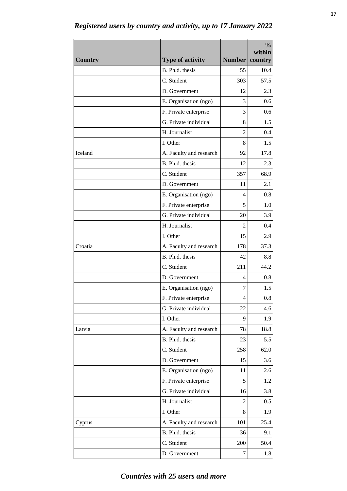| <b>Country</b> | <b>Type of activity</b> | <b>Number</b>  | $\frac{0}{0}$<br>within<br>country |
|----------------|-------------------------|----------------|------------------------------------|
|                | B. Ph.d. thesis         | 55             | 10.4                               |
|                | C. Student              | 303            | 57.5                               |
|                | D. Government           | 12             | 2.3                                |
|                | E. Organisation (ngo)   | 3              | 0.6                                |
|                | F. Private enterprise   | 3              | 0.6                                |
|                | G. Private individual   | 8              | 1.5                                |
|                | H. Journalist           | 2              | 0.4                                |
|                | I. Other                | 8              | 1.5                                |
| Iceland        | A. Faculty and research | 92             | 17.8                               |
|                | B. Ph.d. thesis         | 12             | 2.3                                |
|                | C. Student              | 357            | 68.9                               |
|                | D. Government           | 11             | 2.1                                |
|                | E. Organisation (ngo)   | 4              | 0.8                                |
|                | F. Private enterprise   | 5              | 1.0                                |
|                | G. Private individual   | 20             | 3.9                                |
|                | H. Journalist           | 2              | 0.4                                |
|                | I. Other                | 15             | 2.9                                |
| Croatia        | A. Faculty and research | 178            | 37.3                               |
|                | B. Ph.d. thesis         | 42             | 8.8                                |
|                | C. Student              | 211            | 44.2                               |
|                | D. Government           | 4              | 0.8                                |
|                | E. Organisation (ngo)   | 7              | 1.5                                |
|                | F. Private enterprise   | 4              | 0.8                                |
|                | G. Private individual   | 22             | 4.6                                |
|                | I. Other                | 9              | 1.9                                |
| Latvia         | A. Faculty and research | 78             | 18.8                               |
|                | B. Ph.d. thesis         | 23             | 5.5                                |
|                | C. Student              | 258            | 62.0                               |
|                | D. Government           | 15             | 3.6                                |
|                | E. Organisation (ngo)   | 11             | 2.6                                |
|                | F. Private enterprise   | 5              | 1.2                                |
|                | G. Private individual   | 16             | 3.8                                |
|                | H. Journalist           | $\overline{2}$ | 0.5                                |
|                | I. Other                | 8              | 1.9                                |
| Cyprus         | A. Faculty and research | 101            | 25.4                               |
|                | B. Ph.d. thesis         | 36             | 9.1                                |
|                | C. Student              | 200            | 50.4                               |
|                | D. Government           | 7              | 1.8                                |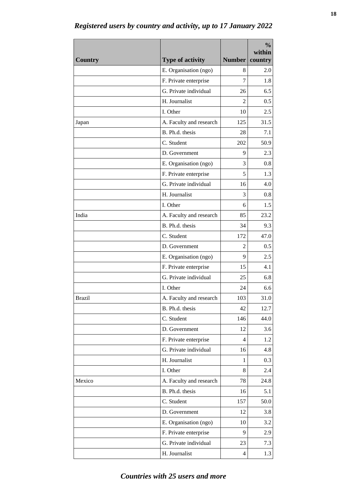| <b>Country</b> | <b>Type of activity</b> | Number         | $\frac{0}{0}$<br>within<br>country |
|----------------|-------------------------|----------------|------------------------------------|
|                | E. Organisation (ngo)   | 8              | 2.0                                |
|                | F. Private enterprise   | 7              | 1.8                                |
|                | G. Private individual   | 26             | 6.5                                |
|                | H. Journalist           | $\mathfrak{D}$ | 0.5                                |
|                | I. Other                | 10             | 2.5                                |
| Japan          | A. Faculty and research | 125            | 31.5                               |
|                | B. Ph.d. thesis         | 28             | 7.1                                |
|                | C. Student              | 202            | 50.9                               |
|                | D. Government           | 9              | 2.3                                |
|                | E. Organisation (ngo)   | 3              | 0.8                                |
|                | F. Private enterprise   | 5              | 1.3                                |
|                | G. Private individual   | 16             | 4.0                                |
|                | H. Journalist           | 3              | 0.8                                |
|                | I. Other                | 6              | 1.5                                |
| India          | A. Faculty and research | 85             | 23.2                               |
|                | B. Ph.d. thesis         | 34             | 9.3                                |
|                | C. Student              | 172            | 47.0                               |
|                | D. Government           | 2              | 0.5                                |
|                | E. Organisation (ngo)   | 9              | 2.5                                |
|                | F. Private enterprise   | 15             | 4.1                                |
|                | G. Private individual   | 25             | 6.8                                |
|                | I. Other                | 24             | 6.6                                |
| <b>Brazil</b>  | A. Faculty and research | 103            | 31.0                               |
|                | B. Ph.d. thesis         | 42             | 12.7                               |
|                | C. Student              | 146            | 44.0                               |
|                | D. Government           | 12             | 3.6                                |
|                | F. Private enterprise   | 4              | 1.2                                |
|                | G. Private individual   | 16             | 4.8                                |
|                | H. Journalist           | 1              | 0.3                                |
|                | I. Other                | 8              | 2.4                                |
| Mexico         | A. Faculty and research | 78             | 24.8                               |
|                | B. Ph.d. thesis         | 16             | 5.1                                |
|                | C. Student              | 157            | 50.0                               |
|                | D. Government           | 12             | 3.8                                |
|                | E. Organisation (ngo)   | 10             | 3.2                                |
|                | F. Private enterprise   | 9              | 2.9                                |
|                | G. Private individual   | 23             | 7.3                                |
|                | H. Journalist           | $\overline{4}$ | 1.3                                |

*Registered users by country and activity, up to 17 January 2022*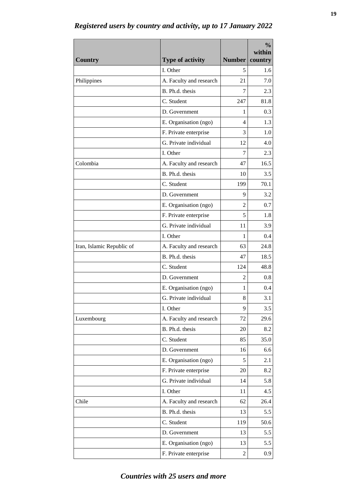| <b>Country</b>            | <b>Type of activity</b>                | Number         | $\frac{0}{0}$<br>within<br>country |
|---------------------------|----------------------------------------|----------------|------------------------------------|
|                           | I. Other                               | 5              | 1.6                                |
| Philippines               | A. Faculty and research                | 21             | 7.0                                |
|                           | B. Ph.d. thesis                        | 7              | 2.3                                |
|                           | C. Student                             | 247            | 81.8                               |
|                           | D. Government                          | 1              | 0.3                                |
|                           | E. Organisation (ngo)                  | 4              | 1.3                                |
|                           | F. Private enterprise                  | 3              | 1.0                                |
|                           | G. Private individual                  | 12             | 4.0                                |
|                           | I. Other                               | 7              | 2.3                                |
| Colombia                  | A. Faculty and research                | 47             | 16.5                               |
|                           | B. Ph.d. thesis                        | 10             | 3.5                                |
|                           | C. Student                             | 199            | 70.1                               |
|                           |                                        | 9              | 3.2                                |
|                           | D. Government<br>E. Organisation (ngo) | 2              | 0.7                                |
|                           |                                        | 5              | 1.8                                |
|                           | F. Private enterprise                  |                |                                    |
|                           | G. Private individual                  | 11<br>1        | 3.9                                |
|                           | I. Other                               |                | 0.4                                |
| Iran, Islamic Republic of | A. Faculty and research                | 63             | 24.8                               |
|                           | B. Ph.d. thesis                        | 47             | 18.5                               |
|                           | C. Student                             | 124            | 48.8                               |
|                           | D. Government                          | $\overline{2}$ | 0.8                                |
|                           | E. Organisation (ngo)                  | 1              | 0.4                                |
|                           | G. Private individual                  | 8              | 3.1                                |
|                           | I. Other                               | 9              | 3.5                                |
| Luxembourg                | A. Faculty and research                | 72             | 29.6                               |
|                           | B. Ph.d. thesis                        | 20             | 8.2                                |
|                           | C. Student                             | 85             | 35.0                               |
|                           | D. Government                          | 16             | 6.6                                |
|                           | E. Organisation (ngo)                  | 5              | 2.1                                |
|                           | F. Private enterprise                  | 20             | 8.2                                |
|                           | G. Private individual                  | 14             | 5.8                                |
|                           | I. Other                               | 11             | 4.5                                |
| Chile                     | A. Faculty and research                | 62             | 26.4                               |
|                           | B. Ph.d. thesis                        | 13             | 5.5                                |
|                           | C. Student                             | 119            | 50.6                               |
|                           | D. Government                          | 13             | 5.5                                |
|                           | E. Organisation (ngo)                  | 13             | 5.5                                |
|                           | F. Private enterprise                  | $\overline{2}$ | 0.9                                |

*Registered users by country and activity, up to 17 January 2022*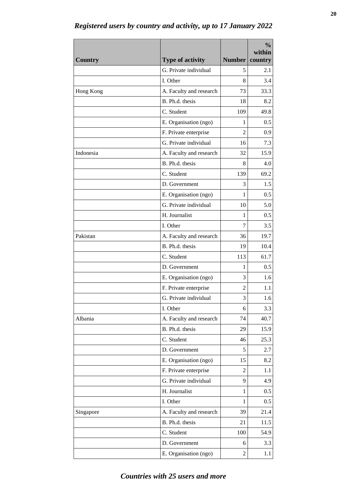| <b>Country</b> | <b>Type of activity</b> | Number         | $\frac{0}{0}$<br>within<br>country |
|----------------|-------------------------|----------------|------------------------------------|
|                | G. Private individual   | 5              | 2.1                                |
|                | I. Other                | 8              | 3.4                                |
|                |                         | 73             | 33.3                               |
| Hong Kong      | A. Faculty and research |                |                                    |
|                | B. Ph.d. thesis         | 18             | 8.2                                |
|                | C. Student              | 109            | 49.8                               |
|                | E. Organisation (ngo)   | 1              | 0.5                                |
|                | F. Private enterprise   | $\mathfrak{D}$ | 0.9                                |
|                | G. Private individual   | 16             | 7.3                                |
| Indonesia      | A. Faculty and research | 32             | 15.9                               |
|                | B. Ph.d. thesis         | 8              | 4.0                                |
|                | C. Student              | 139            | 69.2                               |
|                | D. Government           | 3              | 1.5                                |
|                | E. Organisation (ngo)   | 1              | 0.5                                |
|                | G. Private individual   | 10             | 5.0                                |
|                | H. Journalist           | 1              | 0.5                                |
|                | I. Other                | 7              | 3.5                                |
| Pakistan       | A. Faculty and research | 36             | 19.7                               |
|                | B. Ph.d. thesis         | 19             | 10.4                               |
|                | C. Student              | 113            | 61.7                               |
|                | D. Government           | 1              | 0.5                                |
|                | E. Organisation (ngo)   | 3              | 1.6                                |
|                | F. Private enterprise   | 2              | 1.1                                |
|                | G. Private individual   | 3              | $1.6\,$                            |
|                | I. Other                | 6              | 3.3                                |
| Albania        | A. Faculty and research | 74             | 40.7                               |
|                | B. Ph.d. thesis         | 29             | 15.9                               |
|                | C. Student              | 46             | 25.3                               |
|                | D. Government           | 5              | 2.7                                |
|                | E. Organisation (ngo)   | 15             | 8.2                                |
|                | F. Private enterprise   | 2              | 1.1                                |
|                | G. Private individual   | 9              | 4.9                                |
|                | H. Journalist           | 1              | 0.5                                |
|                | I. Other                | 1              | 0.5                                |
| Singapore      | A. Faculty and research | 39             | 21.4                               |
|                | B. Ph.d. thesis         | 21             | 11.5                               |
|                | C. Student              | 100            | 54.9                               |
|                | D. Government           | 6              | 3.3                                |
|                | E. Organisation (ngo)   | $\overline{2}$ | 1.1                                |
|                |                         |                |                                    |

*Registered users by country and activity, up to 17 January 2022*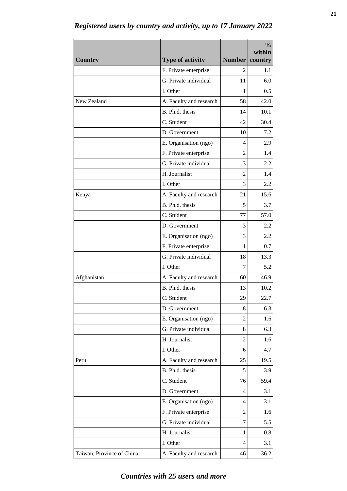| <b>Country</b>            | <b>Type of activity</b> | <b>Number</b>  | $\frac{0}{0}$<br>within<br>country |
|---------------------------|-------------------------|----------------|------------------------------------|
|                           | F. Private enterprise   | $\mathfrak{D}$ | 1.1                                |
|                           | G. Private individual   | 11             | 6.0                                |
|                           | I. Other                | 1              | 0.5                                |
| New Zealand               | A. Faculty and research | 58             | 42.0                               |
|                           | B. Ph.d. thesis         | 14             | 10.1                               |
|                           | C. Student              | 42             | 30.4                               |
|                           | D. Government           | 10             | 7.2                                |
|                           | E. Organisation (ngo)   | 4              | 2.9                                |
|                           | F. Private enterprise   | 2              | 1.4                                |
|                           | G. Private individual   | 3              | 2.2                                |
|                           | H. Journalist           | $\overline{2}$ | 1.4                                |
|                           | I. Other                | 3              | 2.2                                |
| Kenya                     | A. Faculty and research | 21             | 15.6                               |
|                           | B. Ph.d. thesis         | 5              | 3.7                                |
|                           | C. Student              | 77             | 57.0                               |
|                           | D. Government           | 3              | 2.2                                |
|                           | E. Organisation (ngo)   | 3              | 2.2                                |
|                           | F. Private enterprise   | 1              | 0.7                                |
|                           | G. Private individual   | 18             | 13.3                               |
|                           | I. Other                | 7              | 5.2                                |
| Afghanistan               | A. Faculty and research | 60             | 46.9                               |
|                           | B. Ph.d. thesis         | 13             | 10.2                               |
|                           | C. Student              | 29             | 22.7                               |
|                           | D. Government           | 8              | 6.3                                |
|                           | E. Organisation (ngo)   | $\overline{2}$ | 1.6                                |
|                           | G. Private individual   | 8              | 6.3                                |
|                           | H. Journalist           | 2              | 1.6                                |
|                           | I. Other                | 6              | 4.7                                |
| Peru                      | A. Faculty and research | 25             | 19.5                               |
|                           | B. Ph.d. thesis         | 5              | 3.9                                |
|                           | C. Student              | 76             | 59.4                               |
|                           | D. Government           | 4              | 3.1                                |
|                           | E. Organisation (ngo)   | 4              | 3.1                                |
|                           | F. Private enterprise   | 2              | 1.6                                |
|                           | G. Private individual   | 7              | 5.5                                |
|                           | H. Journalist           | 1              | 0.8                                |
|                           | I. Other                | 4              | 3.1                                |
| Taiwan, Province of China | A. Faculty and research | 46             | 36.2                               |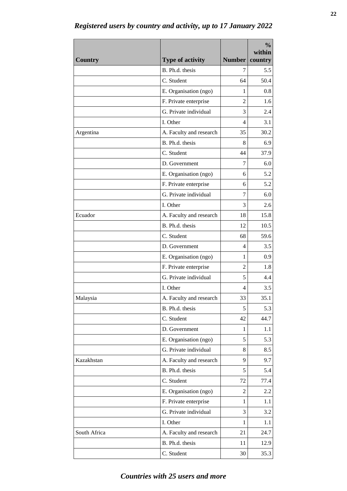| <b>Country</b> | <b>Type of activity</b> | Number         | $\frac{0}{0}$<br>within<br>country |
|----------------|-------------------------|----------------|------------------------------------|
|                | B. Ph.d. thesis         | 7              | 5.5                                |
|                | C. Student              | 64             | 50.4                               |
|                | E. Organisation (ngo)   | 1              | 0.8                                |
|                | F. Private enterprise   | $\mathfrak{D}$ | 1.6                                |
|                | G. Private individual   | 3              | 2.4                                |
|                | I. Other                | 4              | 3.1                                |
| Argentina      | A. Faculty and research | 35             | 30.2                               |
|                | B. Ph.d. thesis         | 8              | 6.9                                |
|                | C. Student              | 44             | 37.9                               |
|                | D. Government           | 7              | 6.0                                |
|                | E. Organisation (ngo)   | 6              | 5.2                                |
|                | F. Private enterprise   | 6              | 5.2                                |
|                | G. Private individual   | 7              | 6.0                                |
|                | I. Other                | 3              | 2.6                                |
| Ecuador        | A. Faculty and research | 18             | 15.8                               |
|                | B. Ph.d. thesis         | 12             | 10.5                               |
|                | C. Student              | 68             | 59.6                               |
|                | D. Government           | 4              | 3.5                                |
|                | E. Organisation (ngo)   | 1              | 0.9                                |
|                | F. Private enterprise   | 2              | 1.8                                |
|                | G. Private individual   | 5              | 4.4                                |
|                | I. Other                | 4              | 3.5                                |
| Malaysia       | A. Faculty and research | 33             | 35.1                               |
|                | B. Ph.d. thesis         | 5              | 5.3                                |
|                | C. Student              | 42             | 44.7                               |
|                | D. Government           | 1              | 1.1                                |
|                | E. Organisation (ngo)   | 5              | 5.3                                |
|                | G. Private individual   | 8              | 8.5                                |
| Kazakhstan     | A. Faculty and research | 9              | 9.7                                |
|                | B. Ph.d. thesis         | 5              | 5.4                                |
|                | C. Student              | 72             | 77.4                               |
|                | E. Organisation (ngo)   | 2              | 2.2                                |
|                | F. Private enterprise   | 1              | 1.1                                |
|                | G. Private individual   | 3              | 3.2                                |
|                | I. Other                | $\mathbf{1}$   | 1.1                                |
| South Africa   | A. Faculty and research | 21             | 24.7                               |
|                | B. Ph.d. thesis         | 11             | 12.9                               |
|                | C. Student              | 30             | 35.3                               |

*Registered users by country and activity, up to 17 January 2022*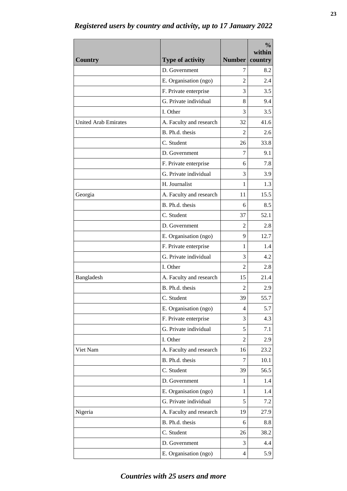| <b>Country</b>              | <b>Type of activity</b> | Number         | $\frac{0}{0}$<br>within<br>country |
|-----------------------------|-------------------------|----------------|------------------------------------|
|                             | D. Government           | 7              | 8.2                                |
|                             | E. Organisation (ngo)   | $\overline{2}$ | 2.4                                |
|                             | F. Private enterprise   | 3              | 3.5                                |
|                             | G. Private individual   | 8              | 9.4                                |
|                             | I. Other                | 3              | 3.5                                |
| <b>United Arab Emirates</b> | A. Faculty and research | 32             | 41.6                               |
|                             | B. Ph.d. thesis         | 2              | 2.6                                |
|                             | C. Student              | 26             | 33.8                               |
|                             | D. Government           | 7              | 9.1                                |
|                             | F. Private enterprise   | 6              | 7.8                                |
|                             | G. Private individual   | 3              | 3.9                                |
|                             | H. Journalist           | 1              | 1.3                                |
| Georgia                     | A. Faculty and research | 11             | 15.5                               |
|                             | B. Ph.d. thesis         | 6              | 8.5                                |
|                             | C. Student              | 37             | 52.1                               |
|                             | D. Government           | $\mathfrak{D}$ | 2.8                                |
|                             | E. Organisation (ngo)   | 9              | 12.7                               |
|                             | F. Private enterprise   | 1              | 1.4                                |
|                             | G. Private individual   | 3              | 4.2                                |
|                             | I. Other                | 2              | 2.8                                |
| Bangladesh                  | A. Faculty and research | 15             | 21.4                               |
|                             | B. Ph.d. thesis         | 2              | 2.9                                |
|                             | C. Student              | 39             | 55.7                               |
|                             | E. Organisation (ngo)   | 4              | 5.7                                |
|                             | F. Private enterprise   | 3              | 4.3                                |
|                             | G. Private individual   | 5              | 7.1                                |
|                             | I. Other                | 2              | 2.9                                |
| Viet Nam                    | A. Faculty and research | 16             | 23.2                               |
|                             | B. Ph.d. thesis         | 7              | 10.1                               |
|                             | C. Student              | 39             | 56.5                               |
|                             | D. Government           | 1              | 1.4                                |
|                             | E. Organisation (ngo)   | 1              | 1.4                                |
|                             | G. Private individual   | 5              | 7.2                                |
| Nigeria                     | A. Faculty and research | 19             | 27.9                               |
|                             | B. Ph.d. thesis         | 6              | 8.8                                |
|                             | C. Student              | 26             | 38.2                               |
|                             | D. Government           | 3              | 4.4                                |
|                             | E. Organisation (ngo)   | $\overline{4}$ | 5.9                                |

*Registered users by country and activity, up to 17 January 2022*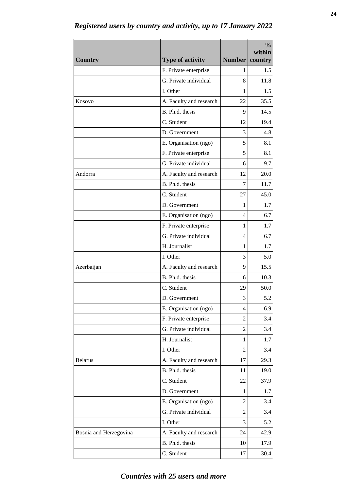| <b>Country</b>         | <b>Type of activity</b> | <b>Number</b>  | $\frac{0}{0}$<br>within<br>country |
|------------------------|-------------------------|----------------|------------------------------------|
|                        | F. Private enterprise   | 1              | 1.5                                |
|                        | G. Private individual   | 8              | 11.8                               |
|                        | I. Other                | 1              | 1.5                                |
| Kosovo                 | A. Faculty and research | 22             | 35.5                               |
|                        | B. Ph.d. thesis         | 9              | 14.5                               |
|                        | C. Student              | 12             | 19.4                               |
|                        | D. Government           | 3              | 4.8                                |
|                        | E. Organisation (ngo)   | 5              | 8.1                                |
|                        | F. Private enterprise   | 5              | 8.1                                |
|                        | G. Private individual   | 6              | 9.7                                |
| Andorra                | A. Faculty and research | 12             | 20.0                               |
|                        | B. Ph.d. thesis         | 7              | 11.7                               |
|                        | C. Student              | 27             | 45.0                               |
|                        | D. Government           | 1              | 1.7                                |
|                        | E. Organisation (ngo)   | 4              | 6.7                                |
|                        | F. Private enterprise   | 1              | 1.7                                |
|                        | G. Private individual   | 4              | 6.7                                |
|                        | H. Journalist           | 1              | 1.7                                |
|                        | I. Other                | 3              | 5.0                                |
| Azerbaijan             | A. Faculty and research | 9              | 15.5                               |
|                        | B. Ph.d. thesis         | 6              | 10.3                               |
|                        | C. Student              | 29             | 50.0                               |
|                        | D. Government           | 3              | 5.2                                |
|                        | E. Organisation (ngo)   | 4              | 6.9                                |
|                        | F. Private enterprise   | 2              | 3.4                                |
|                        | G. Private individual   | 2              | 3.4                                |
|                        | H. Journalist           | 1              | 1.7                                |
|                        | I. Other                | 2              | 3.4                                |
| <b>Belarus</b>         | A. Faculty and research | 17             | 29.3                               |
|                        | B. Ph.d. thesis         | 11             | 19.0                               |
|                        | C. Student              | 22             | 37.9                               |
|                        | D. Government           | 1              | 1.7                                |
|                        | E. Organisation (ngo)   | $\overline{2}$ | 3.4                                |
|                        | G. Private individual   | $\overline{2}$ | 3.4                                |
|                        | I. Other                | 3              | 5.2                                |
| Bosnia and Herzegovina | A. Faculty and research | 24             | 42.9                               |
|                        | B. Ph.d. thesis         | 10             | 17.9                               |
|                        | C. Student              | 17             | 30.4                               |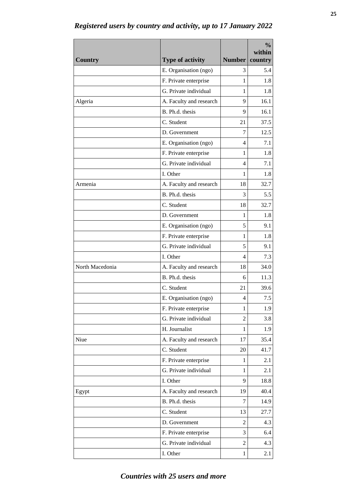| <b>Country</b>  | <b>Type of activity</b> | Number         | $\frac{0}{0}$<br>within<br>country |
|-----------------|-------------------------|----------------|------------------------------------|
|                 | E. Organisation (ngo)   | 3              | 5.4                                |
|                 | F. Private enterprise   | 1              | 1.8                                |
|                 | G. Private individual   | 1              | 1.8                                |
| Algeria         | A. Faculty and research | 9              | 16.1                               |
|                 | B. Ph.d. thesis         | 9              | 16.1                               |
|                 | C. Student              | 21             | 37.5                               |
|                 | D. Government           | 7              | 12.5                               |
|                 | E. Organisation (ngo)   | 4              | 7.1                                |
|                 | F. Private enterprise   | 1              | 1.8                                |
|                 | G. Private individual   | 4              | 7.1                                |
|                 | I. Other                | 1              | 1.8                                |
| Armenia         | A. Faculty and research | 18             | 32.7                               |
|                 | B. Ph.d. thesis         | 3              | 5.5                                |
|                 | C. Student              | 18             | 32.7                               |
|                 | D. Government           | 1              | 1.8                                |
|                 | E. Organisation (ngo)   | 5              | 9.1                                |
|                 | F. Private enterprise   | 1              | 1.8                                |
|                 | G. Private individual   | 5              | 9.1                                |
|                 | I. Other                | 4              | 7.3                                |
| North Macedonia | A. Faculty and research | 18             | 34.0                               |
|                 | B. Ph.d. thesis         | 6              | 11.3                               |
|                 | C. Student              | 21             | 39.6                               |
|                 | E. Organisation (ngo)   | 4              | $7.5\,$                            |
|                 | F. Private enterprise   | 1              | 1.9                                |
|                 | G. Private individual   | 2              | 3.8                                |
|                 | H. Journalist           | 1              | 1.9                                |
| Niue            | A. Faculty and research | 17             | 35.4                               |
|                 | C. Student              | 20             | 41.7                               |
|                 | F. Private enterprise   | 1              | 2.1                                |
|                 | G. Private individual   | 1              | 2.1                                |
|                 | I. Other                | 9              | 18.8                               |
| Egypt           | A. Faculty and research | 19             | 40.4                               |
|                 | B. Ph.d. thesis         | 7              | 14.9                               |
|                 | C. Student              | 13             | 27.7                               |
|                 | D. Government           | 2              | 4.3                                |
|                 | F. Private enterprise   | 3              | 6.4                                |
|                 | G. Private individual   | $\overline{2}$ | 4.3                                |
|                 | I. Other                | 1              | 2.1                                |

*Registered users by country and activity, up to 17 January 2022*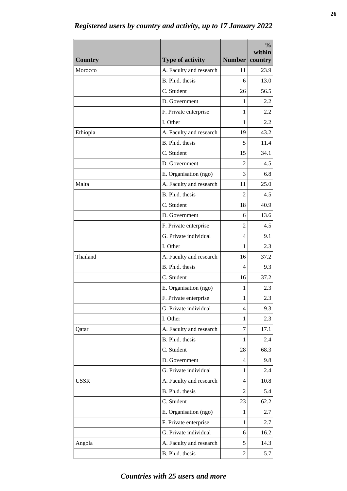| <b>Country</b> | <b>Type of activity</b>                    | <b>Number</b>  | $\frac{0}{0}$<br>within<br>country |
|----------------|--------------------------------------------|----------------|------------------------------------|
| Morocco        |                                            |                |                                    |
|                | A. Faculty and research<br>B. Ph.d. thesis | 11<br>6        | 23.9                               |
|                | C. Student                                 | 26             | 13.0<br>56.5                       |
|                |                                            |                |                                    |
|                | D. Government                              | 1              | 2.2                                |
|                | F. Private enterprise                      | 1              | 2.2                                |
|                | I. Other                                   | 1              | 2.2                                |
| Ethiopia       | A. Faculty and research                    | 19             | 43.2                               |
|                | B. Ph.d. thesis                            | 5              | 11.4                               |
|                | C. Student                                 | 15             | 34.1                               |
|                | D. Government                              | $\mathfrak{D}$ | 4.5                                |
|                | E. Organisation (ngo)                      | 3              | 6.8                                |
| Malta          | A. Faculty and research                    | 11             | 25.0                               |
|                | B. Ph.d. thesis                            | 2              | 4.5                                |
|                | C. Student                                 | 18             | 40.9                               |
|                | D. Government                              | 6              | 13.6                               |
|                | F. Private enterprise                      | 2              | 4.5                                |
|                | G. Private individual                      | 4              | 9.1                                |
|                | I. Other                                   | 1              | 2.3                                |
| Thailand       | A. Faculty and research                    | 16             | 37.2                               |
|                | B. Ph.d. thesis                            | 4              | 9.3                                |
|                | C. Student                                 | 16             | 37.2                               |
|                | E. Organisation (ngo)                      | 1              | 2.3                                |
|                | F. Private enterprise                      | 1              | 2.3                                |
|                | G. Private individual                      | 4              | 9.3                                |
|                | I. Other                                   | 1              | 2.3                                |
| Qatar          | A. Faculty and research                    | 7              | 17.1                               |
|                | B. Ph.d. thesis                            | 1              | 2.4                                |
|                | C. Student                                 | 28             | 68.3                               |
|                | D. Government                              | 4              | 9.8                                |
|                | G. Private individual                      | 1              | 2.4                                |
| <b>USSR</b>    | A. Faculty and research                    | 4              | 10.8                               |
|                | B. Ph.d. thesis                            | 2              | 5.4                                |
|                | C. Student                                 | 23             | 62.2                               |
|                | E. Organisation (ngo)                      | 1              | 2.7                                |
|                | F. Private enterprise                      | 1              | 2.7                                |
|                | G. Private individual                      | 6              | 16.2                               |
| Angola         | A. Faculty and research                    | 5              | 14.3                               |
|                | B. Ph.d. thesis                            | 2              | 5.7                                |

*Registered users by country and activity, up to 17 January 2022*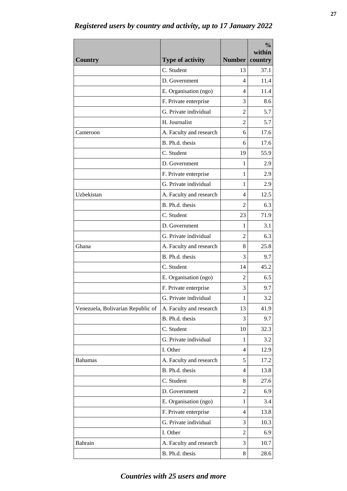| <b>Country</b>                    | <b>Type of activity</b> | Number         | $\frac{0}{0}$<br>within<br>country |
|-----------------------------------|-------------------------|----------------|------------------------------------|
|                                   | C. Student              | 13             | 37.1                               |
|                                   | D. Government           | 4              | 11.4                               |
|                                   | E. Organisation (ngo)   | 4              | 11.4                               |
|                                   | F. Private enterprise   | 3              | 8.6                                |
|                                   | G. Private individual   | 2              | 5.7                                |
|                                   | H. Journalist           | 2              | 5.7                                |
| Cameroon                          | A. Faculty and research | 6              | 17.6                               |
|                                   | B. Ph.d. thesis         | 6              | 17.6                               |
|                                   | C. Student              | 19             | 55.9                               |
|                                   | D. Government           | 1              | 2.9                                |
|                                   | F. Private enterprise   | 1              | 2.9                                |
|                                   | G. Private individual   | 1              | 2.9                                |
| Uzbekistan                        | A. Faculty and research | 4              | 12.5                               |
|                                   | B. Ph.d. thesis         | $\mathfrak{D}$ | 6.3                                |
|                                   | C. Student              | 23             | 71.9                               |
|                                   | D. Government           | 1              | 3.1                                |
|                                   | G. Private individual   | 2              | 6.3                                |
| Ghana                             | A. Faculty and research | 8              | 25.8                               |
|                                   | B. Ph.d. thesis         | 3              | 9.7                                |
|                                   | C. Student              | 14             | 45.2                               |
|                                   | E. Organisation (ngo)   | 2              | 6.5                                |
|                                   | F. Private enterprise   | 3              | 9.7                                |
|                                   | G. Private individual   | 1              | 3.2                                |
| Venezuela, Bolivarian Republic of | A. Faculty and research | 13             | 41.9                               |
|                                   | B. Ph.d. thesis         | 3              | 9.7                                |
|                                   | C. Student              | 10             | 32.3                               |
|                                   | G. Private individual   | 1              | 3.2                                |
|                                   | I. Other                | 4              | 12.9                               |
| <b>Bahamas</b>                    | A. Faculty and research | 5              | 17.2                               |
|                                   | B. Ph.d. thesis         | 4              | 13.8                               |
|                                   | C. Student              | 8              | 27.6                               |
|                                   | D. Government           | 2              | 6.9                                |
|                                   | E. Organisation (ngo)   | 1              | 3.4                                |
|                                   | F. Private enterprise   | 4              | 13.8                               |
|                                   | G. Private individual   | 3              | 10.3                               |
|                                   | I. Other                | $\overline{2}$ | 6.9                                |
| Bahrain                           | A. Faculty and research | 3              | 10.7                               |
|                                   | B. Ph.d. thesis         | 8              | 28.6                               |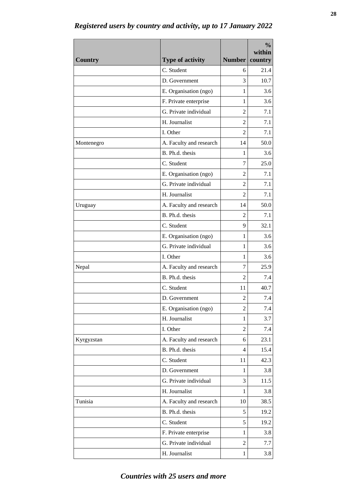| <b>Country</b> | <b>Type of activity</b> | Number         | $\frac{0}{0}$<br>within<br>country |
|----------------|-------------------------|----------------|------------------------------------|
|                | C. Student              | 6              | 21.4                               |
|                | D. Government           | 3              | 10.7                               |
|                | E. Organisation (ngo)   | 1              | 3.6                                |
|                | F. Private enterprise   | 1              | 3.6                                |
|                | G. Private individual   | 2              | 7.1                                |
|                | H. Journalist           | 2              | 7.1                                |
|                | I. Other                | 2              | 7.1                                |
| Montenegro     | A. Faculty and research | 14             | 50.0                               |
|                | B. Ph.d. thesis         | 1              | 3.6                                |
|                | C. Student              | 7              | 25.0                               |
|                | E. Organisation (ngo)   | $\mathfrak{D}$ | 7.1                                |
|                | G. Private individual   | 2              | 7.1                                |
|                | H. Journalist           | 2              | 7.1                                |
| Uruguay        | A. Faculty and research | 14             | 50.0                               |
|                | B. Ph.d. thesis         | 2              | 7.1                                |
|                | C. Student              | 9              | 32.1                               |
|                | E. Organisation (ngo)   | 1              | 3.6                                |
|                | G. Private individual   | 1              | 3.6                                |
|                | I. Other                | 1              | 3.6                                |
| Nepal          | A. Faculty and research | 7              | 25.9                               |
|                | B. Ph.d. thesis         | $\overline{c}$ | 7.4                                |
|                | C. Student              | 11             | 40.7                               |
|                | D. Government           | $\overline{c}$ | 7.4                                |
|                | E. Organisation (ngo)   | $\overline{2}$ | 7.4                                |
|                | H. Journalist           | 1              | 3.7                                |
|                | I. Other                | 2              | 7.4                                |
| Kyrgyzstan     | A. Faculty and research | 6              | 23.1                               |
|                | B. Ph.d. thesis         | 4              | 15.4                               |
|                | C. Student              | 11             | 42.3                               |
|                | D. Government           | 1              | 3.8                                |
|                | G. Private individual   | 3              | 11.5                               |
|                | H. Journalist           | 1              | 3.8                                |
| Tunisia        | A. Faculty and research | 10             | 38.5                               |
|                | B. Ph.d. thesis         | 5              | 19.2                               |
|                | C. Student              | 5              | 19.2                               |
|                | F. Private enterprise   | 1              | 3.8                                |
|                | G. Private individual   | $\overline{c}$ | 7.7                                |
|                | H. Journalist           | $\mathbf{1}$   | 3.8                                |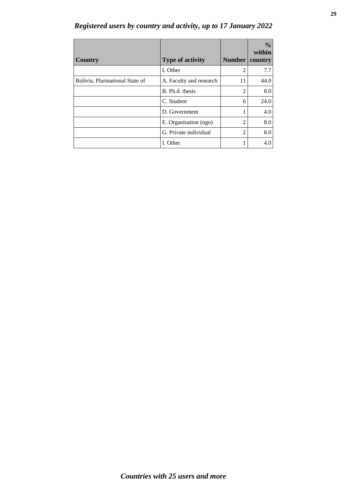| <b>Country</b>                  | <b>Type of activity</b> | <b>Number</b>  | $\frac{6}{10}$<br>within<br>country |
|---------------------------------|-------------------------|----------------|-------------------------------------|
|                                 | I. Other                | 2              | 7.7                                 |
| Bolivia, Plurinational State of | A. Faculty and research | 11             | 44.0                                |
|                                 | B. Ph.d. thesis         | 2              | 8.0                                 |
|                                 | C. Student              | 6              | 24.0                                |
|                                 | D. Government           |                | 4.0                                 |
|                                 | E. Organisation (ngo)   | $\mathfrak{D}$ | 8.0                                 |
|                                 | G. Private individual   | $\overline{c}$ | 8.0                                 |
|                                 | I. Other                |                | 4.0                                 |

*Registered users by country and activity, up to 17 January 2022*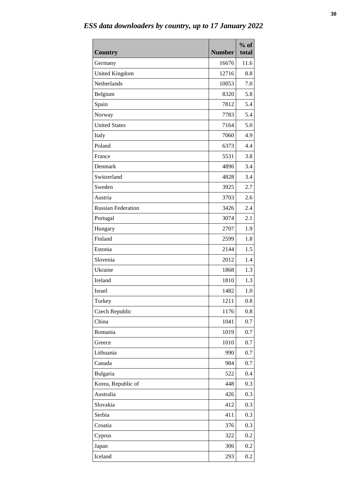| <b>Country</b>            | <b>Number</b> | $%$ of<br>total |
|---------------------------|---------------|-----------------|
| Germany                   | 16676         | 11.6            |
| <b>United Kingdom</b>     | 12716         | 8.8             |
| Netherlands               | 10053         | 7.0             |
| Belgium                   | 8320          | 5.8             |
| Spain                     | 7812          | 5.4             |
| Norway                    | 7783          | 5.4             |
| <b>United States</b>      | 7164          | 5.0             |
| Italy                     | 7060          | 4.9             |
| Poland                    | 6373          | 4.4             |
| France                    | 5531          | 3.8             |
| Denmark                   | 4896          | 3.4             |
| Switzerland               | 4828          | 3.4             |
| Sweden                    | 3925          | 2.7             |
| Austria                   | 3703          | 2.6             |
| <b>Russian Federation</b> | 3426          | 2.4             |
| Portugal                  | 3074          | 2.1             |
| Hungary                   | 2707          | 1.9             |
| Finland                   | 2599          | 1.8             |
| Estonia                   | 2144          | 1.5             |
| Slovenia                  | 2012          | 1.4             |
| Ukraine                   | 1868          | 1.3             |
| Ireland                   | 1810          | 1.3             |
| <b>Israel</b>             | 1482          | 1.0             |
| Turkey                    | 1211          | 0.8             |
| Czech Republic            | 1176          | 0.8             |
| China                     | 1041          | 0.7             |
| Romania                   | 1019          | 0.7             |
| Greece                    | 1010          | 0.7             |
| Lithuania                 | 990           | 0.7             |
| Canada                    | 984           | 0.7             |
| Bulgaria                  | 522           | 0.4             |
| Korea, Republic of        | 448           | 0.3             |
| Australia                 | 426           | 0.3             |
| Slovakia                  | 412           | 0.3             |
| Serbia                    | 411           | 0.3             |
| Croatia                   | 376           | 0.3             |
| Cyprus                    | 322           | 0.2             |
| Japan                     | 306           | 0.2             |
| Iceland                   | 293           | 0.2             |

*ESS data downloaders by country, up to 17 January 2022*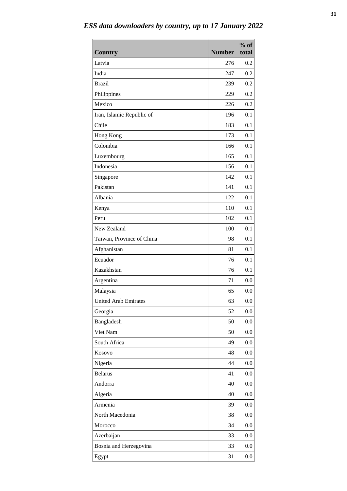| <b>Country</b>              | <b>Number</b> | $%$ of<br>total |
|-----------------------------|---------------|-----------------|
| Latvia                      | 276           | 0.2             |
| India                       | 247           | 0.2             |
| <b>Brazil</b>               | 239           | 0.2             |
| Philippines                 | 229           | 0.2             |
| Mexico                      | 226           | 0.2             |
| Iran, Islamic Republic of   | 196           | 0.1             |
| Chile                       | 183           | 0.1             |
| Hong Kong                   | 173           | 0.1             |
| Colombia                    | 166           | 0.1             |
| Luxembourg                  | 165           | 0.1             |
| Indonesia                   | 156           | 0.1             |
| Singapore                   | 142           | 0.1             |
| Pakistan                    | 141           | 0.1             |
| Albania                     | 122           | 0.1             |
| Kenya                       | 110           | 0.1             |
| Peru                        | 102           | 0.1             |
| New Zealand                 | 100           | 0.1             |
| Taiwan, Province of China   | 98            | 0.1             |
| Afghanistan                 | 81            | 0.1             |
| Ecuador                     | 76            | 0.1             |
| Kazakhstan                  | 76            | 0.1             |
| Argentina                   | 71            | 0.0             |
| Malaysia                    | 65            | 0.0             |
| <b>United Arab Emirates</b> | 63            | 0.0             |
| Georgia                     | 52            | 0.0             |
| Bangladesh                  | 50            | 0.0             |
| Viet Nam                    | 50            | 0.0             |
| South Africa                | 49            | 0.0             |
| Kosovo                      | 48            | 0.0             |
| Nigeria                     | 44            | 0.0             |
| <b>Belarus</b>              | 41            | 0.0             |
| Andorra                     | 40            | 0.0             |
| Algeria                     | 40            | 0.0             |
| Armenia                     | 39            | 0.0             |
| North Macedonia             | 38            | 0.0             |
| Morocco                     | 34            | 0.0             |
| Azerbaijan                  | 33            | 0.0             |
| Bosnia and Herzegovina      | 33            | 0.0             |
| Egypt                       | 31            | 0.0             |

*ESS data downloaders by country, up to 17 January 2022*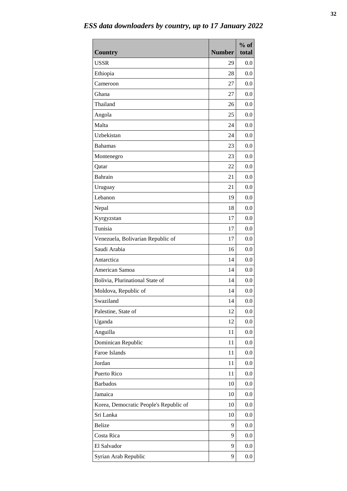| <b>Country</b>                         | <b>Number</b> | $%$ of<br>total |
|----------------------------------------|---------------|-----------------|
| <b>USSR</b>                            | 29            | 0.0             |
| Ethiopia                               | 28            | 0.0             |
| Cameroon                               | 27            | 0.0             |
| Ghana                                  | 27            | 0.0             |
| Thailand                               | 26            | 0.0             |
| Angola                                 | 25            | 0.0             |
| Malta                                  | 24            | 0.0             |
| Uzbekistan                             | 24            | 0.0             |
| <b>Bahamas</b>                         | 23            | 0.0             |
| Montenegro                             | 23            | 0.0             |
| Qatar                                  | 22            | 0.0             |
| Bahrain                                | 21            | 0.0             |
| Uruguay                                | 21            | 0.0             |
| Lebanon                                | 19            | 0.0             |
| Nepal                                  | 18            | 0.0             |
| Kyrgyzstan                             | 17            | 0.0             |
| Tunisia                                | 17            | 0.0             |
| Venezuela, Bolivarian Republic of      | 17            | 0.0             |
| Saudi Arabia                           | 16            | 0.0             |
| Antarctica                             | 14            | 0.0             |
| American Samoa                         | 14            | 0.0             |
| Bolivia, Plurinational State of        | 14            | 0.0             |
| Moldova, Republic of                   | 14            | 0.0             |
| Swaziland                              | 14            | 0.0             |
| Palestine, State of                    | 12            | 0.0             |
| Uganda                                 | 12            | 0.0             |
| Anguilla                               | 11            | 0.0             |
| Dominican Republic                     | 11            | 0.0             |
| Faroe Islands                          | 11            | 0.0             |
| Jordan                                 | 11            | 0.0             |
| Puerto Rico                            | 11            | 0.0             |
| <b>Barbados</b>                        | 10            | 0.0             |
| Jamaica                                | 10            | 0.0             |
| Korea, Democratic People's Republic of | 10            | 0.0             |
| Sri Lanka                              | 10            | 0.0             |
| <b>Belize</b>                          | 9             | 0.0             |
| Costa Rica                             | 9             | 0.0             |
| El Salvador                            | 9             | 0.0             |
| Syrian Arab Republic                   | 9             | 0.0             |

*ESS data downloaders by country, up to 17 January 2022*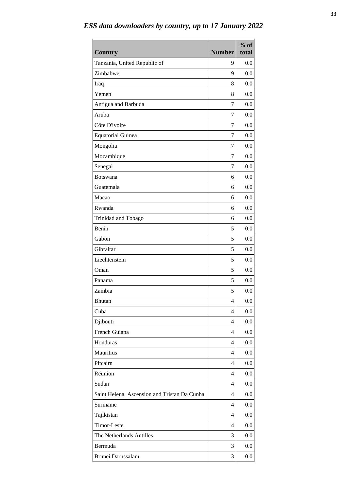| <b>Country</b>                               | <b>Number</b>  | $%$ of<br>total |
|----------------------------------------------|----------------|-----------------|
| Tanzania, United Republic of                 | 9              | 0.0             |
| Zimbabwe                                     | 9              | 0.0             |
| Iraq                                         | 8              | 0.0             |
| Yemen                                        | 8              | 0.0             |
| Antigua and Barbuda                          | 7              | 0.0             |
| Aruba                                        | 7              | 0.0             |
| Côte D'ivoire                                | 7              | 0.0             |
| <b>Equatorial Guinea</b>                     | 7              | 0.0             |
| Mongolia                                     | 7              | 0.0             |
| Mozambique                                   | 7              | 0.0             |
| Senegal                                      | 7              | 0.0             |
| <b>Botswana</b>                              | 6              | 0.0             |
| Guatemala                                    | 6              | 0.0             |
| Macao                                        | 6              | 0.0             |
| Rwanda                                       | 6              | 0.0             |
| Trinidad and Tobago                          | 6              | 0.0             |
| Benin                                        | 5              | 0.0             |
| Gabon                                        | 5              | 0.0             |
| Gibraltar                                    | 5              | 0.0             |
| Liechtenstein                                | 5              | 0.0             |
| Oman                                         | 5              | 0.0             |
| Panama                                       | 5              | 0.0             |
| Zambia                                       | 5              | 0.0             |
| Bhutan                                       | $\overline{4}$ | 0.0             |
| Cuba                                         | 4              | 0.0             |
| Djibouti                                     | 4              | 0.0             |
| French Guiana                                | 4              | 0.0             |
| Honduras                                     | 4              | 0.0             |
| Mauritius                                    | 4              | 0.0             |
| Pitcairn                                     | 4              | 0.0             |
| Réunion                                      | 4              | 0.0             |
| Sudan                                        | $\overline{4}$ | 0.0             |
| Saint Helena, Ascension and Tristan Da Cunha | 4              | 0.0             |
| Suriname                                     | $\overline{4}$ | 0.0             |
| Tajikistan                                   | 4              | 0.0             |
| Timor-Leste                                  | $\overline{4}$ | 0.0             |
| The Netherlands Antilles                     | 3              | 0.0             |
| Bermuda                                      | 3              | 0.0             |
| Brunei Darussalam                            | 3              | 0.0             |

*ESS data downloaders by country, up to 17 January 2022*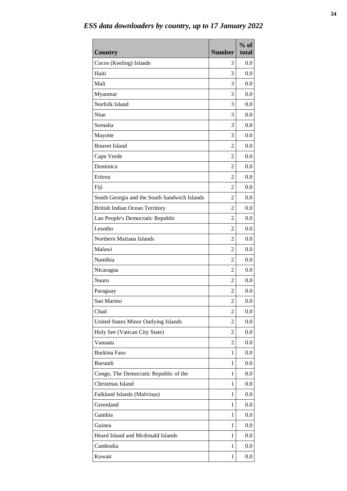| <b>Country</b>                               | <b>Number</b>  | $%$ of<br>total |
|----------------------------------------------|----------------|-----------------|
| Cocos (Keeling) Islands                      | 3              | 0.0             |
| Haiti                                        | 3              | 0.0             |
| Mali                                         | 3              | 0.0             |
| Myanmar                                      | 3              | 0.0             |
| Norfolk Island                               | 3              | 0.0             |
| Niue                                         | 3              | 0.0             |
| Somalia                                      | 3              | 0.0             |
| Mayotte                                      | 3              | 0.0             |
| <b>Bouvet Island</b>                         | $\overline{2}$ | 0.0             |
| Cape Verde                                   | $\overline{2}$ | 0.0             |
| Dominica                                     | $\overline{2}$ | 0.0             |
| Eritrea                                      | $\overline{2}$ | 0.0             |
| Fiji                                         | 2              | 0.0             |
| South Georgia and the South Sandwich Islands | $\overline{2}$ | 0.0             |
| <b>British Indian Ocean Territory</b>        | $\overline{2}$ | 0.0             |
| Lao People's Democratic Republic             | $\overline{2}$ | 0.0             |
| Lesotho                                      | $\overline{2}$ | 0.0             |
| Northern Mariana Islands                     | $\overline{2}$ | 0.0             |
| Malawi                                       | $\overline{2}$ | 0.0             |
| Namibia                                      | $\overline{2}$ | 0.0             |
| Nicaragua                                    | $\overline{2}$ | 0.0             |
| Nauru                                        | $\overline{2}$ | 0.0             |
| Paraguay                                     | $\overline{c}$ | 0.0             |
| San Marino                                   | $\overline{c}$ | 0.0             |
| Chad                                         | 2              | 0.0             |
| United States Minor Outlying Islands         | 2              | 0.0             |
| Holy See (Vatican City State)                | 2              | 0.0             |
| Vanuatu                                      | 2              | 0.0             |
| <b>Burkina Faso</b>                          | $\mathbf{1}$   | 0.0             |
| <b>Burundi</b>                               | 1              | 0.0             |
| Congo, The Democratic Republic of the        | 1              | 0.0             |
| Christmas Island                             | $\mathbf{1}$   | 0.0             |
| Falkland Islands (Malvinas)                  | 1              | 0.0             |
| Greenland                                    | $\mathbf{1}$   | 0.0             |
| Gambia                                       | $\mathbf{1}$   | 0.0             |
| Guinea                                       | 1              | 0.0             |
| Heard Island and Mcdonald Islands            | $\mathbf{1}$   | 0.0             |
| Cambodia                                     | $\mathbf{1}$   | 0.0             |
| Kuwait                                       | $\mathbf{1}$   | 0.0             |

*ESS data downloaders by country, up to 17 January 2022*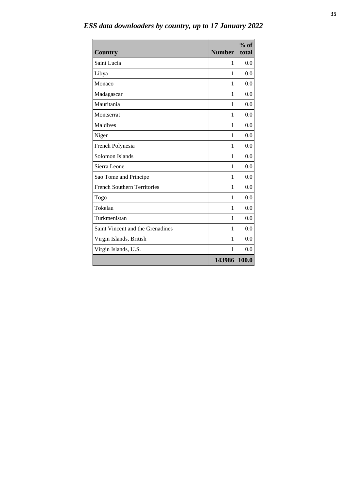| <b>Country</b>                     | <b>Number</b> | $%$ of<br>total |
|------------------------------------|---------------|-----------------|
| Saint Lucia                        | 1             | 0.0             |
| Libya                              | 1             | 0.0             |
| Monaco                             | 1             | 0.0             |
| Madagascar                         | 1             | 0.0             |
| Mauritania                         | 1             | 0.0             |
| Montserrat                         | 1             | 0.0             |
| Maldives                           | 1             | 0.0             |
| Niger                              | 1             | 0.0             |
| French Polynesia                   | 1             | 0.0             |
| Solomon Islands                    | 1             | 0.0             |
| Sierra Leone                       | 1             | 0.0             |
| Sao Tome and Principe              | 1             | 0.0             |
| <b>French Southern Territories</b> | 1             | 0.0             |
| Togo                               | 1             | 0.0             |
| Tokelau                            | 1             | 0.0             |
| Turkmenistan                       | 1             | 0.0             |
| Saint Vincent and the Grenadines   | 1             | 0.0             |
| Virgin Islands, British            | 1             | 0.0             |
| Virgin Islands, U.S.               | 1             | 0.0             |
|                                    | 143986        | 100.0           |

*ESS data downloaders by country, up to 17 January 2022*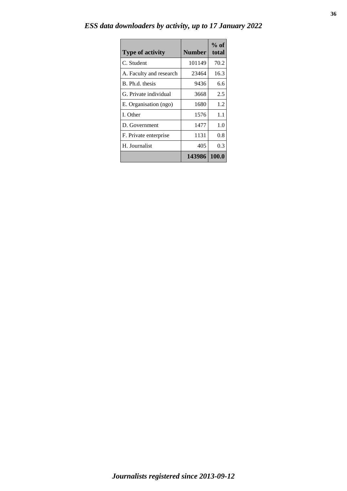|  | ESS data downloaders by activity, up to 17 January 2022 |  |  |  |  |  |  |
|--|---------------------------------------------------------|--|--|--|--|--|--|
|--|---------------------------------------------------------|--|--|--|--|--|--|

| <b>Type of activity</b> | <b>Number</b> | $%$ of<br>total |
|-------------------------|---------------|-----------------|
| C. Student              | 101149        | 70.2            |
| A. Faculty and research | 23464         | 16.3            |
| B. Ph.d. thesis         | 9436          | 6.6             |
| G. Private individual   | 3668          | 2.5             |
| E. Organisation (ngo)   | 1680          | 1.2             |
| I. Other                | 1576          | 1.1             |
| D. Government           | 1477          | 1.0             |
| F. Private enterprise   | 1131          | 0.8             |
| H. Journalist           | 405           | 0.3             |
|                         | 143986        | 100.0           |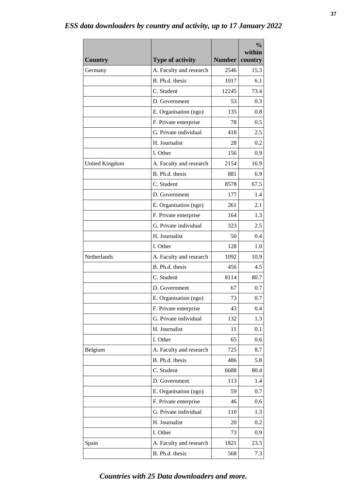|                |                         |               | $\frac{0}{0}$<br>within |
|----------------|-------------------------|---------------|-------------------------|
| <b>Country</b> | <b>Type of activity</b> | <b>Number</b> | country                 |
| Germany        | A. Faculty and research | 2546          | 15.3                    |
|                | B. Ph.d. thesis         | 1017          | 6.1                     |
|                | C. Student              | 12245         | 73.4                    |
|                | D. Government           | 53            | 0.3                     |
|                | E. Organisation (ngo)   | 135           | 0.8                     |
|                | F. Private enterprise   | 78            | 0.5                     |
|                | G. Private individual   | 418           | 2.5                     |
|                | H. Journalist           | 28            | 0.2                     |
|                | I. Other                | 156           | 0.9                     |
| United Kingdom | A. Faculty and research | 2154          | 16.9                    |
|                | B. Ph.d. thesis         | 881           | 6.9                     |
|                | C. Student              | 8578          | 67.5                    |
|                | D. Government           | 177           | 1.4                     |
|                | E. Organisation (ngo)   | 261           | 2.1                     |
|                | F. Private enterprise   | 164           | 1.3                     |
|                | G. Private individual   | 323           | 2.5                     |
|                | H. Journalist           | 50            | 0.4                     |
|                | I. Other                | 128           | 1.0                     |
| Netherlands    | A. Faculty and research | 1092          | 10.9                    |
|                | B. Ph.d. thesis         | 456           | 4.5                     |
|                | C. Student              | 8114          | 80.7                    |
|                | D. Government           | 67            | 0.7                     |
|                | E. Organisation (ngo)   | 73            | 0.7                     |
|                | F. Private enterprise   | 43            | 0.4                     |
|                | G. Private individual   | 132           | 1.3                     |
|                | H. Journalist           | 11            | 0.1                     |
|                | I. Other                | 65            | 0.6                     |
| Belgium        | A. Faculty and research | 725           | 8.7                     |
|                | B. Ph.d. thesis         | 486           | 5.8                     |
|                | C. Student              | 6688          | 80.4                    |
|                | D. Government           | 113           | 1.4                     |
|                | E. Organisation (ngo)   | 59            | 0.7                     |
|                | F. Private enterprise   | 46            | 0.6                     |
|                | G. Private individual   | 110           | 1.3                     |
|                | H. Journalist           | 20            | 0.2                     |
|                | I. Other                | 73            | 0.9                     |
| Spain          | A. Faculty and research | 1821          | 23.3                    |
|                | B. Ph.d. thesis         | 568           | 7.3                     |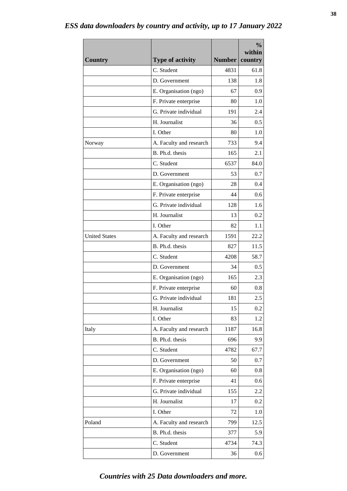|                      |                         |               | $\frac{0}{0}$<br>within |
|----------------------|-------------------------|---------------|-------------------------|
| <b>Country</b>       | <b>Type of activity</b> | <b>Number</b> | country                 |
|                      | C. Student              | 4831          | 61.8                    |
|                      | D. Government           | 138           | 1.8                     |
|                      | E. Organisation (ngo)   | 67            | 0.9                     |
|                      | F. Private enterprise   | 80            | 1.0                     |
|                      | G. Private individual   | 191           | 2.4                     |
|                      | H. Journalist           | 36            | 0.5                     |
|                      | I. Other                | 80            | 1.0                     |
| Norway               | A. Faculty and research | 733           | 9.4                     |
|                      | B. Ph.d. thesis         | 165           | 2.1                     |
|                      | C. Student              | 6537          | 84.0                    |
|                      | D. Government           | 53            | 0.7                     |
|                      | E. Organisation (ngo)   | 28            | 0.4                     |
|                      | F. Private enterprise   | 44            | 0.6                     |
|                      | G. Private individual   | 128           | 1.6                     |
|                      | H. Journalist           | 13            | 0.2                     |
|                      | I. Other                | 82            | 1.1                     |
| <b>United States</b> | A. Faculty and research | 1591          | 22.2                    |
|                      | B. Ph.d. thesis         | 827           | 11.5                    |
|                      | C. Student              | 4208          | 58.7                    |
|                      | D. Government           | 34            | 0.5                     |
|                      | E. Organisation (ngo)   | 165           | 2.3                     |
|                      | F. Private enterprise   | 60            | 0.8                     |
|                      | G. Private individual   | 181           | $2.5\,$                 |
|                      | H. Journalist           | 15            | 0.2                     |
|                      | I. Other                | 83            | 1.2                     |
| Italy                | A. Faculty and research | 1187          | 16.8                    |
|                      | B. Ph.d. thesis         | 696           | 9.9                     |
|                      | C. Student              | 4782          | 67.7                    |
|                      | D. Government           | 50            | 0.7                     |
|                      | E. Organisation (ngo)   | 60            | 0.8                     |
|                      | F. Private enterprise   | 41            | 0.6                     |
|                      | G. Private individual   | 155           | 2.2                     |
|                      | H. Journalist           | 17            | 0.2                     |
|                      | I. Other                | 72            | 1.0                     |
| Poland               | A. Faculty and research | 799           | 12.5                    |
|                      | B. Ph.d. thesis         | 377           | 5.9                     |
|                      | C. Student              | 4734          | 74.3                    |
|                      | D. Government           | 36            | 0.6                     |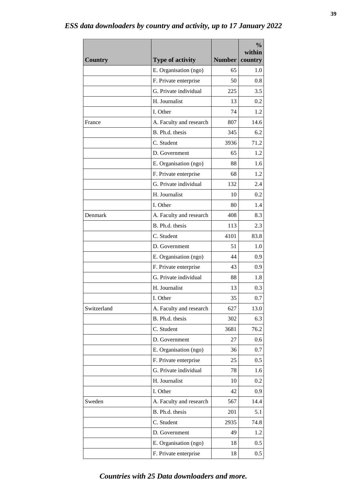|                |                         |               | $\frac{0}{0}$<br>within |
|----------------|-------------------------|---------------|-------------------------|
| <b>Country</b> | <b>Type of activity</b> | <b>Number</b> | country                 |
|                | E. Organisation (ngo)   | 65            | 1.0                     |
|                | F. Private enterprise   | 50            | 0.8                     |
|                | G. Private individual   | 225           | 3.5                     |
|                | H. Journalist           | 13            | 0.2                     |
|                | I. Other                | 74            | 1.2                     |
| France         | A. Faculty and research | 807           | 14.6                    |
|                | B. Ph.d. thesis         | 345           | 6.2                     |
|                | C. Student              | 3936          | 71.2                    |
|                | D. Government           | 65            | 1.2                     |
|                | E. Organisation (ngo)   | 88            | 1.6                     |
|                | F. Private enterprise   | 68            | 1.2                     |
|                | G. Private individual   | 132           | 2.4                     |
|                | H. Journalist           | 10            | 0.2                     |
|                | I. Other                | 80            | 1.4                     |
| Denmark        | A. Faculty and research | 408           | 8.3                     |
|                | B. Ph.d. thesis         | 113           | 2.3                     |
|                | C. Student              | 4101          | 83.8                    |
|                | D. Government           | 51            | 1.0                     |
|                | E. Organisation (ngo)   | 44            | 0.9                     |
|                | F. Private enterprise   | 43            | 0.9                     |
|                | G. Private individual   | 88            | 1.8                     |
|                | H. Journalist           | 13            | 0.3                     |
|                | I. Other                | 35            | $0.7\,$                 |
| Switzerland    | A. Faculty and research | 627           | 13.0                    |
|                | B. Ph.d. thesis         | 302           | 6.3                     |
|                | C. Student              | 3681          | 76.2                    |
|                | D. Government           | 27            | 0.6                     |
|                | E. Organisation (ngo)   | 36            | 0.7                     |
|                | F. Private enterprise   | 25            | 0.5                     |
|                | G. Private individual   | 78            | 1.6                     |
|                | H. Journalist           | 10            | 0.2                     |
|                | I. Other                | 42            | 0.9                     |
| Sweden         | A. Faculty and research | 567           | 14.4                    |
|                | B. Ph.d. thesis         | 201           | 5.1                     |
|                | C. Student              | 2935          | 74.8                    |
|                | D. Government           | 49            | 1.2                     |
|                | E. Organisation (ngo)   | 18            | 0.5                     |
|                | F. Private enterprise   | 18            | 0.5                     |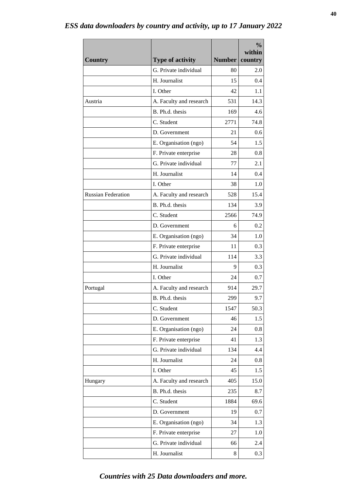| <b>Country</b>            | <b>Type of activity</b>                    | <b>Number</b> | $\frac{0}{0}$<br>within<br>country |
|---------------------------|--------------------------------------------|---------------|------------------------------------|
|                           | G. Private individual                      | 80            | 2.0                                |
|                           | H. Journalist                              | 15            | 0.4                                |
|                           | I. Other                                   | 42            | 1.1                                |
| Austria                   | A. Faculty and research                    | 531           | 14.3                               |
|                           | B. Ph.d. thesis                            | 169           | 4.6                                |
|                           | C. Student                                 | 2771          | 74.8                               |
|                           | D. Government                              | 21            | 0.6                                |
|                           | E. Organisation (ngo)                      | 54            | 1.5                                |
|                           | F. Private enterprise                      | 28            | 0.8                                |
|                           | G. Private individual                      | 77            | 2.1                                |
|                           | H. Journalist                              | 14            | 0.4                                |
|                           | I. Other                                   | 38            | 1.0                                |
| <b>Russian Federation</b> |                                            |               | 15.4                               |
|                           | A. Faculty and research<br>B. Ph.d. thesis | 528<br>134    | 3.9                                |
|                           | C. Student                                 | 2566          | 74.9                               |
|                           |                                            | 6             | 0.2                                |
|                           | D. Government                              | 34            | 1.0                                |
|                           | E. Organisation (ngo)                      | 11            |                                    |
|                           | F. Private enterprise                      |               | 0.3                                |
|                           | G. Private individual                      | 114           | 3.3                                |
|                           | H. Journalist                              | 9             | 0.3                                |
|                           | I. Other                                   | 24            | 0.7                                |
| Portugal                  | A. Faculty and research                    | 914           | 29.7                               |
|                           | B. Ph.d. thesis<br>C. Student              | 299<br>1547   | 9.7<br>50.3                        |
|                           |                                            |               |                                    |
|                           | D. Government                              | 46            | 1.5                                |
|                           | E. Organisation (ngo)                      | 24            | 0.8                                |
|                           | F. Private enterprise                      | 41            | 1.3                                |
|                           | G. Private individual                      | 134           | 4.4                                |
|                           | H. Journalist                              | 24            | 0.8                                |
|                           | I. Other                                   | 45            | 1.5                                |
| Hungary                   | A. Faculty and research                    | 405           | 15.0                               |
|                           | B. Ph.d. thesis                            | 235           | 8.7                                |
|                           | C. Student                                 | 1884          | 69.6                               |
|                           | D. Government                              | 19            | 0.7                                |
|                           | E. Organisation (ngo)                      | 34            | 1.3                                |
|                           | F. Private enterprise                      | 27            | 1.0                                |
|                           | G. Private individual                      | 66            | 2.4                                |
|                           | H. Journalist                              | 8             | 0.3                                |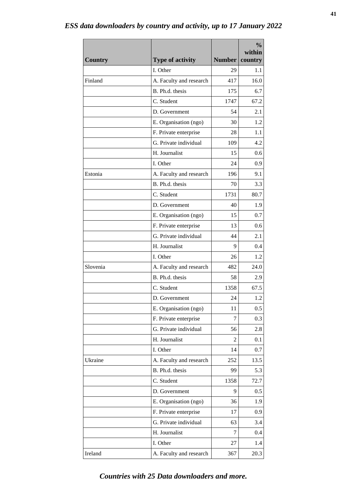|                |                         |               | $\frac{0}{0}$<br>within |
|----------------|-------------------------|---------------|-------------------------|
| <b>Country</b> | <b>Type of activity</b> | <b>Number</b> | country                 |
|                | I. Other                | 29            | 1.1                     |
| Finland        | A. Faculty and research | 417           | 16.0                    |
|                | B. Ph.d. thesis         | 175           | 6.7                     |
|                | C. Student              | 1747          | 67.2                    |
|                | D. Government           | 54            | 2.1                     |
|                | E. Organisation (ngo)   | 30            | 1.2                     |
|                | F. Private enterprise   | 28            | 1.1                     |
|                | G. Private individual   | 109           | 4.2                     |
|                | H. Journalist           | 15            | 0.6                     |
|                | I. Other                | 24            | 0.9                     |
| Estonia        | A. Faculty and research | 196           | 9.1                     |
|                | B. Ph.d. thesis         | 70            | 3.3                     |
|                | C. Student              | 1731          | 80.7                    |
|                | D. Government           | 40            | 1.9                     |
|                | E. Organisation (ngo)   | 15            | 0.7                     |
|                | F. Private enterprise   | 13            | 0.6                     |
|                | G. Private individual   | 44            | 2.1                     |
|                | H. Journalist           | 9             | 0.4                     |
|                | I. Other                | 26            | 1.2                     |
| Slovenia       | A. Faculty and research | 482           | 24.0                    |
|                | B. Ph.d. thesis         | 58            | 2.9                     |
|                | C. Student              | 1358          | 67.5                    |
|                | D. Government           | 24            | 1.2                     |
|                | E. Organisation (ngo)   | 11            | 0.5                     |
|                | F. Private enterprise   | 7             | 0.3                     |
|                | G. Private individual   | 56            | 2.8                     |
|                | H. Journalist           | 2             | 0.1                     |
|                | I. Other                | 14            | 0.7                     |
| Ukraine        | A. Faculty and research | 252           | 13.5                    |
|                | B. Ph.d. thesis         | 99            | 5.3                     |
|                | C. Student              | 1358          | 72.7                    |
|                | D. Government           | 9             | 0.5                     |
|                | E. Organisation (ngo)   | 36            | 1.9                     |
|                | F. Private enterprise   | 17            | 0.9                     |
|                | G. Private individual   | 63            | 3.4                     |
|                | H. Journalist           | 7             | 0.4                     |
|                | I. Other                | 27            | 1.4                     |
| Ireland        | A. Faculty and research | 367           | 20.3                    |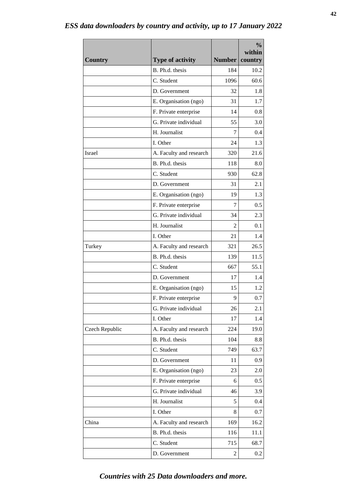| <b>Country</b> | <b>Type of activity</b> | <b>Number</b> | $\frac{0}{0}$<br>within<br>country |
|----------------|-------------------------|---------------|------------------------------------|
|                | B. Ph.d. thesis         | 184           | 10.2                               |
|                | C. Student              | 1096          | 60.6                               |
|                | D. Government           | 32            | 1.8                                |
|                | E. Organisation (ngo)   | 31            | 1.7                                |
|                | F. Private enterprise   | 14            | 0.8                                |
|                | G. Private individual   | 55            | 3.0                                |
|                | H. Journalist           | 7             | 0.4                                |
|                | I. Other                | 24            | 1.3                                |
| <b>Israel</b>  | A. Faculty and research | 320           | 21.6                               |
|                | B. Ph.d. thesis         | 118           | 8.0                                |
|                | C. Student              | 930           | 62.8                               |
|                | D. Government           | 31            | 2.1                                |
|                | E. Organisation (ngo)   | 19            | 1.3                                |
|                | F. Private enterprise   | 7             | 0.5                                |
|                | G. Private individual   | 34            | 2.3                                |
|                | H. Journalist           | 2             | 0.1                                |
|                | I. Other                | 21            | 1.4                                |
| Turkey         | A. Faculty and research | 321           | 26.5                               |
|                | B. Ph.d. thesis         | 139           | 11.5                               |
|                | C. Student              | 667           | 55.1                               |
|                | D. Government           | 17            | 1.4                                |
|                | E. Organisation (ngo)   | 15            | 1.2                                |
|                | F. Private enterprise   | 9             | 0.7                                |
|                | G. Private individual   | 26            | 2.1                                |
|                | I. Other                | 17            | 1.4                                |
| Czech Republic | A. Faculty and research | 224           | 19.0                               |
|                | B. Ph.d. thesis         | 104           | 8.8                                |
|                | C. Student              | 749           | 63.7                               |
|                | D. Government           | 11            | 0.9                                |
|                | E. Organisation (ngo)   | 23            | 2.0                                |
|                | F. Private enterprise   | 6             | 0.5                                |
|                | G. Private individual   | 46            | 3.9                                |
|                | H. Journalist           | 5             | 0.4                                |
|                | I. Other                | 8             | 0.7                                |
| China          | A. Faculty and research | 169           | 16.2                               |
|                | B. Ph.d. thesis         | 116           | 11.1                               |
|                | C. Student              | 715           | 68.7                               |
|                | D. Government           | 2             | 0.2                                |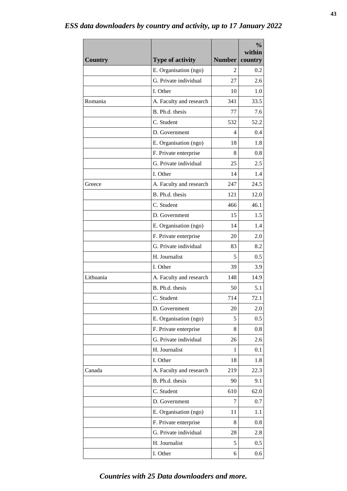| <b>Country</b> | <b>Type of activity</b> | <b>Number</b> | $\frac{0}{0}$<br>within<br>country |
|----------------|-------------------------|---------------|------------------------------------|
|                | E. Organisation (ngo)   | 2             | 0.2                                |
|                | G. Private individual   | 27            | 2.6                                |
|                | I. Other                | 10            | 1.0                                |
| Romania        | A. Faculty and research | 341           | 33.5                               |
|                | B. Ph.d. thesis         | 77            | 7.6                                |
|                | C. Student              | 532           | 52.2                               |
|                | D. Government           | 4             | 0.4                                |
|                | E. Organisation (ngo)   | 18            | 1.8                                |
|                | F. Private enterprise   | 8             | 0.8                                |
|                | G. Private individual   | 25            | 2.5                                |
|                | I. Other                | 14            | 1.4                                |
| Greece         | A. Faculty and research | 247           | 24.5                               |
|                | B. Ph.d. thesis         | 121           | 12.0                               |
|                | C. Student              | 466           | 46.1                               |
|                | D. Government           | 15            | 1.5                                |
|                | E. Organisation (ngo)   | 14            | 1.4                                |
|                | F. Private enterprise   | 20            | 2.0                                |
|                | G. Private individual   | 83            | 8.2                                |
|                | H. Journalist           | 5             | 0.5                                |
|                | I. Other                | 39            | 3.9                                |
| Lithuania      | A. Faculty and research | 148           | 14.9                               |
|                | B. Ph.d. thesis         | 50            | 5.1                                |
|                | C. Student              | 714           | 72.1                               |
|                | D. Government           | 20            | 2.0                                |
|                | E. Organisation (ngo)   | 5             | 0.5                                |
|                | F. Private enterprise   | 8             | 0.8                                |
|                | G. Private individual   | 26            | 2.6                                |
|                | H. Journalist           | 1             | 0.1                                |
|                | I. Other                | 18            | 1.8                                |
| Canada         | A. Faculty and research | 219           | 22.3                               |
|                | B. Ph.d. thesis         | 90            | 9.1                                |
|                | C. Student              | 610           | 62.0                               |
|                | D. Government           | 7             | 0.7                                |
|                | E. Organisation (ngo)   | 11            | 1.1                                |
|                | F. Private enterprise   | 8             | 0.8                                |
|                | G. Private individual   | 28            | 2.8                                |
|                | H. Journalist           | 5             | 0.5                                |
|                | I. Other                | 6             | 0.6                                |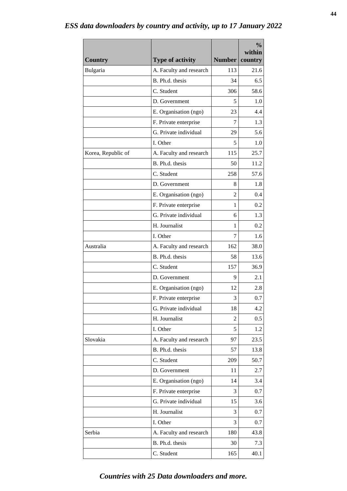| <b>Country</b>     | <b>Type of activity</b> | <b>Number</b>  | $\frac{0}{0}$<br>within<br>country |
|--------------------|-------------------------|----------------|------------------------------------|
| Bulgaria           | A. Faculty and research | 113            | 21.6                               |
|                    | B. Ph.d. thesis         | 34             | 6.5                                |
|                    | C. Student              | 306            | 58.6                               |
|                    | D. Government           | 5              | 1.0                                |
|                    | E. Organisation (ngo)   | 23             | 4.4                                |
|                    | F. Private enterprise   | 7              | 1.3                                |
|                    | G. Private individual   | 29             | 5.6                                |
|                    | I. Other                | 5              | 1.0                                |
| Korea, Republic of | A. Faculty and research | 115            | 25.7                               |
|                    | B. Ph.d. thesis         | 50             | 11.2                               |
|                    | C. Student              | 258            | 57.6                               |
|                    | D. Government           | 8              | 1.8                                |
|                    | E. Organisation (ngo)   | $\overline{c}$ | 0.4                                |
|                    | F. Private enterprise   | 1              | 0.2                                |
|                    | G. Private individual   | 6              | 1.3                                |
|                    | H. Journalist           | 1              | 0.2                                |
|                    | I. Other                | 7              | 1.6                                |
| Australia          | A. Faculty and research | 162            | 38.0                               |
|                    | B. Ph.d. thesis         | 58             | 13.6                               |
|                    | C. Student              | 157            | 36.9                               |
|                    | D. Government           | 9              | 2.1                                |
|                    | E. Organisation (ngo)   | 12             | 2.8                                |
|                    | F. Private enterprise   | 3              | 0.7                                |
|                    | G. Private individual   | 18             | 4.2                                |
|                    | H. Journalist           | 2              | 0.5                                |
|                    | I. Other                | 5              | 1.2                                |
| Slovakia           | A. Faculty and research | 97             | 23.5                               |
|                    | B. Ph.d. thesis         | 57             | 13.8                               |
|                    | C. Student              | 209            | 50.7                               |
|                    | D. Government           | 11             | 2.7                                |
|                    | E. Organisation (ngo)   | 14             | 3.4                                |
|                    | F. Private enterprise   | 3              | 0.7                                |
|                    | G. Private individual   | 15             | 3.6                                |
|                    | H. Journalist           | 3              | 0.7                                |
|                    | I. Other                | 3              | 0.7                                |
| Serbia             | A. Faculty and research | 180            | 43.8                               |
|                    | B. Ph.d. thesis         | 30             | 7.3                                |
|                    | C. Student              | 165            | 40.1                               |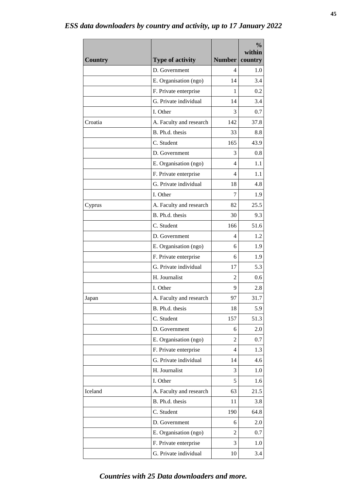| <b>Country</b> | <b>Type of activity</b> | <b>Number</b> | $\frac{0}{0}$<br>within<br>country |
|----------------|-------------------------|---------------|------------------------------------|
|                | D. Government           | 4             | 1.0                                |
|                | E. Organisation (ngo)   | 14            | 3.4                                |
|                | F. Private enterprise   | 1             | 0.2                                |
|                | G. Private individual   | 14            | 3.4                                |
|                | I. Other                | 3             | 0.7                                |
| Croatia        | A. Faculty and research | 142           | 37.8                               |
|                | B. Ph.d. thesis         | 33            | 8.8                                |
|                | C. Student              | 165           | 43.9                               |
|                | D. Government           | 3             | 0.8                                |
|                | E. Organisation (ngo)   | 4             | 1.1                                |
|                | F. Private enterprise   | 4             | 1.1                                |
|                | G. Private individual   | 18            | 4.8                                |
|                | I. Other                | 7             | 1.9                                |
| Cyprus         | A. Faculty and research | 82            | 25.5                               |
|                | B. Ph.d. thesis         | 30            | 9.3                                |
|                | C. Student              | 166           | 51.6                               |
|                | D. Government           | 4             | 1.2                                |
|                | E. Organisation (ngo)   | 6             | 1.9                                |
|                | F. Private enterprise   | 6             | 1.9                                |
|                | G. Private individual   | 17            | 5.3                                |
|                | H. Journalist           | 2             | 0.6                                |
|                | I. Other                | 9             | 2.8                                |
| Japan          | A. Faculty and research | 97            | 31.7                               |
|                | B. Ph.d. thesis         | 18            | 5.9                                |
|                | C. Student              | 157           | 51.3                               |
|                | D. Government           | 6             | 2.0                                |
|                | E. Organisation (ngo)   | 2             | 0.7                                |
|                | F. Private enterprise   | 4             | 1.3                                |
|                | G. Private individual   | 14            | 4.6                                |
|                | H. Journalist           | 3             | 1.0                                |
|                | I. Other                | 5             | 1.6                                |
| Iceland        | A. Faculty and research | 63            | 21.5                               |
|                | B. Ph.d. thesis         | 11            | 3.8                                |
|                | C. Student              | 190           | 64.8                               |
|                | D. Government           | 6             | 2.0                                |
|                | E. Organisation (ngo)   | 2             | 0.7                                |
|                | F. Private enterprise   | 3             | 1.0                                |
|                | G. Private individual   | 10            | 3.4                                |

#### **45**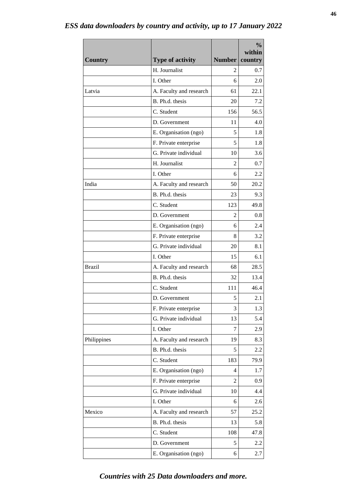| <b>Country</b> | <b>Type of activity</b> | <b>Number</b> | $\frac{0}{0}$<br>within<br>country |
|----------------|-------------------------|---------------|------------------------------------|
|                | H. Journalist           | 2             | 0.7                                |
|                | I. Other                | 6             | 2.0                                |
| Latvia         | A. Faculty and research | 61            | 22.1                               |
|                | B. Ph.d. thesis         | 20            | 7.2                                |
|                | C. Student              | 156           | 56.5                               |
|                | D. Government           | 11            | 4.0                                |
|                | E. Organisation (ngo)   | 5             | 1.8                                |
|                | F. Private enterprise   | 5             | 1.8                                |
|                | G. Private individual   | 10            | 3.6                                |
|                | H. Journalist           | 2             | 0.7                                |
|                | I. Other                | 6             | 2.2                                |
| India          | A. Faculty and research | 50            | 20.2                               |
|                | B. Ph.d. thesis         | 23            | 9.3                                |
|                | C. Student              | 123           | 49.8                               |
|                | D. Government           | 2             | 0.8                                |
|                | E. Organisation (ngo)   | 6             | 2.4                                |
|                | F. Private enterprise   | 8             | 3.2                                |
|                | G. Private individual   | 20            | 8.1                                |
|                | I. Other                | 15            | 6.1                                |
| <b>Brazil</b>  | A. Faculty and research | 68            | 28.5                               |
|                | B. Ph.d. thesis         | 32            | 13.4                               |
|                | C. Student              | 111           | 46.4                               |
|                | D. Government           | 5             | 2.1                                |
|                | F. Private enterprise   | 3             | 1.3                                |
|                | G. Private individual   | 13            | 5.4                                |
|                | I. Other                | 7             | 2.9                                |
| Philippines    | A. Faculty and research | 19            | 8.3                                |
|                | B. Ph.d. thesis         | 5             | 2.2                                |
|                | C. Student              | 183           | 79.9                               |
|                | E. Organisation (ngo)   | 4             | 1.7                                |
|                | F. Private enterprise   | 2             | 0.9                                |
|                | G. Private individual   | 10            | 4.4                                |
|                | I. Other                | 6             | 2.6                                |
| Mexico         | A. Faculty and research | 57            | 25.2                               |
|                | B. Ph.d. thesis         | 13            | 5.8                                |
|                | C. Student              | 108           | 47.8                               |
|                | D. Government           | 5             | 2.2                                |
|                | E. Organisation (ngo)   | 6             | 2.7                                |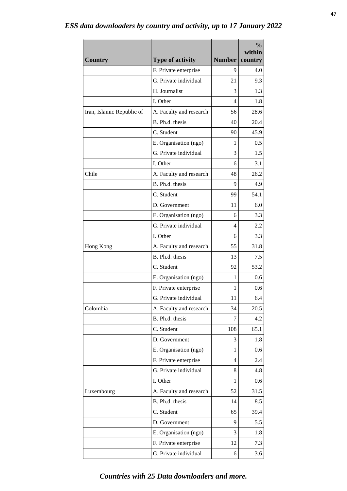|                           | <b>Type of activity</b>                        | <b>Number</b> | $\frac{0}{0}$<br>within |
|---------------------------|------------------------------------------------|---------------|-------------------------|
| <b>Country</b>            |                                                | 9             | country                 |
|                           | F. Private enterprise<br>G. Private individual |               | 4.0                     |
|                           | H. Journalist                                  | 21            | 9.3                     |
|                           |                                                | 3             | 1.3                     |
|                           | I. Other                                       | 4             | 1.8                     |
| Iran, Islamic Republic of | A. Faculty and research                        | 56            | 28.6                    |
|                           | B. Ph.d. thesis                                | 40            | 20.4                    |
|                           | C. Student                                     | 90            | 45.9                    |
|                           | E. Organisation (ngo)                          | 1             | 0.5                     |
|                           | G. Private individual                          | 3             | 1.5                     |
|                           | I. Other                                       | 6             | 3.1                     |
| Chile                     | A. Faculty and research                        | 48            | 26.2                    |
|                           | B. Ph.d. thesis                                | 9             | 4.9                     |
|                           | C. Student                                     | 99            | 54.1                    |
|                           | D. Government                                  | 11            | 6.0                     |
|                           | E. Organisation (ngo)                          | 6             | 3.3                     |
|                           | G. Private individual                          | 4             | 2.2                     |
|                           | I. Other                                       | 6             | 3.3                     |
| Hong Kong                 | A. Faculty and research                        | 55            | 31.8                    |
|                           | B. Ph.d. thesis                                | 13            | 7.5                     |
|                           | C. Student                                     | 92            | 53.2                    |
|                           | E. Organisation (ngo)                          | 1             | 0.6                     |
|                           | F. Private enterprise                          | 1             | 0.6                     |
|                           | G. Private individual                          | 11            | 6.4                     |
| Colombia                  | A. Faculty and research                        | 34            | 20.5                    |
|                           | B. Ph.d. thesis                                | 7             | 4.2                     |
|                           | C. Student                                     | 108           | 65.1                    |
|                           | D. Government                                  | 3             | 1.8                     |
|                           | E. Organisation (ngo)                          | 1             | 0.6                     |
|                           | F. Private enterprise                          | 4             | 2.4                     |
|                           | G. Private individual                          | 8             | 4.8                     |
|                           | I. Other                                       | $\mathbf{1}$  | 0.6                     |
| Luxembourg                | A. Faculty and research                        | 52            | 31.5                    |
|                           | B. Ph.d. thesis                                | 14            | 8.5                     |
|                           | C. Student                                     | 65            | 39.4                    |
|                           | D. Government                                  | 9             | 5.5                     |
|                           | E. Organisation (ngo)                          | 3             | 1.8                     |
|                           | F. Private enterprise                          | 12            | 7.3                     |
|                           | G. Private individual                          | 6             | 3.6                     |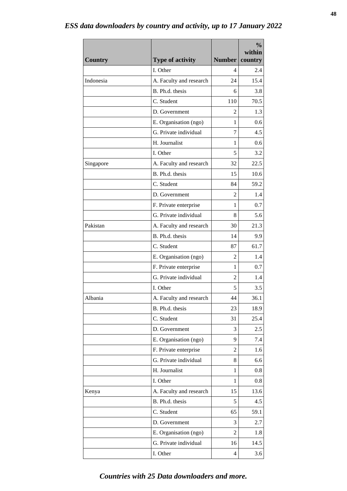|                |                         |               | $\frac{0}{0}$<br>within |
|----------------|-------------------------|---------------|-------------------------|
| <b>Country</b> | <b>Type of activity</b> | <b>Number</b> | country                 |
|                | I. Other                | 4             | 2.4                     |
| Indonesia      | A. Faculty and research | 24            | 15.4                    |
|                | B. Ph.d. thesis         | 6             | 3.8                     |
|                | C. Student              | 110           | 70.5                    |
|                | D. Government           | 2             | 1.3                     |
|                | E. Organisation (ngo)   | 1             | 0.6                     |
|                | G. Private individual   | 7             | 4.5                     |
|                | H. Journalist           | 1             | 0.6                     |
|                | I. Other                | 5             | 3.2                     |
| Singapore      | A. Faculty and research | 32            | 22.5                    |
|                | B. Ph.d. thesis         | 15            | 10.6                    |
|                | C. Student              | 84            | 59.2                    |
|                | D. Government           | 2             | 1.4                     |
|                | F. Private enterprise   | 1             | 0.7                     |
|                | G. Private individual   | 8             | 5.6                     |
| Pakistan       | A. Faculty and research | 30            | 21.3                    |
|                | B. Ph.d. thesis         | 14            | 9.9                     |
|                | C. Student              | 87            | 61.7                    |
|                | E. Organisation (ngo)   | 2             | 1.4                     |
|                | F. Private enterprise   | 1             | 0.7                     |
|                | G. Private individual   | 2             | 1.4                     |
|                | I. Other                | 5             | 3.5                     |
| Albania        | A. Faculty and research | 44            | 36.1                    |
|                | B. Ph.d. thesis         | 23            | 18.9                    |
|                | C. Student              | 31            | 25.4                    |
|                | D. Government           | 3             | 2.5                     |
|                | E. Organisation (ngo)   | 9             | 7.4                     |
|                | F. Private enterprise   | 2             | 1.6                     |
|                | G. Private individual   | 8             | 6.6                     |
|                | H. Journalist           | 1             | 0.8                     |
|                | I. Other                | 1             | 0.8                     |
| Kenya          | A. Faculty and research | 15            | 13.6                    |
|                | B. Ph.d. thesis         | 5             | 4.5                     |
|                | C. Student              | 65            | 59.1                    |
|                | D. Government           | 3             | 2.7                     |
|                | E. Organisation (ngo)   | 2             | 1.8                     |
|                | G. Private individual   | 16            | 14.5                    |
|                | I. Other                | 4             | 3.6                     |

#### **48**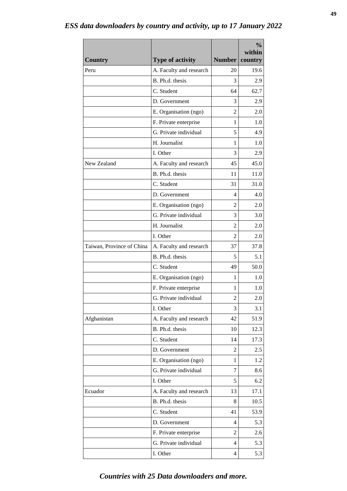| <b>Country</b>            | <b>Type of activity</b> | <b>Number</b>  | $\frac{0}{0}$<br>within<br>country |
|---------------------------|-------------------------|----------------|------------------------------------|
| Peru                      | A. Faculty and research | 20             | 19.6                               |
|                           | B. Ph.d. thesis         | 3              | 2.9                                |
|                           | C. Student              | 64             | 62.7                               |
|                           | D. Government           | 3              | 2.9                                |
|                           | E. Organisation (ngo)   | 2              | 2.0                                |
|                           | F. Private enterprise   | 1              | 1.0                                |
|                           | G. Private individual   | 5              | 4.9                                |
|                           | H. Journalist           | 1              | 1.0                                |
|                           | I. Other                | 3              | 2.9                                |
| New Zealand               | A. Faculty and research | 45             | 45.0                               |
|                           | B. Ph.d. thesis         | 11             | 11.0                               |
|                           | C. Student              | 31             | 31.0                               |
|                           | D. Government           | 4              | 4.0                                |
|                           | E. Organisation (ngo)   | $\overline{2}$ | 2.0                                |
|                           | G. Private individual   | 3              | 3.0                                |
|                           | H. Journalist           | 2              | 2.0                                |
|                           | I. Other                | 2              | 2.0                                |
| Taiwan, Province of China | A. Faculty and research | 37             | 37.8                               |
|                           | B. Ph.d. thesis         | 5              | 5.1                                |
|                           | C. Student              | 49             | 50.0                               |
|                           | E. Organisation (ngo)   | 1              | 1.0                                |
|                           | F. Private enterprise   | 1              | 1.0                                |
|                           | G. Private individual   | $\overline{c}$ | 2.0                                |
|                           | I. Other                | 3              | 3.1                                |
| Afghanistan               | A. Faculty and research | 42             | 51.9                               |
|                           | B. Ph.d. thesis         | 10             | 12.3                               |
|                           | C. Student              | 14             | 17.3                               |
|                           | D. Government           | 2              | 2.5                                |
|                           | E. Organisation (ngo)   | 1              | 1.2                                |
|                           | G. Private individual   | 7              | 8.6                                |
|                           | I. Other                | 5              | 6.2                                |
| Ecuador                   | A. Faculty and research | 13             | 17.1                               |
|                           | B. Ph.d. thesis         | 8              | 10.5                               |
|                           | C. Student              | 41             | 53.9                               |
|                           | D. Government           | 4              | 5.3                                |
|                           | F. Private enterprise   | 2              | 2.6                                |
|                           | G. Private individual   | 4              | 5.3                                |
|                           | I. Other                | 4              | 5.3                                |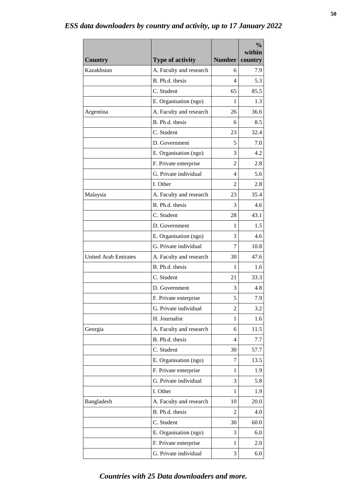| <b>Country</b>              | <b>Type of activity</b> | <b>Number</b>  | $\frac{0}{0}$<br>within<br>country |
|-----------------------------|-------------------------|----------------|------------------------------------|
| Kazakhstan                  | A. Faculty and research | 6              | 7.9                                |
|                             | B. Ph.d. thesis         | 4              | 5.3                                |
|                             | C. Student              | 65             | 85.5                               |
|                             | E. Organisation (ngo)   | 1              | 1.3                                |
| Argentina                   | A. Faculty and research | 26             | 36.6                               |
|                             | B. Ph.d. thesis         | 6              | 8.5                                |
|                             | C. Student              | 23             | 32.4                               |
|                             | D. Government           | 5              | 7.0                                |
|                             | E. Organisation (ngo)   | 3              | 4.2                                |
|                             | F. Private enterprise   | 2              | 2.8                                |
|                             | G. Private individual   | 4              | 5.6                                |
|                             | I. Other                | $\mathfrak{D}$ | 2.8                                |
| Malaysia                    | A. Faculty and research | 23             | 35.4                               |
|                             | B. Ph.d. thesis         | 3              | 4.6                                |
|                             | C. Student              | 28             | 43.1                               |
|                             | D. Government           | 1              | 1.5                                |
|                             | E. Organisation (ngo)   | 3              | 4.6                                |
|                             | G. Private individual   | 7              | 10.8                               |
| <b>United Arab Emirates</b> | A. Faculty and research | 30             | 47.6                               |
|                             | B. Ph.d. thesis         | 1              | 1.6                                |
|                             | C. Student              | 21             | 33.3                               |
|                             | D. Government           | 3              | 4.8                                |
|                             | F. Private enterprise   | 5              | 7.9                                |
|                             | G. Private individual   | 2              | 3.2                                |
|                             | H. Journalist           | 1              | 1.6                                |
| Georgia                     | A. Faculty and research | 6              | 11.5                               |
|                             | B. Ph.d. thesis         | 4              | 7.7                                |
|                             | C. Student              | 30             | 57.7                               |
|                             | E. Organisation (ngo)   | 7              | 13.5                               |
|                             | F. Private enterprise   | 1              | 1.9                                |
|                             | G. Private individual   | 3              | 5.8                                |
|                             | I. Other                | 1              | 1.9                                |
| Bangladesh                  | A. Faculty and research | 10             | 20.0                               |
|                             | B. Ph.d. thesis         | 2              | 4.0                                |
|                             | C. Student              | 30             | 60.0                               |
|                             | E. Organisation (ngo)   | 3              | 6.0                                |
|                             | F. Private enterprise   | 1              | 2.0                                |
|                             | G. Private individual   | 3              | 6.0                                |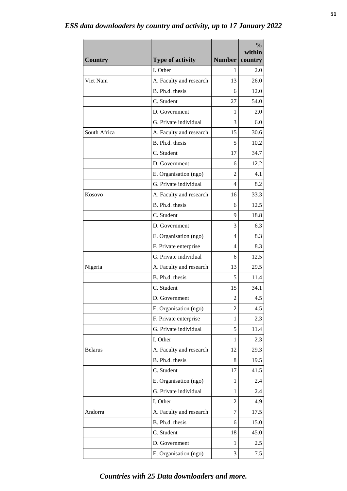|                |                         |                | $\frac{0}{0}$<br>within |
|----------------|-------------------------|----------------|-------------------------|
| <b>Country</b> | <b>Type of activity</b> | <b>Number</b>  | country                 |
|                | I. Other                | 1              | 2.0                     |
| Viet Nam       | A. Faculty and research | 13             | 26.0                    |
|                | B. Ph.d. thesis         | 6              | 12.0                    |
|                | C. Student              | 27             | 54.0                    |
|                | D. Government           | 1              | 2.0                     |
|                | G. Private individual   | 3              | 6.0                     |
| South Africa   | A. Faculty and research | 15             | 30.6                    |
|                | B. Ph.d. thesis         | 5              | 10.2                    |
|                | C. Student              | 17             | 34.7                    |
|                | D. Government           | 6              | 12.2                    |
|                | E. Organisation (ngo)   | $\overline{2}$ | 4.1                     |
|                | G. Private individual   | 4              | 8.2                     |
| Kosovo         | A. Faculty and research | 16             | 33.3                    |
|                | B. Ph.d. thesis         | 6              | 12.5                    |
|                | C. Student              | 9              | 18.8                    |
|                | D. Government           | 3              | 6.3                     |
|                | E. Organisation (ngo)   | 4              | 8.3                     |
|                | F. Private enterprise   | 4              | 8.3                     |
|                | G. Private individual   | 6              | 12.5                    |
| Nigeria        | A. Faculty and research | 13             | 29.5                    |
|                | B. Ph.d. thesis         | 5              | 11.4                    |
|                | C. Student              | 15             | 34.1                    |
|                | D. Government           | $\overline{c}$ | 4.5                     |
|                | E. Organisation (ngo)   | $\overline{2}$ | 4.5                     |
|                | F. Private enterprise   | 1              | 2.3                     |
|                | G. Private individual   | 5              | 11.4                    |
|                | I. Other                | 1              | 2.3                     |
| <b>Belarus</b> | A. Faculty and research | 12             | 29.3                    |
|                | B. Ph.d. thesis         | 8              | 19.5                    |
|                | C. Student              | 17             | 41.5                    |
|                | E. Organisation (ngo)   | 1              | 2.4                     |
|                | G. Private individual   | 1              | 2.4                     |
|                | I. Other                | 2              | 4.9                     |
| Andorra        | A. Faculty and research | 7              | 17.5                    |
|                | B. Ph.d. thesis         | 6              | 15.0                    |
|                | C. Student              | 18             | 45.0                    |
|                | D. Government           | 1              | 2.5                     |
|                | E. Organisation (ngo)   | 3              | 7.5                     |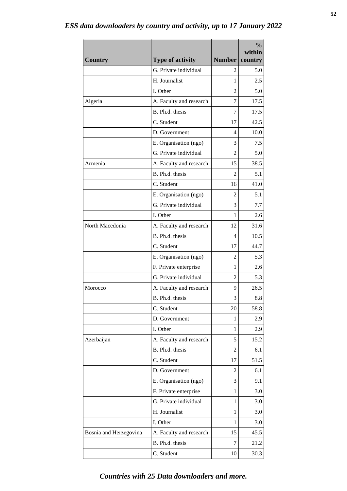| G. Private individual<br>5.0<br>2<br>H. Journalist<br>2.5<br>1<br>I. Other<br>5.0<br>2<br>17.5<br>A. Faculty and research<br>Algeria<br>7<br>B. Ph.d. thesis<br>17.5<br>7<br>C. Student<br>42.5<br>17<br>D. Government<br>10.0<br>4<br>E. Organisation (ngo)<br>7.5<br>3<br>G. Private individual<br>5.0<br>$\overline{2}$<br>Armenia<br>A. Faculty and research<br>38.5<br>15<br>B. Ph.d. thesis<br>5.1<br>2<br>C. Student<br>41.0<br>16<br>E. Organisation (ngo)<br>5.1<br>2<br>G. Private individual<br>7.7<br>3<br>I. Other<br>2.6<br>1<br>North Macedonia<br>A. Faculty and research<br>31.6<br>12<br>B. Ph.d. thesis<br>10.5<br>4<br>C. Student<br>44.7<br>17<br>E. Organisation (ngo)<br>5.3<br>2<br>F. Private enterprise<br>1<br>2.6<br>G. Private individual<br>$\overline{2}$<br>5.3<br>Morocco<br>A. Faculty and research<br>9<br>26.5<br>B. Ph.d. thesis<br>3<br>8.8<br>C. Student<br>58.8<br>20<br>D. Government<br>2.9<br>1<br>I. Other<br>1<br>2.9<br>A. Faculty and research<br>15.2<br>Azerbaijan<br>5<br>B. Ph.d. thesis<br>6.1<br>2<br>C. Student<br>51.5<br>17<br>D. Government<br>6.1<br>2<br>E. Organisation (ngo)<br>9.1<br>3<br>F. Private enterprise<br>3.0<br>1<br>G. Private individual<br>3.0<br>1<br>H. Journalist<br>3.0<br>1<br>I. Other<br>3.0<br>1 |                        |                         |               | $\frac{0}{0}$<br>within |
|--------------------------------------------------------------------------------------------------------------------------------------------------------------------------------------------------------------------------------------------------------------------------------------------------------------------------------------------------------------------------------------------------------------------------------------------------------------------------------------------------------------------------------------------------------------------------------------------------------------------------------------------------------------------------------------------------------------------------------------------------------------------------------------------------------------------------------------------------------------------------------------------------------------------------------------------------------------------------------------------------------------------------------------------------------------------------------------------------------------------------------------------------------------------------------------------------------------------------------------------------------------------------------------|------------------------|-------------------------|---------------|-------------------------|
|                                                                                                                                                                                                                                                                                                                                                                                                                                                                                                                                                                                                                                                                                                                                                                                                                                                                                                                                                                                                                                                                                                                                                                                                                                                                                      | <b>Country</b>         | <b>Type of activity</b> | <b>Number</b> | country                 |
|                                                                                                                                                                                                                                                                                                                                                                                                                                                                                                                                                                                                                                                                                                                                                                                                                                                                                                                                                                                                                                                                                                                                                                                                                                                                                      |                        |                         |               |                         |
|                                                                                                                                                                                                                                                                                                                                                                                                                                                                                                                                                                                                                                                                                                                                                                                                                                                                                                                                                                                                                                                                                                                                                                                                                                                                                      |                        |                         |               |                         |
|                                                                                                                                                                                                                                                                                                                                                                                                                                                                                                                                                                                                                                                                                                                                                                                                                                                                                                                                                                                                                                                                                                                                                                                                                                                                                      |                        |                         |               |                         |
|                                                                                                                                                                                                                                                                                                                                                                                                                                                                                                                                                                                                                                                                                                                                                                                                                                                                                                                                                                                                                                                                                                                                                                                                                                                                                      |                        |                         |               |                         |
|                                                                                                                                                                                                                                                                                                                                                                                                                                                                                                                                                                                                                                                                                                                                                                                                                                                                                                                                                                                                                                                                                                                                                                                                                                                                                      |                        |                         |               |                         |
|                                                                                                                                                                                                                                                                                                                                                                                                                                                                                                                                                                                                                                                                                                                                                                                                                                                                                                                                                                                                                                                                                                                                                                                                                                                                                      |                        |                         |               |                         |
|                                                                                                                                                                                                                                                                                                                                                                                                                                                                                                                                                                                                                                                                                                                                                                                                                                                                                                                                                                                                                                                                                                                                                                                                                                                                                      |                        |                         |               |                         |
|                                                                                                                                                                                                                                                                                                                                                                                                                                                                                                                                                                                                                                                                                                                                                                                                                                                                                                                                                                                                                                                                                                                                                                                                                                                                                      |                        |                         |               |                         |
|                                                                                                                                                                                                                                                                                                                                                                                                                                                                                                                                                                                                                                                                                                                                                                                                                                                                                                                                                                                                                                                                                                                                                                                                                                                                                      |                        |                         |               |                         |
|                                                                                                                                                                                                                                                                                                                                                                                                                                                                                                                                                                                                                                                                                                                                                                                                                                                                                                                                                                                                                                                                                                                                                                                                                                                                                      |                        |                         |               |                         |
|                                                                                                                                                                                                                                                                                                                                                                                                                                                                                                                                                                                                                                                                                                                                                                                                                                                                                                                                                                                                                                                                                                                                                                                                                                                                                      |                        |                         |               |                         |
|                                                                                                                                                                                                                                                                                                                                                                                                                                                                                                                                                                                                                                                                                                                                                                                                                                                                                                                                                                                                                                                                                                                                                                                                                                                                                      |                        |                         |               |                         |
|                                                                                                                                                                                                                                                                                                                                                                                                                                                                                                                                                                                                                                                                                                                                                                                                                                                                                                                                                                                                                                                                                                                                                                                                                                                                                      |                        |                         |               |                         |
|                                                                                                                                                                                                                                                                                                                                                                                                                                                                                                                                                                                                                                                                                                                                                                                                                                                                                                                                                                                                                                                                                                                                                                                                                                                                                      |                        |                         |               |                         |
|                                                                                                                                                                                                                                                                                                                                                                                                                                                                                                                                                                                                                                                                                                                                                                                                                                                                                                                                                                                                                                                                                                                                                                                                                                                                                      |                        |                         |               |                         |
|                                                                                                                                                                                                                                                                                                                                                                                                                                                                                                                                                                                                                                                                                                                                                                                                                                                                                                                                                                                                                                                                                                                                                                                                                                                                                      |                        |                         |               |                         |
|                                                                                                                                                                                                                                                                                                                                                                                                                                                                                                                                                                                                                                                                                                                                                                                                                                                                                                                                                                                                                                                                                                                                                                                                                                                                                      |                        |                         |               |                         |
|                                                                                                                                                                                                                                                                                                                                                                                                                                                                                                                                                                                                                                                                                                                                                                                                                                                                                                                                                                                                                                                                                                                                                                                                                                                                                      |                        |                         |               |                         |
|                                                                                                                                                                                                                                                                                                                                                                                                                                                                                                                                                                                                                                                                                                                                                                                                                                                                                                                                                                                                                                                                                                                                                                                                                                                                                      |                        |                         |               |                         |
|                                                                                                                                                                                                                                                                                                                                                                                                                                                                                                                                                                                                                                                                                                                                                                                                                                                                                                                                                                                                                                                                                                                                                                                                                                                                                      |                        |                         |               |                         |
|                                                                                                                                                                                                                                                                                                                                                                                                                                                                                                                                                                                                                                                                                                                                                                                                                                                                                                                                                                                                                                                                                                                                                                                                                                                                                      |                        |                         |               |                         |
|                                                                                                                                                                                                                                                                                                                                                                                                                                                                                                                                                                                                                                                                                                                                                                                                                                                                                                                                                                                                                                                                                                                                                                                                                                                                                      |                        |                         |               |                         |
|                                                                                                                                                                                                                                                                                                                                                                                                                                                                                                                                                                                                                                                                                                                                                                                                                                                                                                                                                                                                                                                                                                                                                                                                                                                                                      |                        |                         |               |                         |
|                                                                                                                                                                                                                                                                                                                                                                                                                                                                                                                                                                                                                                                                                                                                                                                                                                                                                                                                                                                                                                                                                                                                                                                                                                                                                      |                        |                         |               |                         |
|                                                                                                                                                                                                                                                                                                                                                                                                                                                                                                                                                                                                                                                                                                                                                                                                                                                                                                                                                                                                                                                                                                                                                                                                                                                                                      |                        |                         |               |                         |
|                                                                                                                                                                                                                                                                                                                                                                                                                                                                                                                                                                                                                                                                                                                                                                                                                                                                                                                                                                                                                                                                                                                                                                                                                                                                                      |                        |                         |               |                         |
|                                                                                                                                                                                                                                                                                                                                                                                                                                                                                                                                                                                                                                                                                                                                                                                                                                                                                                                                                                                                                                                                                                                                                                                                                                                                                      |                        |                         |               |                         |
|                                                                                                                                                                                                                                                                                                                                                                                                                                                                                                                                                                                                                                                                                                                                                                                                                                                                                                                                                                                                                                                                                                                                                                                                                                                                                      |                        |                         |               |                         |
|                                                                                                                                                                                                                                                                                                                                                                                                                                                                                                                                                                                                                                                                                                                                                                                                                                                                                                                                                                                                                                                                                                                                                                                                                                                                                      |                        |                         |               |                         |
|                                                                                                                                                                                                                                                                                                                                                                                                                                                                                                                                                                                                                                                                                                                                                                                                                                                                                                                                                                                                                                                                                                                                                                                                                                                                                      |                        |                         |               |                         |
|                                                                                                                                                                                                                                                                                                                                                                                                                                                                                                                                                                                                                                                                                                                                                                                                                                                                                                                                                                                                                                                                                                                                                                                                                                                                                      |                        |                         |               |                         |
|                                                                                                                                                                                                                                                                                                                                                                                                                                                                                                                                                                                                                                                                                                                                                                                                                                                                                                                                                                                                                                                                                                                                                                                                                                                                                      |                        |                         |               |                         |
|                                                                                                                                                                                                                                                                                                                                                                                                                                                                                                                                                                                                                                                                                                                                                                                                                                                                                                                                                                                                                                                                                                                                                                                                                                                                                      |                        |                         |               |                         |
|                                                                                                                                                                                                                                                                                                                                                                                                                                                                                                                                                                                                                                                                                                                                                                                                                                                                                                                                                                                                                                                                                                                                                                                                                                                                                      |                        |                         |               |                         |
|                                                                                                                                                                                                                                                                                                                                                                                                                                                                                                                                                                                                                                                                                                                                                                                                                                                                                                                                                                                                                                                                                                                                                                                                                                                                                      |                        |                         |               |                         |
|                                                                                                                                                                                                                                                                                                                                                                                                                                                                                                                                                                                                                                                                                                                                                                                                                                                                                                                                                                                                                                                                                                                                                                                                                                                                                      | Bosnia and Herzegovina | A. Faculty and research | 15            | 45.5                    |
| B. Ph.d. thesis<br>21.2<br>7                                                                                                                                                                                                                                                                                                                                                                                                                                                                                                                                                                                                                                                                                                                                                                                                                                                                                                                                                                                                                                                                                                                                                                                                                                                         |                        |                         |               |                         |
| C. Student<br>30.3<br>10                                                                                                                                                                                                                                                                                                                                                                                                                                                                                                                                                                                                                                                                                                                                                                                                                                                                                                                                                                                                                                                                                                                                                                                                                                                             |                        |                         |               |                         |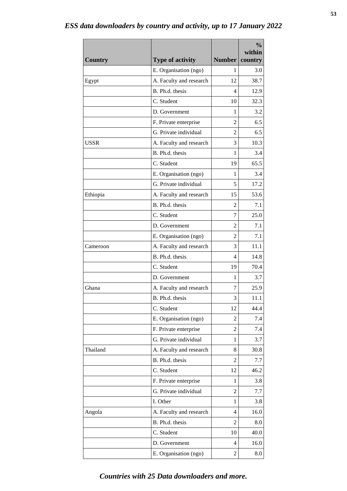| <b>Country</b> | <b>Type of activity</b> | <b>Number</b>  | $\frac{0}{0}$<br>within<br>country |
|----------------|-------------------------|----------------|------------------------------------|
|                | E. Organisation (ngo)   | 1              | 3.0                                |
| Egypt          | A. Faculty and research | 12             | 38.7                               |
|                | B. Ph.d. thesis         | 4              | 12.9                               |
|                | C. Student              | 10             | 32.3                               |
|                | D. Government           | 1              | 3.2                                |
|                | F. Private enterprise   | 2              | 6.5                                |
|                | G. Private individual   | 2              | 6.5                                |
| <b>USSR</b>    | A. Faculty and research | 3              | 10.3                               |
|                | B. Ph.d. thesis         | 1              | 3.4                                |
|                | C. Student              | 19             | 65.5                               |
|                | E. Organisation (ngo)   | 1              | 3.4                                |
|                | G. Private individual   | 5              | 17.2                               |
| Ethiopia       | A. Faculty and research | 15             | 53.6                               |
|                | B. Ph.d. thesis         | $\overline{2}$ | 7.1                                |
|                | C. Student              | 7              | 25.0                               |
|                | D. Government           | 2              | 7.1                                |
|                | E. Organisation (ngo)   | 2              | 7.1                                |
| Cameroon       | A. Faculty and research | 3              | 11.1                               |
|                | B. Ph.d. thesis         | 4              | 14.8                               |
|                | C. Student              | 19             | 70.4                               |
|                | D. Government           | 1              | 3.7                                |
| Ghana          | A. Faculty and research | 7              | 25.9                               |
|                | B. Ph.d. thesis         | 3              | 11.1                               |
|                | C. Student              | 12             | 44.4                               |
|                | E. Organisation (ngo)   | 2              | 7.4                                |
|                | F. Private enterprise   | 2              | 7.4                                |
|                | G. Private individual   | 1              | 3.7                                |
| Thailand       | A. Faculty and research | 8              | 30.8                               |
|                | B. Ph.d. thesis         | 2              | 7.7                                |
|                | C. Student              | 12             | 46.2                               |
|                | F. Private enterprise   | 1              | 3.8                                |
|                | G. Private individual   | 2              | 7.7                                |
|                | I. Other                | 1              | 3.8                                |
| Angola         | A. Faculty and research | 4              | 16.0                               |
|                | B. Ph.d. thesis         | 2              | 8.0                                |
|                | C. Student              | 10             | 40.0                               |
|                | D. Government           | 4              | 16.0                               |
|                | E. Organisation (ngo)   | 2              | 8.0                                |

#### **53**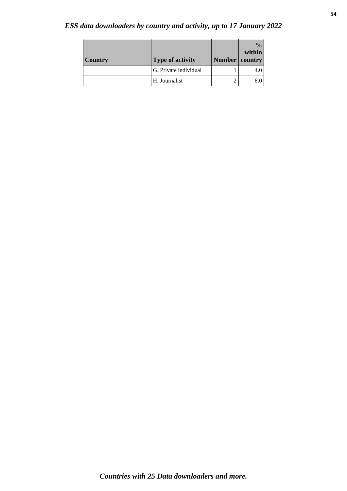# *ESS data downloaders by country and activity, up to 17 January 2022*

| <b>Country</b> | <b>Type of activity</b> | Number | $\frac{0}{0}$<br>within<br>country |
|----------------|-------------------------|--------|------------------------------------|
|                | G. Private individual   |        |                                    |
|                | H. Journalist           |        |                                    |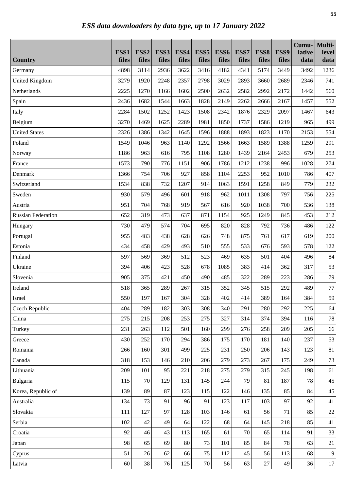|                                  | ESS1<br>files | ESS <sub>2</sub><br>files | ESS3<br>files | ESS4<br>files | ESS <sub>5</sub><br>files | ESS6<br>files | ESS7<br>files | ESS8<br>files | ESS9<br>files | Cumu-<br>lative<br>data | Multi-<br>level<br>data |
|----------------------------------|---------------|---------------------------|---------------|---------------|---------------------------|---------------|---------------|---------------|---------------|-------------------------|-------------------------|
| <b>Country</b>                   | 4898          |                           | 2936          | 3622          |                           | 4182          | 4341          |               | 3449          |                         |                         |
| Germany<br><b>United Kingdom</b> | 3279          | 3114<br>1920              | 2248          | 2357          | 3416<br>2798              | 3029          | 2893          | 5174<br>3660  | 2689          | 3492<br>2346            | 1236<br>741             |
| Netherlands                      | 2225          | 1270                      | 1166          | 1602          | 2500                      | 2632          | 2582          | 2992          | 2172          | 1442                    | 560                     |
|                                  |               |                           | 1544          |               |                           | 2149          | 2262          |               |               |                         |                         |
| Spain                            | 2436          | 1682                      |               | 1663          | 1828                      |               |               | 2666          | 2167          | 1457                    | 552                     |
| Italy                            | 2284<br>3270  | 1502<br>1469              | 1252<br>1625  | 1423<br>2289  | 1508<br>1981              | 2342<br>1850  | 1876<br>1737  | 2329<br>1586  | 2097<br>1219  | 1467<br>965             | 643<br>499              |
| Belgium<br><b>United States</b>  | 2326          | 1386                      | 1342          | 1645          | 1596                      | 1888          | 1893          | 1823          | 1170          | 2153                    | 554                     |
|                                  | 1549          | 1046                      | 963           | 1140          | 1292                      | 1566          | 1663          | 1589          | 1388          | 1259                    | 291                     |
| Poland                           |               | 963                       | 616           | 795           | 1108                      | 1280          | 1439          | 2164          | 2453          | 679                     |                         |
| Norway                           | 1186          |                           |               |               |                           |               |               |               |               |                         | 253                     |
| France                           | 1573          | 790                       | 776           | 1151          | 906                       | 1786          | 1212          | 1238          | 996           | 1028                    | 274                     |
| Denmark                          | 1366          | 754                       | 706           | 927           | 858                       | 1104          | 2253          | 952           | 1010          | 786                     | 407                     |
| Switzerland                      | 1534          | 838                       | 732           | 1207          | 914                       | 1063          | 1591          | 1258          | 849           | 779                     | 232                     |
| Sweden                           | 930           | 579                       | 496           | 601           | 918                       | 962           | 1011          | 1308          | 797           | 756                     | 225                     |
| Austria                          | 951           | 704                       | 768           | 919           | 567                       | 616           | 920           | 1038          | 700           | 536                     | 138                     |
| <b>Russian Federation</b>        | 652           | 319                       | 473           | 637           | 871                       | 1154          | 925           | 1249          | 845           | 453                     | 212                     |
| Hungary                          | 730           | 479                       | 574           | 704           | 695                       | 820           | 828           | 792           | 736           | 486                     | 122                     |
| Portugal                         | 955           | 483                       | 438           | 628           | 626                       | 748           | 875           | 761           | 617           | 619                     | 200                     |
| Estonia                          | 434           | 458                       | 429           | 493           | 510                       | 555           | 533           | 676           | 593           | 578                     | 122                     |
| Finland                          | 597           | 569                       | 369           | 512           | 523                       | 469           | 635           | 501           | 404           | 496                     | 84                      |
| Ukraine                          | 394           | 406                       | 423           | 528           | 678                       | 1085          | 383           | 414           | 362           | 317                     | 53                      |
| Slovenia                         | 905           | 375                       | 421           | 450           | 490                       | 485           | 322           | 289           | 223           | 286                     | 79                      |
| Ireland                          | 518           | 365                       | 289           | 267           | 315                       | 352           | 345           | 515           | 292           | 489                     | 77                      |
| Israel                           | 550           | 197                       | 167           | 304           | 328                       | 402           | 414           | 389           | 164           | 384                     | 59                      |
| Czech Republic                   | 404           | 289                       | 182           | 303           | 308                       | 340           | 291           | 280           | 292           | 225                     | 64                      |
| China                            | 275           | 215                       | 208           | 253           | 275                       | 327           | 314           | 374           | 394           | 116                     | 78                      |
| Turkey                           | 231           | 263                       | 112           | 501           | 160                       | 299           | 276           | 258           | 209           | 205                     | 66                      |
| Greece                           | 430           | 252                       | 170           | 294           | 386                       | 175           | 170           | 181           | 140           | 237                     | 53                      |
| Romania                          | 266           | 160                       | 301           | 499           | 225                       | 231           | 250           | 206           | 143           | 123                     | 81                      |
| Canada                           | 318           | 153                       | 146           | 210           | 206                       | 279           | 273           | 267           | 175           | 249                     | 73                      |
| Lithuania                        | 209           | 101                       | 95            | 221           | 218                       | 275           | 279           | 315           | 245           | 198                     | 61                      |
| Bulgaria                         | 115           | 70                        | 129           | 131           | 145                       | 244           | 79            | 81            | 187           | 78                      | 45                      |
| Korea, Republic of               | 139           | 89                        | 87            | 123           | 115                       | 122           | 146           | 135           | 85            | 84                      | 45                      |
| Australia                        | 134           | 73                        | 91            | 96            | 91                        | 123           | 117           | 103           | 97            | 92                      | 41                      |
| Slovakia                         | 111           | 127                       | 97            | 128           | 103                       | 146           | 61            | 56            | 71            | 85                      | $22\,$                  |
| Serbia                           | 102           | 42                        | 49            | 64            | 122                       | 68            | 64            | 145           | 218           | 85                      | 41                      |
| Croatia                          | 92            | 46                        | 43            | 113           | 165                       | 61            | 70            | 65            | 114           | 91                      | 33                      |
| Japan                            | 98            | 65                        | 69            | 80            | 73                        | 101           | 85            | 84            | $78\,$        | 63                      | 21                      |
| Cyprus                           | 51            | 26                        | 62            | 66            | 75                        | 112           | 45            | 56            | 113           | 68                      | 9                       |
| Latvia                           | 60            | 38                        | 76            | 125           | 70                        | 56            | 63            | 27            | 49            | 36                      | 17                      |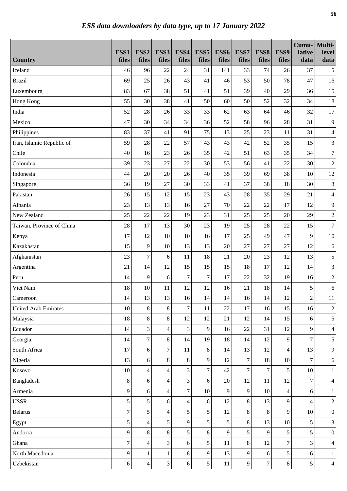| <b>Country</b>              | ESS1<br>files  | ESS <sub>2</sub><br>files | ESS3<br>files            | ESS4<br>files    | ESS <sub>5</sub><br>files | ESS6<br>files | ESS7<br>files  | ESS8<br>files  | ESS9<br>files  | Cumu-<br>lative<br>data  | Multi-<br>level<br>data |
|-----------------------------|----------------|---------------------------|--------------------------|------------------|---------------------------|---------------|----------------|----------------|----------------|--------------------------|-------------------------|
| Iceland                     | 46             | 96                        | 22                       | 24               | 31                        | 141           | 33             | 74             | 26             | 37                       | $\mathfrak s$           |
| <b>Brazil</b>               | 69             | 25                        | 26                       | 43               | 41                        | 46            | 53             | 50             | 78             | 47                       | 16                      |
| Luxembourg                  | 83             | 67                        | 38                       | 51               | 41                        | 51            | 39             | 40             | 29             | 36                       | 15                      |
| Hong Kong                   | 55             | 30                        | 38                       | 41               | 50                        | 60            | 50             | 52             | 32             | 34                       | $18\,$                  |
| India                       | 52             | 28                        | 26                       | 33               | 33                        | 62            | 63             | 64             | 46             | 32                       | 17                      |
| Mexico                      | 47             | 30                        | 34                       | 34               | 36                        | 52            | 58             | 96             | 28             | 31                       | $\overline{9}$          |
| Philippines                 | 83             | 37                        | 41                       | 91               | 75                        | 13            | 25             | 23             | 11             | 31                       | $\overline{4}$          |
| Iran, Islamic Republic of   | 59             | 28                        | 22                       | 57               | 43                        | 43            | 42             | 52             | 35             | 15                       | 3                       |
| Chile                       | 40             | 16                        | 23                       | 26               | 35                        | 42            | 51             | 63             | 35             | 34                       | $\tau$                  |
| Colombia                    | 39             | 23                        | 27                       | 22               | 30                        | 53            | 56             | 41             | 22             | 30                       | 12                      |
| Indonesia                   | 44             | 20                        | 20                       | 26               | 40                        | 35            | 39             | 69             | 38             | 10                       | 12                      |
| Singapore                   | 36             | 19                        | 27                       | 30               | 33                        | 41            | 37             | 38             | 18             | 30                       | $8\,$                   |
| Pakistan                    | 26             | 15                        | 12                       | 15               | 23                        | 43            | 28             | 35             | 29             | 21                       | $\overline{4}$          |
| Albania                     | 23             | 13                        | 13                       | 16               | 27                        | 70            | 22             | 22             | 17             | 12                       | 9                       |
| New Zealand                 | 25             | 22                        | 22                       | 19               | 23                        | 31            | 25             | 25             | $20\,$         | 29                       | $\sqrt{2}$              |
| Taiwan, Province of China   | 28             | 17                        | 13                       | 30               | 23                        | 19            | 25             | 28             | 22             | 15                       | $\boldsymbol{7}$        |
| Kenya                       | 17             | 12                        | 10                       | 10               | 16                        | 17            | 25             | 49             | 47             | 9                        | $10\,$                  |
| Kazakhstan                  | 15             | 9                         | 10                       | 13               | 13                        | 20            | 27             | 27             | 27             | 12                       | $6\,$                   |
| Afghanistan                 | 23             | $\overline{7}$            | 6                        | 11               | 18                        | 21            | 20             | 23             | 12             | 13                       | 5                       |
| Argentina                   | 21             | 14                        | 12                       | 15               | 15                        | 15            | 18             | 17             | 12             | 14                       | 3                       |
| Peru                        | 14             | 9                         | 6                        | $\boldsymbol{7}$ | $\overline{7}$            | 17            | 22             | 32             | 19             | 16                       | $\sqrt{2}$              |
| Viet Nam                    | 18             | 10                        | 11                       | 12               | 12                        | 16            | 21             | 18             | 14             | 5                        | $6\,$                   |
| Cameroon                    | 14             | 13                        | 13                       | 16               | 14                        | 14            | 16             | 14             | 12             | $\overline{2}$           | 11                      |
| <b>United Arab Emirates</b> | 10             | 8                         | 8                        | $\overline{7}$   | 11                        | 22            | 17             | 16             | 15             | 16                       | $\sqrt{2}$              |
| Malaysia                    | 18             | 8                         | 8                        | 12               | 12                        | 21            | 12             | 14             | 15             | 6                        | 5                       |
| Ecuador                     | 14             | 3                         | $\overline{\mathcal{L}}$ | 3                | 9                         | 16            | 22             | 31             | 12             | 9                        | $\overline{4}$          |
| Georgia                     | 14             | $\overline{7}$            | 8                        | 14               | 19                        | $18\,$        | 14             | 12             | 9              | $\overline{7}$           | 5                       |
| South Africa                | 17             | 6                         | $\tau$                   | 11               | 8                         | 14            | 13             | 12             | $\overline{4}$ | 13                       | 9                       |
| Nigeria                     | 13             | 6                         | 8                        | $\,8\,$          | 9                         | 12            | $\overline{7}$ | 18             | 10             | $\overline{7}$           | $6\,$                   |
| Kosovo                      | 10             | $\overline{4}$            | $\overline{4}$           | 3                | $\overline{7}$            | 42            | $\overline{7}$ | $\overline{7}$ | 5              | 10                       | $\,1$                   |
| Bangladesh                  | 8              | 6                         | $\overline{4}$           | 3                | 6                         | $20\,$        | 12             | 11             | 12             | $\overline{7}$           | $\overline{4}$          |
| Armenia                     | 9              | 6                         | $\overline{4}$           | $\boldsymbol{7}$ | 10                        | 9             | 9              | 10             | 4              | 6                        | $\mathbf{1}$            |
| <b>USSR</b>                 | 5              | 5                         | 6                        | $\overline{4}$   | 6                         | 12            | $8\,$          | 13             | 9              | $\overline{\mathcal{L}}$ | $\sqrt{2}$              |
| <b>Belarus</b>              | $\overline{7}$ | 5                         | $\overline{4}$           | 5                | 5                         | 12            | 8              | 8              | 9              | 10                       | $\boldsymbol{0}$        |
| Egypt                       | 5              | $\overline{\mathcal{L}}$  | 5                        | 9                | 5                         | 5             | $8\,$          | 13             | $10\,$         | 5                        | 3                       |
| Andorra                     | 9              | 8                         | 8                        | 5                | 8                         | 9             | 5              | 9              | 5              | 5                        | $\boldsymbol{0}$        |
| Ghana                       | $\tau$         | $\overline{\mathcal{L}}$  | 3                        | 6                | 5                         | 11            | $8\,$          | 12             | 7              | 3                        | $\overline{4}$          |
| North Macedonia             | 9              | $\mathbf{1}$              | $\mathbf{1}$             | 8                | 9                         | 13            | 9              | 6              | 5              | 6                        | $\mathbf{1}$            |
| Uzbekistan                  | $6\,$          | $\overline{\mathcal{L}}$  | 3                        | 6                | 5                         | 11            | 9              | $\tau$         | $8\,$          | 5                        | $\overline{4}$          |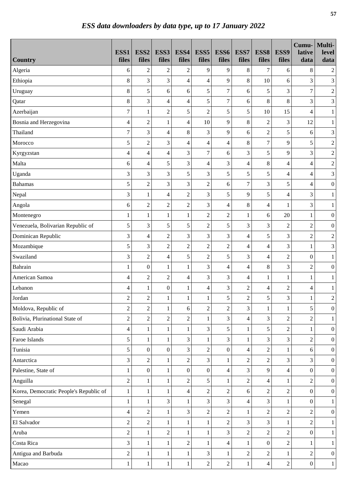|                                        | ESS1             | ESS <sub>2</sub> | ESS3             | ESS4                     | ESS <sub>5</sub> | ESS6             | ESS7             | ESS8             | ESS9                     | Cumu-<br>lative          | Multi-<br>level             |
|----------------------------------------|------------------|------------------|------------------|--------------------------|------------------|------------------|------------------|------------------|--------------------------|--------------------------|-----------------------------|
| <b>Country</b>                         | files            | files            | files            | files                    | files            | files            | files            | files            | files                    | data                     | data                        |
| Algeria                                | 6                | $\mathfrak 2$    | $\mathfrak{2}$   | $\sqrt{2}$               | 9                | 9                | 8                | 7                | 6                        | 8                        | $\overline{c}$              |
| Ethiopia                               | $8\,$            | 3                | 3                | $\overline{4}$           | 4                | 9                | $\,$ 8 $\,$      | 10               | 6                        | 3                        | 3                           |
| Uruguay                                | 8                | 5                | 6                | 6                        | 5                | $\boldsymbol{7}$ | 6                | 5                | 3                        | $\boldsymbol{7}$         | $\boldsymbol{2}$            |
| Qatar                                  | $\,8\,$          | 3                | 4                | $\overline{4}$           | 5                | $\sqrt{ }$       | $\sqrt{6}$       | 8                | $8\,$                    | 3                        | $\ensuremath{\mathfrak{Z}}$ |
| Azerbaijan                             | $\boldsymbol{7}$ | $\mathbf{1}$     | $\overline{2}$   | 5                        | $\overline{2}$   | 5                | 5                | 10               | 15                       | 4                        | $\,1$                       |
| Bosnia and Herzegovina                 | $\overline{4}$   | $\overline{2}$   | $\mathbf{1}$     | $\overline{4}$           | 10               | 9                | $8\,$            | $\overline{2}$   | 3                        | 12                       | $\mathbf{1}$                |
| Thailand                               | $\overline{7}$   | 3                | $\overline{4}$   | 8                        | 3                | 9                | 6                | $\overline{2}$   | 5                        | 6                        | 3                           |
| Morocco                                | 5                | $\overline{2}$   | 3                | 4                        | 4                | $\overline{4}$   | $\,8\,$          | $\overline{7}$   | 9                        | 5                        | $\boldsymbol{2}$            |
| Kyrgyzstan                             | $\overline{4}$   | 4                | $\overline{4}$   | 3                        | $\overline{7}$   | 6                | 3                | 5                | 9                        | 3                        | $\sqrt{2}$                  |
| Malta                                  | 6                | 4                | 5                | 3                        | $\overline{4}$   | 3                | $\overline{4}$   | 8                | $\overline{\mathcal{A}}$ | $\overline{\mathbf{4}}$  | $\sqrt{2}$                  |
| Uganda                                 | 3                | 3                | 3                | 5                        | 3                | 5                | 5                | 5                | $\overline{4}$           | $\overline{\mathbf{4}}$  | 3                           |
| <b>Bahamas</b>                         | 5                | $\overline{2}$   | 3                | 3                        | $\overline{c}$   | 6                | $\overline{7}$   | 3                | 5                        | $\overline{\mathcal{L}}$ | $\boldsymbol{0}$            |
| Nepal                                  | 3                | $\mathbf{1}$     | $\overline{4}$   | $\boldsymbol{2}$         | 3                | 5                | 9                | 5                | $\overline{4}$           | 3                        | $\mathbf{1}$                |
| Angola                                 | 6                | $\overline{2}$   | $\overline{2}$   | $\sqrt{2}$               | 3                | $\overline{4}$   | $8\,$            | 4                | 1                        | 3                        | $\mathbf{1}$                |
| Montenegro                             | 1                | $\mathbf{1}$     | $\mathbf{1}$     | $\mathbf{1}$             | $\overline{c}$   | $\overline{c}$   | $\mathbf{1}$     | 6                | 20                       | $\mathbf{1}$             | $\boldsymbol{0}$            |
| Venezuela, Bolivarian Republic of      | 5                | 3                | 5                | 5                        | $\overline{c}$   | 5                | 3                | 3                | $\boldsymbol{2}$         | $\overline{2}$           | $\boldsymbol{0}$            |
| Dominican Republic                     | 3                | $\overline{4}$   | $\overline{2}$   | 3                        | 3                | 3                | $\overline{4}$   | 5                | 3                        | $\overline{2}$           | $\sqrt{2}$                  |
| Mozambique                             | 5                | 3                | $\overline{2}$   | $\sqrt{2}$               | $\sqrt{2}$       | $\overline{c}$   | $\overline{4}$   | 4                | 3                        | 1                        | $\mathfrak{Z}$              |
| Swaziland                              | 3                | $\overline{c}$   | $\overline{4}$   | 5                        | $\overline{2}$   | 5                | 3                | 4                | $\mathfrak{2}$           | $\boldsymbol{0}$         | $\,1$                       |
| Bahrain                                | 1                | $\boldsymbol{0}$ | $\mathbf{1}$     | $\mathbf{1}$             | 3                | $\overline{4}$   | $\overline{4}$   | 8                | 3                        | $\overline{2}$           | $\boldsymbol{0}$            |
| American Samoa                         | $\overline{4}$   | $\overline{c}$   | $\sqrt{2}$       | $\overline{\mathcal{L}}$ | 3                | 3                | $\overline{4}$   | 1                | $\mathbf{1}$             | $\mathbf{1}$             | $\mathbf{1}$                |
| Lebanon                                | 4                | $\mathbf{1}$     | $\boldsymbol{0}$ | 1                        | 4                | 3                | $\sqrt{2}$       | 4                | $\sqrt{2}$               | $\overline{\mathcal{L}}$ | $\mathbf{1}$                |
| Jordan                                 | $\overline{2}$   | $\overline{2}$   | $\mathbf{1}$     | 1                        | $\mathbf{1}$     | 5                | $\sqrt{2}$       | 5                | 3                        | 1                        | $\sqrt{2}$                  |
| Moldova, Republic of                   | $\sqrt{2}$       | $\overline{2}$   | $\mathbf{1}$     | 6                        | $\overline{c}$   | $\overline{2}$   | 3                | $\mathbf{1}$     | $\mathbf{1}$             | 5                        | $\boldsymbol{0}$            |
| Bolivia, Plurinational State of        | $\overline{2}$   | $\overline{c}$   | $\overline{2}$   | $\sqrt{2}$               | $\mathbf{1}$     | 3                | $\overline{4}$   | 3                | $\overline{2}$           | $\overline{2}$           | $\mathbf{1}$                |
| Saudi Arabia                           | $\overline{4}$   | $\mathbf{1}$     | $\mathbf{1}$     | $\mathbf{1}$             | 3                | 5                | $\mathbf{1}$     | 5                | $\overline{2}$           | 1                        | $\boldsymbol{0}$            |
| Faroe Islands                          | 5                | $\mathbf{1}$     | $\mathbf{1}$     | 3                        | $\mathbf{1}$     | 3                | $\mathbf{1}$     | 3                | $\overline{3}$           | $\overline{c}$           | $\boldsymbol{0}$            |
| Tunisia                                | 5                | $\boldsymbol{0}$ | $\boldsymbol{0}$ | 3                        | $\overline{c}$   | $\boldsymbol{0}$ | $\overline{4}$   | $\overline{2}$   | 1                        | 6                        | $\boldsymbol{0}$            |
| Antarctica                             | 3                | $\overline{c}$   | $\mathbf{1}$     | $\overline{2}$           | 3                | $\mathbf{1}$     | $\sqrt{2}$       | $\overline{2}$   | 3                        | 3                        | $\boldsymbol{0}$            |
| Palestine, State of                    | 1                | $\mathbf{0}$     | $\mathbf{1}$     | $\mathbf{0}$             | $\overline{0}$   | $\overline{4}$   | 3                | 9                | $\overline{4}$           | $\overline{0}$           | $\mathbf{0}$                |
| Anguilla                               | $\overline{2}$   | $\mathbf{1}$     | $\mathbf{1}$     | $\overline{2}$           | 5                | $\mathbf{1}$     | $\overline{2}$   | 4                | 1                        | $\overline{2}$           | $\mathbf{0}$                |
| Korea, Democratic People's Republic of | $\mathbf{1}$     | $\mathbf{1}$     | $\mathbf{1}$     | 4                        | $\overline{c}$   | $\overline{c}$   | 6                | $\overline{2}$   | $\overline{2}$           | $\boldsymbol{0}$         | $\mathbf{0}$                |
| Senegal                                | $\mathbf{1}$     | 1                | 3                | 1                        | 3                | 3                | $\overline{4}$   | 3                | 1                        | $\boldsymbol{0}$         | $\mathbf{1}$                |
| Yemen                                  | $\overline{4}$   | $\overline{c}$   | $\mathbf{1}$     | 3                        | $\overline{c}$   | $\sqrt{2}$       | $\mathbf{1}$     | $\overline{c}$   | $\overline{2}$           | $\overline{2}$           | $\boldsymbol{0}$            |
| El Salvador                            | $\overline{c}$   | $\overline{2}$   | $\mathbf{1}$     | $\mathbf{1}$             | $\mathbf{1}$     | $\sqrt{2}$       | 3                | 3                | 1                        | $\overline{c}$           | $\mathbf{1}$                |
| Aruba                                  | $\overline{2}$   | 1                | $\overline{c}$   | 1                        | 1                | 3                | $\mathbf{2}$     | $\overline{c}$   | $\overline{2}$           | $\overline{0}$           | $\mathbf{1}$                |
| Costa Rica                             | 3                | $\mathbf{1}$     | $\mathbf{1}$     | $\sqrt{2}$               | $\mathbf{1}$     | $\overline{4}$   | $\mathbf{1}$     | $\boldsymbol{0}$ | $\overline{2}$           | 1                        | $\mathbf{1}$                |
| Antigua and Barbuda                    | $\overline{2}$   | $\mathbf{1}$     | $\mathbf{1}$     | 1                        | 3                | 1                | $\boldsymbol{2}$ | $\overline{c}$   |                          | $\overline{c}$           | $\mathbf{0}$                |
| Macao                                  | $\mathbf{1}$     | $\mathbf{1}$     | $\mathbf{1}$     | $\mathbf{1}$             | $\overline{c}$   | $\boldsymbol{2}$ | $\mathbf{1}$     | $\overline{4}$   | $\sqrt{2}$               | $\boldsymbol{0}$         | $\mathbf{1}$                |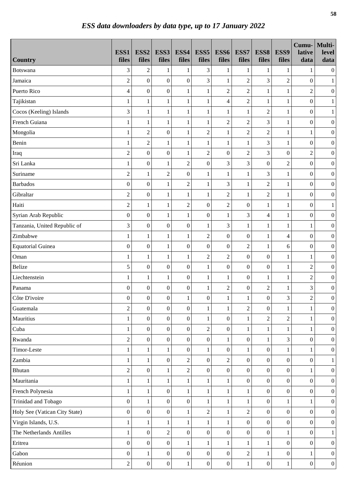|                               | ESS1             | ESS <sub>2</sub> | ESS3             | ESS4             | ESS <sub>5</sub> | ESS6             | ESS7             | ESS8             | ESS9             | Cumu-<br>lative  | Multi-<br>level  |
|-------------------------------|------------------|------------------|------------------|------------------|------------------|------------------|------------------|------------------|------------------|------------------|------------------|
| <b>Country</b>                | files            | files            | files            | files            | files            | files            | files            | files            | files            | data             | data             |
| Botswana                      | 3                | $\sqrt{2}$       | $\mathbf{1}$     | $\mathbf{1}$     | 3                | $\mathbf{1}$     | $\mathbf{1}$     | $\mathbf{1}$     | $\mathbf{1}$     | 1                | $\boldsymbol{0}$ |
| Jamaica                       | $\overline{c}$   | $\boldsymbol{0}$ | $\boldsymbol{0}$ | $\boldsymbol{0}$ | 3                | $\mathbf{1}$     | $\overline{c}$   | 3                | $\sqrt{2}$       | $\boldsymbol{0}$ | $\mathbf{1}$     |
| Puerto Rico                   | $\overline{4}$   | $\boldsymbol{0}$ | $\boldsymbol{0}$ | $\mathbf{1}$     | $\mathbf{1}$     | $\overline{c}$   | $\overline{c}$   | $\mathbf{1}$     | $\mathbf{1}$     | $\overline{c}$   | $\boldsymbol{0}$ |
| Tajikistan                    | 1                | $\,1$            | $\mathbf{1}$     | $\mathbf{1}$     | $\mathbf{1}$     | 4                | $\overline{c}$   | $\mathbf{1}$     | $\mathbf{1}$     | $\boldsymbol{0}$ | $\mathbf{1}$     |
| Cocos (Keeling) Islands       | 3                | $\mathbf{1}$     | $\mathbf{1}$     | $\mathbf{1}$     | $\mathbf{1}$     | $\,1$            | $\mathbf{1}$     | $\overline{2}$   | $\mathbf{1}$     | $\boldsymbol{0}$ | $\,1$            |
| French Guiana                 | $\mathbf{1}$     | $\mathbf{1}$     | $\mathbf{1}$     | $\mathbf{1}$     | $\mathbf{1}$     | $\overline{2}$   | $\overline{2}$   | $\overline{3}$   | $\mathbf{1}$     | $\boldsymbol{0}$ | $\boldsymbol{0}$ |
| Mongolia                      | 1                | $\overline{2}$   | $\boldsymbol{0}$ | $\mathbf{1}$     | $\overline{c}$   | $\,1$            | $\overline{c}$   | $\overline{2}$   | 1                | 1                | $\boldsymbol{0}$ |
| Benin                         | 1                | $\overline{c}$   | $\mathbf{1}$     | 1                | $\mathbf{1}$     | $\mathbf{1}$     | $\mathbf{1}$     | 3                | 1                | $\boldsymbol{0}$ | $\boldsymbol{0}$ |
| Iraq                          | $\overline{c}$   | $\boldsymbol{0}$ | $\boldsymbol{0}$ | $\mathbf{1}$     | $\overline{c}$   | $\boldsymbol{0}$ | $\overline{2}$   | 3                | $\boldsymbol{0}$ | $\overline{2}$   | $\boldsymbol{0}$ |
| Sri Lanka                     | $\mathbf{1}$     | $\boldsymbol{0}$ | $\mathbf{1}$     | $\sqrt{2}$       | $\overline{0}$   | 3                | 3                | $\boldsymbol{0}$ | $\overline{c}$   | $\overline{0}$   | $\boldsymbol{0}$ |
| Suriname                      | $\overline{c}$   | $\mathbf{1}$     | $\overline{c}$   | $\boldsymbol{0}$ | $\mathbf{1}$     | $\mathbf{1}$     | $\mathbf{1}$     | 3                | $\mathbf{1}$     | $\boldsymbol{0}$ | $\boldsymbol{0}$ |
| <b>Barbados</b>               | $\boldsymbol{0}$ | $\boldsymbol{0}$ | $\mathbf{1}$     | $\sqrt{2}$       | $\mathbf{1}$     | 3                | $\mathbf{1}$     | $\overline{c}$   | $\mathbf{1}$     | $\boldsymbol{0}$ | $\boldsymbol{0}$ |
| Gibraltar                     | $\sqrt{2}$       | $\boldsymbol{0}$ | $\mathbf{1}$     | $\mathbf{1}$     | $\mathbf{1}$     | $\overline{2}$   | $\mathbf{1}$     | $\overline{c}$   | $\mathbf{1}$     | $\boldsymbol{0}$ | $\boldsymbol{0}$ |
| Haiti                         | $\sqrt{2}$       | $\mathbf{1}$     | $\mathbf{1}$     | $\sqrt{2}$       | $\boldsymbol{0}$ | $\overline{2}$   | $\boldsymbol{0}$ | 1                | 1                | $\boldsymbol{0}$ | $\mathbf{1}$     |
| Syrian Arab Republic          | $\boldsymbol{0}$ | $\boldsymbol{0}$ | $\mathbf{1}$     | $\mathbf{1}$     | $\boldsymbol{0}$ | $\,1$            | $\mathfrak{Z}$   | 4                | $\mathbf{1}$     | $\boldsymbol{0}$ | $\boldsymbol{0}$ |
| Tanzania, United Republic of  | 3                | $\boldsymbol{0}$ | $\boldsymbol{0}$ | $\boldsymbol{0}$ | $\mathbf{1}$     | 3                | $\mathbf{1}$     | 1                | $\mathbf{1}$     | 1                | $\boldsymbol{0}$ |
| Zimbabwe                      | 1                | $\mathbf{1}$     | $\mathbf{1}$     | $\mathbf{1}$     | $\overline{c}$   | $\boldsymbol{0}$ | $\boldsymbol{0}$ | $\mathbf{1}$     | $\overline{4}$   | $\boldsymbol{0}$ | $\boldsymbol{0}$ |
| <b>Equatorial Guinea</b>      | $\boldsymbol{0}$ | $\boldsymbol{0}$ | $\mathbf{1}$     | $\boldsymbol{0}$ | $\boldsymbol{0}$ | $\boldsymbol{0}$ | $\overline{c}$   | 1                | 6                | $\boldsymbol{0}$ | $\boldsymbol{0}$ |
| Oman                          | $\mathbf{1}$     | $\mathbf{1}$     | $\mathbf{1}$     | $\mathbf{1}$     | $\overline{c}$   | $\overline{2}$   | $\boldsymbol{0}$ | $\boldsymbol{0}$ | $\mathbf{1}$     | 1                | $\boldsymbol{0}$ |
| <b>Belize</b>                 | 5                | $\boldsymbol{0}$ | $\boldsymbol{0}$ | $\boldsymbol{0}$ | $\mathbf{1}$     | $\boldsymbol{0}$ | $\boldsymbol{0}$ | $\boldsymbol{0}$ | $\mathbf{1}$     | $\overline{2}$   | $\boldsymbol{0}$ |
| Liechtenstein                 | $\mathbf{1}$     | $\mathbf{1}$     | $\mathbf{1}$     | $\boldsymbol{0}$ | $\mathbf 1$      | $\,1$            | $\boldsymbol{0}$ | 1                | $\mathbf{1}$     | $\overline{c}$   | $\boldsymbol{0}$ |
| Panama                        | $\boldsymbol{0}$ | $\boldsymbol{0}$ | $\boldsymbol{0}$ | $\boldsymbol{0}$ | $\,1$            | $\overline{c}$   | $\boldsymbol{0}$ | $\overline{c}$   | 1                | 3                | $\boldsymbol{0}$ |
| Côte D'ivoire                 | $\boldsymbol{0}$ | $\mathbf{0}$     | $\overline{0}$   | 1                | $\overline{0}$   | $\mathbf{1}$     | $\mathbf{1}$     | $\boldsymbol{0}$ | 3                | $\overline{2}$   | $\overline{0}$   |
| Guatemala                     | $\sqrt{2}$       | $\boldsymbol{0}$ | $\boldsymbol{0}$ | $\boldsymbol{0}$ | $\,1$            | $\mathbf{1}$     | $\sqrt{2}$       | $\boldsymbol{0}$ | $\mathbf{1}$     | 1                | $\boldsymbol{0}$ |
| Mauritius                     | $\mathbf{1}$     | $\boldsymbol{0}$ | $\boldsymbol{0}$ | $\mathbf{0}$     | $\mathbf{1}$     | $\boldsymbol{0}$ | $\mathbf{1}$     | $\overline{c}$   | $\overline{2}$   | $\mathbf{1}$     | $\boldsymbol{0}$ |
| Cuba                          | 1                | $\boldsymbol{0}$ | $\boldsymbol{0}$ | $\boldsymbol{0}$ | $\overline{c}$   | $\boldsymbol{0}$ | $\mathbf{1}$     | $\mathbf{1}$     | 1                | 1                | $\boldsymbol{0}$ |
| Rwanda                        | $\sqrt{2}$       | $\boldsymbol{0}$ | $\boldsymbol{0}$ | $\boldsymbol{0}$ | $\boldsymbol{0}$ | $\,1$            | $\boldsymbol{0}$ | $\mathbf{1}$     | $\overline{3}$   | $\boldsymbol{0}$ | $\boldsymbol{0}$ |
| Timor-Leste                   | $\mathbf{1}$     | $\mathbf{1}$     | $\mathbf{1}$     | $\mathbf{0}$     | $\mathbf{1}$     | $\boldsymbol{0}$ | $\mathbf{1}$     | $\boldsymbol{0}$ | 1                | 1                | $\boldsymbol{0}$ |
| Zambia                        | $\mathbf{1}$     | $\mathbf{1}$     | $\boldsymbol{0}$ | $\overline{2}$   | $\overline{0}$   | $\overline{c}$   | $\mathbf{0}$     | $\overline{0}$   | $\boldsymbol{0}$ | $\overline{0}$   | $\mathbf{1}$     |
| <b>Bhutan</b>                 | $\overline{2}$   | $\mathbf{0}$     | $\mathbf{1}$     | $\overline{2}$   | $\overline{0}$   | $\boldsymbol{0}$ | $\mathbf{0}$     | $\overline{0}$   | $\boldsymbol{0}$ | 1                | $\boldsymbol{0}$ |
| Mauritania                    | 1                | $\mathbf{1}$     | $\mathbf{1}$     | $\mathbf{1}$     | $\mathbf{1}$     | $\,1$            | $\boldsymbol{0}$ | $\overline{0}$   | $\boldsymbol{0}$ | $\overline{0}$   | $\mathbf{0}$     |
| French Polynesia              | $\mathbf{1}$     | $\mathbf{1}$     | $\boldsymbol{0}$ | $\mathbf{1}$     | $\mathbf{1}$     | $\mathbf{1}$     | $\mathbf{1}$     | $\overline{0}$   | $\boldsymbol{0}$ | $\overline{0}$   | $\mathbf{0}$     |
| Trinidad and Tobago           | $\mathbf{0}$     | 1                | $\boldsymbol{0}$ | $\boldsymbol{0}$ | $\mathbf{1}$     | $\mathbf{1}$     | $\mathbf{1}$     | $\boldsymbol{0}$ | 1                | 1                | $\mathbf{0}$     |
| Holy See (Vatican City State) | $\mathbf{0}$     | $\mathbf{0}$     | $\boldsymbol{0}$ | $\mathbf{1}$     | $\overline{2}$   | $\mathbf{1}$     | $\overline{2}$   | $\overline{0}$   | $\overline{0}$   | $\overline{0}$   | $\mathbf{0}$     |
| Virgin Islands, U.S.          | 1                | 1                | $\mathbf{1}$     | $\mathbf{1}$     | $\mathbf{1}$     | $\mathbf{1}$     | $\boldsymbol{0}$ | $\overline{0}$   | $\boldsymbol{0}$ | $\boldsymbol{0}$ | $\boldsymbol{0}$ |
| The Netherlands Antilles      | 1                | $\boldsymbol{0}$ | $\sqrt{2}$       | $\boldsymbol{0}$ | $\overline{0}$   | $\boldsymbol{0}$ | $\boldsymbol{0}$ | $\boldsymbol{0}$ |                  | $\overline{0}$   | $\mathbf{1}$     |
| Eritrea                       | $\boldsymbol{0}$ | $\boldsymbol{0}$ | $\boldsymbol{0}$ | $\mathbf{1}$     | $\mathbf{1}$     | $\mathbf{1}$     | $\mathbf{1}$     | 1                | $\boldsymbol{0}$ | $\boldsymbol{0}$ | $\boldsymbol{0}$ |
| Gabon                         | $\boldsymbol{0}$ | 1                | $\boldsymbol{0}$ | $\boldsymbol{0}$ | $\boldsymbol{0}$ | $\boldsymbol{0}$ | $\boldsymbol{2}$ | 1                | $\boldsymbol{0}$ | 1                | $\mathbf{0}$     |
| Réunion                       | $\overline{2}$   | $\boldsymbol{0}$ | $\boldsymbol{0}$ | $\mathbf{1}$     | $\boldsymbol{0}$ | $\boldsymbol{0}$ | $\,1$            | $\boldsymbol{0}$ | $\mathbf{1}$     | $\boldsymbol{0}$ | $\boldsymbol{0}$ |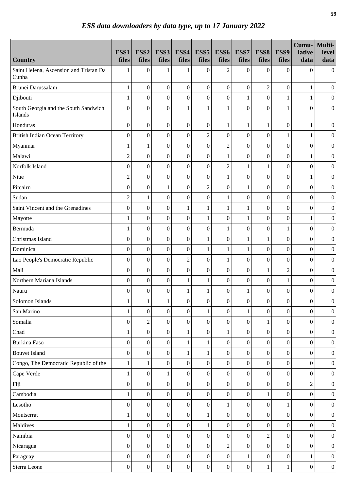|                                                 | ESS1<br>files    | ESS <sub>2</sub><br>files | ESS3<br>files    | ESS4<br>files    | ESS <sub>5</sub><br>files | ESS6<br>files    | ESS7<br>files    | ESS8<br>files    | ESS9<br>files    | Cumu-<br>lative<br>data | Multi-<br>level<br>data |
|-------------------------------------------------|------------------|---------------------------|------------------|------------------|---------------------------|------------------|------------------|------------------|------------------|-------------------------|-------------------------|
| <b>Country</b>                                  |                  |                           |                  |                  |                           |                  |                  |                  |                  |                         |                         |
| Saint Helena, Ascension and Tristan Da<br>Cunha | 1                | $\overline{0}$            | 1                | 1                | $\overline{0}$            | $\overline{2}$   | $\boldsymbol{0}$ | $\mathbf{0}$     | $\Omega$         | $\Omega$                | $\overline{0}$          |
| Brunei Darussalam                               | $\mathbf{1}$     | $\boldsymbol{0}$          | $\boldsymbol{0}$ | $\mathbf{0}$     | $\overline{0}$            | $\boldsymbol{0}$ | $\mathbf{0}$     | $\overline{2}$   | $\mathbf{0}$     | $\mathbf 1$             | $\boldsymbol{0}$        |
| Djibouti                                        | $\mathbf{1}$     | $\boldsymbol{0}$          | $\boldsymbol{0}$ | $\boldsymbol{0}$ | $\boldsymbol{0}$          | $\boldsymbol{0}$ | $\mathbf{1}$     | $\boldsymbol{0}$ | $\mathbf{1}$     | 1                       | $\boldsymbol{0}$        |
| South Georgia and the South Sandwich<br>Islands | $\overline{0}$   | $\boldsymbol{0}$          | $\boldsymbol{0}$ | $\mathbf{1}$     | $\mathbf{1}$              | $\mathbf{1}$     | $\overline{0}$   | $\boldsymbol{0}$ | $\mathbf{1}$     | $\theta$                | $\overline{0}$          |
| Honduras                                        | $\boldsymbol{0}$ | $\boldsymbol{0}$          | $\boldsymbol{0}$ | $\mathbf{0}$     | $\boldsymbol{0}$          | $\mathbf{1}$     | $\mathbf{1}$     | $\mathbf{1}$     | $\boldsymbol{0}$ | 1                       | $\boldsymbol{0}$        |
| <b>British Indian Ocean Territory</b>           | $\mathbf{0}$     | $\boldsymbol{0}$          | $\boldsymbol{0}$ | $\boldsymbol{0}$ | $\overline{2}$            | $\boldsymbol{0}$ | $\boldsymbol{0}$ | $\boldsymbol{0}$ | 1                | 1                       | $\boldsymbol{0}$        |
| Myanmar                                         | 1                | 1                         | $\boldsymbol{0}$ | $\boldsymbol{0}$ | $\overline{0}$            | $\overline{c}$   | $\boldsymbol{0}$ | $\boldsymbol{0}$ | $\boldsymbol{0}$ | $\boldsymbol{0}$        | $\boldsymbol{0}$        |
| Malawi                                          | $\overline{c}$   | $\overline{0}$            | $\boldsymbol{0}$ | $\boldsymbol{0}$ | $\boldsymbol{0}$          | $\mathbf{1}$     | $\boldsymbol{0}$ | $\boldsymbol{0}$ | $\overline{0}$   | 1                       | $\boldsymbol{0}$        |
| Norfolk Island                                  | $\mathbf{0}$     | $\boldsymbol{0}$          | $\boldsymbol{0}$ | $\boldsymbol{0}$ | $\boldsymbol{0}$          | $\overline{2}$   | $\mathbf{1}$     | $\mathbf{1}$     | $\boldsymbol{0}$ | $\overline{0}$          | $\boldsymbol{0}$        |
| Niue                                            | $\overline{2}$   | $\overline{0}$            | $\boldsymbol{0}$ | $\mathbf{0}$     | $\boldsymbol{0}$          | $\mathbf{1}$     | $\boldsymbol{0}$ | $\boldsymbol{0}$ | $\overline{0}$   | 1                       | $\boldsymbol{0}$        |
| Pitcairn                                        | $\overline{0}$   | $\boldsymbol{0}$          | $\mathbf{1}$     | $\boldsymbol{0}$ | $\overline{c}$            | $\boldsymbol{0}$ | $\mathbf{1}$     | $\boldsymbol{0}$ | $\boldsymbol{0}$ | $\overline{0}$          | $\boldsymbol{0}$        |
| Sudan                                           | $\overline{2}$   | $\mathbf{1}$              | $\boldsymbol{0}$ | $\boldsymbol{0}$ | $\overline{0}$            | $\mathbf{1}$     | $\boldsymbol{0}$ | $\boldsymbol{0}$ | $\boldsymbol{0}$ | $\overline{0}$          | $\boldsymbol{0}$        |
| Saint Vincent and the Grenadines                | $\overline{0}$   | $\boldsymbol{0}$          | $\boldsymbol{0}$ | $\mathbf{1}$     | 1                         | $\mathbf{1}$     | $\mathbf{1}$     | $\mathbf{0}$     | $\boldsymbol{0}$ | $\overline{0}$          | $\boldsymbol{0}$        |
| Mayotte                                         | 1                | $\boldsymbol{0}$          | $\boldsymbol{0}$ | $\boldsymbol{0}$ | $\mathbf{1}$              | $\boldsymbol{0}$ | $\mathbf 1$      | $\boldsymbol{0}$ | $\boldsymbol{0}$ | 1                       | $\boldsymbol{0}$        |
| Bermuda                                         | 1                | $\boldsymbol{0}$          | $\boldsymbol{0}$ | $\boldsymbol{0}$ | $\boldsymbol{0}$          | $\mathbf{1}$     | $\boldsymbol{0}$ | $\boldsymbol{0}$ | 1                | $\overline{0}$          | $\boldsymbol{0}$        |
| Christmas Island                                | $\overline{0}$   | $\boldsymbol{0}$          | $\boldsymbol{0}$ | $\boldsymbol{0}$ | $\mathbf{1}$              | $\boldsymbol{0}$ | $\mathbf 1$      | $\mathbf{1}$     | $\overline{0}$   | $\boldsymbol{0}$        | $\boldsymbol{0}$        |
| Dominica                                        | $\overline{0}$   | $\overline{0}$            | $\overline{0}$   | $\boldsymbol{0}$ | $\mathbf{1}$              | $\mathbf{1}$     | $\mathbf{1}$     | $\mathbf{0}$     | $\mathbf{0}$     | $\Omega$                | $\boldsymbol{0}$        |
| Lao People's Democratic Republic                | $\Omega$         | $\boldsymbol{0}$          | $\boldsymbol{0}$ | $\overline{2}$   | $\boldsymbol{0}$          | $\mathbf{1}$     | $\boldsymbol{0}$ | $\boldsymbol{0}$ | $\boldsymbol{0}$ | $\boldsymbol{0}$        | $\boldsymbol{0}$        |
| Mali                                            | $\overline{0}$   | $\overline{0}$            | $\boldsymbol{0}$ | $\boldsymbol{0}$ | $\overline{0}$            | $\boldsymbol{0}$ | $\boldsymbol{0}$ | $\mathbf{1}$     | $\overline{2}$   | $\overline{0}$          | $\boldsymbol{0}$        |
| Northern Mariana Islands                        | $\Omega$         | $\boldsymbol{0}$          | $\boldsymbol{0}$ | $\mathbf{1}$     | $\mathbf{1}$              | $\boldsymbol{0}$ | $\boldsymbol{0}$ | $\boldsymbol{0}$ | $\mathbf{1}$     | $\Omega$                | $\boldsymbol{0}$        |
| Nauru                                           | $\overline{0}$   | $\boldsymbol{0}$          | $\boldsymbol{0}$ | $\mathbf{1}$     | $\mathbf{1}$              | $\boldsymbol{0}$ | $\mathbf{1}$     | $\boldsymbol{0}$ | $\boldsymbol{0}$ | $\boldsymbol{0}$        | $\boldsymbol{0}$        |
| Solomon Islands                                 | $\mathbf{1}$     | $\mathbf 1$               | $\mathbf{1}$     | $\boldsymbol{0}$ | $\boldsymbol{0}$          | $\boldsymbol{0}$ | $\boldsymbol{0}$ | $\boldsymbol{0}$ | $\boldsymbol{0}$ | $\boldsymbol{0}$        | $\boldsymbol{0}$        |
| San Marino                                      | 1                | $\boldsymbol{0}$          | $\overline{0}$   | $\boldsymbol{0}$ | $\mathbf{1}$              | $\boldsymbol{0}$ | $\mathbf{1}$     | $\overline{0}$   | $\boldsymbol{0}$ | $\overline{0}$          | $\boldsymbol{0}$        |
| Somalia                                         | $\boldsymbol{0}$ | $\overline{c}$            | $\boldsymbol{0}$ | $\boldsymbol{0}$ | $\boldsymbol{0}$          | $\boldsymbol{0}$ | $\boldsymbol{0}$ | $\mathbf{1}$     | $\boldsymbol{0}$ | $\overline{0}$          | $\boldsymbol{0}$        |
| Chad                                            | 1                | $\boldsymbol{0}$          | $\boldsymbol{0}$ | $\mathbf{1}$     | $\boldsymbol{0}$          | $\mathbf{1}$     | $\boldsymbol{0}$ | $\boldsymbol{0}$ | $\boldsymbol{0}$ | $\boldsymbol{0}$        | $\boldsymbol{0}$        |
| Burkina Faso                                    | $\boldsymbol{0}$ | $\boldsymbol{0}$          | $\boldsymbol{0}$ | $\mathbf{1}$     | $\mathbf{1}$              | $\boldsymbol{0}$ | $\boldsymbol{0}$ | $\mathbf{0}$     | $\boldsymbol{0}$ | $\overline{0}$          | $\boldsymbol{0}$        |
| <b>Bouvet Island</b>                            | $\boldsymbol{0}$ | $\boldsymbol{0}$          | $\boldsymbol{0}$ | $\mathbf{1}$     | $\mathbf{1}$              | $\boldsymbol{0}$ | $\boldsymbol{0}$ | $\boldsymbol{0}$ | $\boldsymbol{0}$ | $\boldsymbol{0}$        | $\boldsymbol{0}$        |
| Congo, The Democratic Republic of the           | $\mathbf{1}$     | $\mathbf{1}$              | $\boldsymbol{0}$ | $\boldsymbol{0}$ | $\overline{0}$            | $\overline{0}$   | $\mathbf{0}$     | $\overline{0}$   | $\boldsymbol{0}$ | $\overline{0}$          | $\boldsymbol{0}$        |
| Cape Verde                                      | 1                | $\boldsymbol{0}$          | $\mathbf{1}$     | $\mathbf{0}$     | $\overline{0}$            | $\boldsymbol{0}$ | $\mathbf{0}$     | $\boldsymbol{0}$ | $\boldsymbol{0}$ | $\boldsymbol{0}$        | $\mathbf{0}$            |
| Fiji                                            | $\overline{0}$   | $\overline{0}$            | $\boldsymbol{0}$ | $\mathbf{0}$     | $\overline{0}$            | $\boldsymbol{0}$ | $\mathbf{0}$     | $\boldsymbol{0}$ | $\boldsymbol{0}$ | $\overline{c}$          | $\boldsymbol{0}$        |
| Cambodia                                        | 1                | $\boldsymbol{0}$          | $\boldsymbol{0}$ | $\mathbf{0}$     | $\overline{0}$            | $\boldsymbol{0}$ | $\mathbf{0}$     | $\mathbf{1}$     | $\boldsymbol{0}$ | $\overline{0}$          | $\boldsymbol{0}$        |
| Lesotho                                         | $\overline{0}$   | $\boldsymbol{0}$          | $\boldsymbol{0}$ | $\mathbf{0}$     | $\overline{0}$            | 1                | $\mathbf{0}$     | $\boldsymbol{0}$ |                  | $\Omega$                | $\boldsymbol{0}$        |
| Montserrat                                      | $\mathbf{1}$     | $\boldsymbol{0}$          | $\boldsymbol{0}$ | $\mathbf{0}$     | $\mathbf{1}$              | $\boldsymbol{0}$ | $\mathbf{0}$     | $\overline{0}$   | $\boldsymbol{0}$ | $\overline{0}$          | $\boldsymbol{0}$        |
| Maldives                                        | 1                | $\overline{0}$            | $\boldsymbol{0}$ | $\mathbf{0}$     | $\mathbf{1}$              | $\boldsymbol{0}$ | $\mathbf{0}$     | $\boldsymbol{0}$ | $\boldsymbol{0}$ | $\overline{0}$          | $\boldsymbol{0}$        |
| Namibia                                         | $\overline{0}$   | $\boldsymbol{0}$          | $\boldsymbol{0}$ | $\boldsymbol{0}$ | $\overline{0}$            | $\boldsymbol{0}$ | $\mathbf{0}$     | $\overline{c}$   | $\boldsymbol{0}$ | $\overline{0}$          | $\boldsymbol{0}$        |
| Nicaragua                                       | $\overline{0}$   | $\boldsymbol{0}$          | $\boldsymbol{0}$ | $\mathbf{0}$     | $\boldsymbol{0}$          | $\overline{2}$   | $\boldsymbol{0}$ | $\boldsymbol{0}$ | $\boldsymbol{0}$ | $\overline{0}$          | $\boldsymbol{0}$        |
| Paraguay                                        | $\mathbf{0}$     | $\boldsymbol{0}$          | $\boldsymbol{0}$ | $\boldsymbol{0}$ | $\boldsymbol{0}$          | $\boldsymbol{0}$ | $\mathbf{1}$     | $\boldsymbol{0}$ | $\boldsymbol{0}$ | 1                       | $\overline{0}$          |
| Sierra Leone                                    | $\boldsymbol{0}$ | $\boldsymbol{0}$          | $\boldsymbol{0}$ | $\boldsymbol{0}$ | $\boldsymbol{0}$          | $\boldsymbol{0}$ | $\boldsymbol{0}$ | $\mathbf{1}$     | $\mathbf{1}$     | $\boldsymbol{0}$        | $\boldsymbol{0}$        |